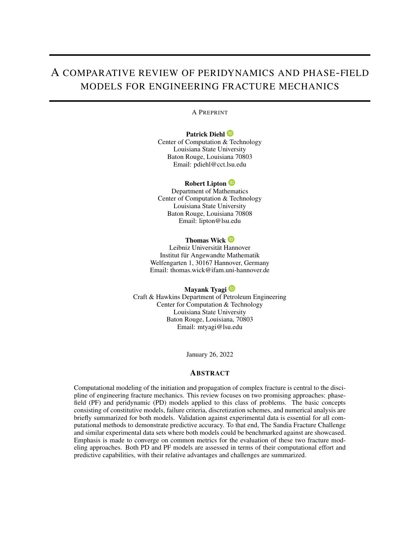# A COMPARATIVE REVIEW OF PERIDYNAMICS AND PHASE-FIELD MODELS FOR ENGINEERING FRACTURE MECHANICS

#### A PREPRINT

#### Patrick Diehl<sup>(D</sup>

Center of Computation [& Te](https://orcid.org/ https://orcid.org/0000-0003-3922-8419)chnology Louisiana State University Baton Rouge, Louisiana 70803 Email: pdiehl@cct.lsu.edu

#### Robert Lipton **D**

Department of Math[ema](https://orcid.org/https://orcid.org/0000-0002-1382-3204)tics Center of Computation & Technology Louisiana State University Baton Rouge, Louisiana 70808 Email: lipton@lsu.edu

#### Thomas Wick <sup>iD</sup>

Leibniz Universität [Hann](https://orcid.org/https://orcid.org/0000-0002-1102-6332)over Institut für Angewandte Mathematik Welfengarten 1, 30167 Hannover, Germany Email: thomas.wick@ifam.uni-hannover.de

## Mayank Tyagi<sup>D</sup>

Craft & Hawkins Department of P[etro](https://orcid.org/https://orcid.org/0000-0003-0570-9812)leum Engineering Center for Computation & Technology Louisiana State University Baton Rouge, Louisiana, 70803 Email: mtyagi@lsu.edu

January 26, 2022

## **ABSTRACT**

Computational modeling of the initiation and propagation of complex fracture is central to the discipline of engineering fracture mechanics. This review focuses on two promising approaches: phasefield (PF) and peridynamic (PD) models applied to this class of problems. The basic concepts consisting of constitutive models, failure criteria, discretization schemes, and numerical analysis are briefly summarized for both models. Validation against experimental data is essential for all computational methods to demonstrate predictive accuracy. To that end, The Sandia Fracture Challenge and similar experimental data sets where both models could be benchmarked against are showcased. Emphasis is made to converge on common metrics for the evaluation of these two fracture modeling approaches. Both PD and PF models are assessed in terms of their computational effort and predictive capabilities, with their relative advantages and challenges are summarized.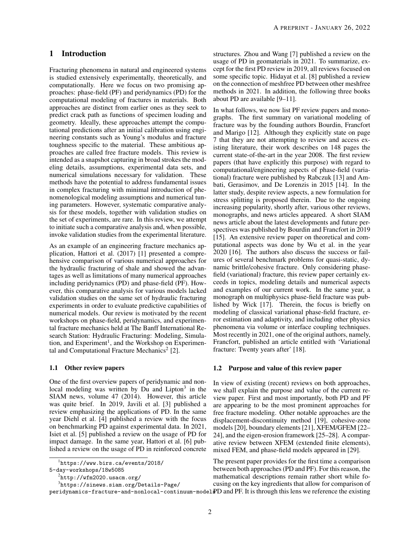## 1 Introduction

Fracturing phenomena in natural and engineered systems is studied extensively experimentally, theoretically, and computationally. Here we focus on two promising approaches: phase-field (PF) and peridynamics (PD) for the computational modeling of fractures in materials. Both approaches are distinct from earlier ones as they seek to predict crack path as functions of specimen loading and geometry. Ideally, these approaches attempt the computational predictions after an initial calibration using engineering constants such as Young's modulus and fracture toughness specific to the material. These ambitious approaches are called free fracture models. This review is intended as a snapshot capturing in broad strokes the modeling details, assumptions, experimental data sets, and numerical simulations necessary for validation. These methods have the potential to address fundamental issues in complex fracturing with minimal introduction of phenomenological modeling assumptions and numerical tuning parameters. However, systematic comparative analysis for these models, together with validation studies on the set of experiments, are rare. In this review, we attempt to initiate such a comparative analysis and, when possible, invoke validation studies from the experimental literature.

As an example of an engineering fracture mechanics application, Hattori et al. (2017) [\[1\]](#page-22-0) presented a comprehensive comparison of various numerical approaches for the hydraulic fracturing of shale and showed the advantages as well as limitations of many numerical approaches including peridynamics (PD) and phase-field (PF). However, this comparative analysis for various models lacked validation studies on the same set of hydraulic fracturing experiments in order to evaluate predictive capabilities of numerical models. Our review is motivated by the recent workshops on phase-field, peridynamics, and experimental fracture mechanics held at The Banff International Research Station: Hydraulic Fracturing: Modeling, Simula-tion, and Experiment<sup>[1](#page-1-0)</sup>, and the Workshop on Experimen-tal and Computational Fracture Mechanics<sup>[2](#page-1-1)</sup> [\[2\]](#page-22-1).

#### 1.1 Other review papers

One of the first overview papers of peridynamic and non-local modeling was written by Du and Lipton<sup>[3](#page-1-2)</sup> in the SIAM news, volume 47 (2014). However, this article was quite brief. In 2019, Javili et al. [\[3\]](#page-22-2) published a review emphasizing the applications of PD. In the same year Diehl et al. [\[4\]](#page-22-3) published a review with the focus on benchmarking PD against experimental data. In 2021, Isiet et al. [\[5\]](#page-22-4) published a review on the usage of PD for impact damage. In the same year, Hattori et al. [\[6\]](#page-22-5) published a review on the usage of PD in reinforced concrete

3 [https://sinews.siam.org/Details-Page/](https://sinews.siam.org/Details-Page/peridynamics-fracture-and-nonlocal-continuum-models)

structures. Zhou and Wang [\[7\]](#page-22-6) published a review on the usage of PD in geomaterials in 2021. To summarize, except for the first PD review in 2019, all reviews focused on some specific topic. Hidayat et al. [\[8\]](#page-22-7) published a review on the connection of meshfree PD between other meshfree methods in 2021. In addition, the following three books about PD are available [\[9–](#page-22-8)[11\]](#page-22-9).

In what follows, we now list PF review papers and monographs. The first summary on variational modeling of fracture was by the founding authors Bourdin, Francfort and Marigo [\[12\]](#page-22-10). Although they explicitly state on page 7 that they are not attempting to review and access existing literature, their work describes on 148 pages the current state-of-the-art in the year 2008. The first review papers (that have explicitly this purpose) with regard to computational/engineering aspects of phase-field (variational) fracture were published by Rabczuk [\[13\]](#page-22-11) and Ambati, Gerasimov, and De Lorenzis in 2015 [\[14\]](#page-22-12). In the latter study, despite review aspects, a new formulation for stress splitting is proposed therein. Due to the ongoing increasing popularity, shortly after, various other reviews, monographs, and news articles appeared. A short SIAM news article about the latest developments and future perspectives was published by Bourdin and Francfort in 2019 [\[15\]](#page-22-13). An extensive review paper on theoretical and computational aspects was done by Wu et al. in the year 2020 [\[16\]](#page-22-14). The authors also discuss the success or failures of several benchmark problems for quasi-static, dynamic brittle/cohesive fracture. Only considering phasefield (variational) fracture, this review paper certainly exceeds in topics, modeling details and numerical aspects and examples of our current work. In the same year, a monograph on multiphysics phase-field fracture was published by Wick [\[17\]](#page-22-15). Therein, the focus is briefly on modeling of classical variational phase-field fracture, error estimation and adaptivity, and including other physics phenomena via volume or interface coupling techniques. Most recently in 2021, one of the original authors, namely, Francfort, published an article entitled with 'Variational fracture: Twenty years after' [\[18\]](#page-22-16).

#### 1.2 Purpose and value of this review paper

In view of existing (recent) reviews on both approaches, we shall explain the purpose and value of the current review paper. First and most importantly, both PD and PF are appearing to be the most prominent approaches for free fracture modeling. Other notable approaches are the displacement-discontinuity method [\[19\]](#page-22-17), cohesive-zone models [\[20\]](#page-22-18), boundary elements [\[21\]](#page-22-19), XFEM/GFEM [\[22–](#page-22-20) [24\]](#page-23-0), and the eigen-erosion framework [\[25](#page-23-1)[–28\]](#page-23-2). A comparative review between XFEM (extended finite elements), mixed FEM, and phase-field models appeared in [\[29\]](#page-23-3).

<code>peridynamics-fracture-and-nonlocal-continuum-model</code>  $\bf FPO$  and  $\bf PF.$  It is through this lens we reference the existing The present paper provides for the first time a comparison between both approaches (PD and PF). For this reason, the mathematical descriptions remain rather short while focusing on the key ingredients that allow for comparison of

<span id="page-1-0"></span><sup>1</sup> [https://www.birs.ca/events/2018/](https://www.birs.ca/events/2018/5-day-workshops/18w5085)

[<sup>5-</sup>day-workshops/18w5085](https://www.birs.ca/events/2018/5-day-workshops/18w5085)

<span id="page-1-2"></span><span id="page-1-1"></span> $^{2}$ <http://wfm2020.usacm.org/>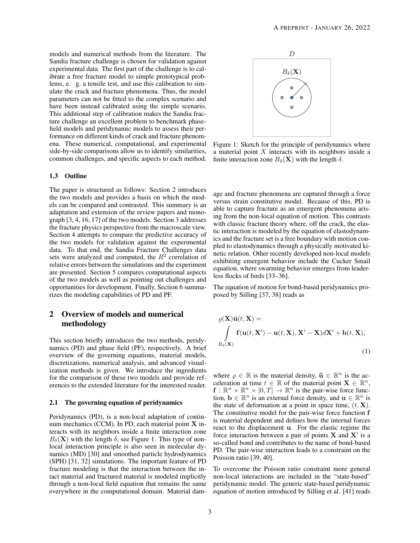models and numerical methods from the literature. The Sandia fracture challenge is chosen for validation against experimental data. The first part of the challenge is to calibrate a free fracture model to simple prototypical problems, e. g. a tensile test, and use this calibration to simulate the crack and fracture phenomena. Thus, the model parameters can not be fitted to the complex scenario and have been instead calibrated using the simple scenario. This additional step of calibration makes the Sandia fracture challenge an excellent problem to benchmark phasefield models and peridynamic models to assess their performance on different kinds of crack and fracture phenomena. These numerical, computational, and experimental side-by-side comparisons allow us to identify similarities, common challenges, and specific aspects to each method.

#### 1.3 Outline

The paper is structured as follows: Section [2](#page-2-0) introduces the two models and provides a basis on which the models can be compared and contrasted. This summary is an adaptation and extension of the review papers and monograph [\[3,](#page-22-2) [4,](#page-22-3) [16,](#page-22-14) [17\]](#page-22-15) of the two models. Section [3](#page-11-0) addresses the fracture physics perspective from the macroscale view. Section [4](#page-12-0) attempts to compare the predictive accuracy of the two models for validation against the experimental data. To that end, the Sandia Fracture Challenges data sets were analyzed and computed, the  $R^2$  correlation of relative errors between the simulations and the experiment are presented. Section [5](#page-15-0) compares computational aspects of the two models as well as pointing out challenges and opportunities for development. Finally, Section [6](#page-21-0) summarizes the modeling capabilities of PD and PF.

## <span id="page-2-0"></span>2 Overview of models and numerical methodology

This section briefly introduces the two methods, peridynamics (PD) and phase field (PF), respectively. A brief overview of the governing equations, material models, discretizations, numerical analysis, and advanced visualization methods is given. We introduce the ingredients for the comparison of these two models and provide references to the extended literature for the interested reader.

#### 2.1 The governing equation of peridynamics

Peridynamics (PD), is a non-local adaptation of continuum mechanics (CCM). In PD, each material point X interacts with its neighbors inside a finite interaction zone  $B_\delta(\mathbf{X})$  with the length  $\delta$ , see Figure [1.](#page-2-1) This type of nonlocal interaction principle is also seen in molecular dynamics (MD) [\[30\]](#page-23-4) and smoothed particle hydrodynamics (SPH) [\[31,](#page-23-5) [32\]](#page-23-6) simulations. The important feature of PD fracture modeling is that the interaction between the intact material and fractured material is modeled implicitly through a non-local field equation that remains the same everywhere in the computational domain. Material dam-

<span id="page-2-1"></span>

Figure 1: Sketch for the principle of peridynamics where a material point  $X$  interacts with its neighbors inside a finite interaction zone  $B_{\delta}(\mathbf{X})$  with the length  $\delta$ .

age and fracture phenomena are captured through a force versus strain constitutive model. Because of this, PD is able to capture fracture as an emergent phenomena arising from the non-local equation of motion. This contrasts with classic fracture theory where, off the crack, the elastic interaction is modeled by the equation of elastodynamics and the fracture set is a free boundary with motion coupled to elastodynamics through a physically motivated kinetic relation. Other recently developed non-local models exhibiting emergent behavior include the Cucker Smail equation, where swarming behavior emerges from leaderless flocks of birds [\[33](#page-23-7)[–36\]](#page-23-8).

The equation of motion for bond-based peridynamics proposed by Silling [\[37,](#page-23-9) [38\]](#page-23-10) reads as

$$
\rho(\mathbf{X})\ddot{\mathbf{u}}(t,\mathbf{X}) = \int_{B_{\delta}(\mathbf{X})} \mathbf{f}(\mathbf{u}(t,\mathbf{X}') - \mathbf{u}(t,\mathbf{X}), \mathbf{X}' - \mathbf{X})d\mathbf{X}' + \mathbf{b}(t,\mathbf{X}),
$$
\n(1)

where  $\rho \in \mathbb{R}$  is the material density,  $\ddot{\mathbf{u}} \in \mathbb{R}^n$  is the acceleration at time  $t \in \mathbb{R}$  of the material point  $\mathbf{X} \in \mathbb{R}^n$ ,  $\mathbf{f}: \mathbb{R}^n \times \mathbb{R}^n \times [0,T] \to \mathbb{R}^n$  is the pair-wise force function,  $\mathbf{b} \in \mathbb{R}^n$  is an external force density, and  $\mathbf{u} \in \mathbb{R}^n$  is the state of deformation at a point in space time,  $(t, X)$ . The constitutive model for the pair-wise force function f is material dependent and defines how the internal forces react to the displacement u. For the elastic regime the force interaction between a pair of points  $X$  and  $X'$  is a so-called bond and contributes to the name of bond-based PD. The pair-wise interaction leads to a constraint on the Poisson ratio [\[39,](#page-23-11) [40\]](#page-23-12).

To overcome the Poisson ratio constraint more general non-local interactions are included in the "state-based" peridynamic model. The generic state-based peridynamic equation of motion introduced by Silling et al. [\[41\]](#page-23-13) reads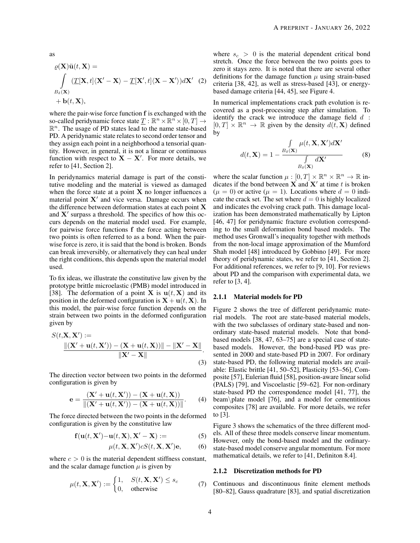as

$$
\rho(\mathbf{X})\ddot{\mathbf{u}}(t,\mathbf{X}) =
$$
\n
$$
\int_{B_{\delta}(\mathbf{X})} (\underline{T}[\mathbf{X},t]\langle \mathbf{X}'-\mathbf{X}\rangle - \underline{T}[\mathbf{X}',t]\langle \mathbf{X}-\mathbf{X}'\rangle)d\mathbf{X}'
$$
\n(2)\n
$$
+\mathbf{b}(t,\mathbf{X}),
$$

where the pair-wise force function f is exchanged with the so-called peridynamic force state  $\underline{T} : \mathbb{R}^n \times \mathbb{R}^n \times [0, T] \rightarrow$  $\mathbb{R}^n$ . The usage of PD states lead to the name state-based PD. A peridynamic state relates to second order tensor and they assign each point in a neighborhood a tensorial quantity. However, in general, it is not a linear or continuous function with respect to  $X - X'$ . For more details, we refer to [\[41,](#page-23-13) Section 2].

In peridynamics material damage is part of the constitutive modeling and the material is viewed as damaged when the force state at a point  $X$  no longer influences a material point  $X'$  and vice versa. Damage occurs when the difference between deformation states at each point X and  $X'$  surpass a threshold. The specifics of how this occurs depends on the material model used. For example, for pairwise force functions f the force acting between two points is often referred to as a bond. When the pairwise force is zero, it is said that the bond is broken. Bonds can break irreversibly, or alternatively they can heal under the right conditions, this depends upon the material model used.

To fix ideas, we illustrate the constitutive law given by the prototype brittle microelastic (PMB) model introduced in [\[38\]](#page-23-10). The deformation of a point **X** is  $u(t, X)$  and its position in the deformed configuration is  $X + u(t, X)$ . In this model, the pair-wise force function depends on the strain between two points in the deformed configuration given by

$$
S(t, \mathbf{X}, \mathbf{X}') := \frac{\|(\mathbf{X}' + \mathbf{u}(t, \mathbf{X}')) - (\mathbf{X} + \mathbf{u}(t, \mathbf{X}))\| - \|\mathbf{X}' - \mathbf{X}\|}{\|\mathbf{X}' - \mathbf{X}\|}.
$$
\n(3)

The direction vector between two points in the deformed configuration is given by

$$
e = \frac{(X' + u(t, X')) - (X + u(t, X))}{\|(X' + u(t, X')) - (X + u(t, X))\|}.
$$
 (4)

The force directed between the two points in the deformed configuration is given by the constitutive law

$$
\mathbf{f}(\mathbf{u}(t, \mathbf{X}') - \mathbf{u}(t, \mathbf{X}), \mathbf{X}' - \mathbf{X}) := \tag{5}
$$

$$
\mu(t, \mathbf{X}, \mathbf{X}')cS(t, \mathbf{X}, \mathbf{X}')\mathbf{e},\tag{6}
$$

where  $c > 0$  is the material dependent stiffness constant, and the scalar damage function  $\mu$  is given by

$$
\mu(t, \mathbf{X}, \mathbf{X}') := \begin{cases} 1, & S(t, \mathbf{X}, \mathbf{X}') \le s_c \\ 0, & \text{otherwise} \end{cases}
$$
 (7)

where  $s_c > 0$  is the material dependent critical bond stretch. Once the force between the two points goes to zero it stays zero. It is noted that there are several other definitions for the damage function  $\mu$  using strain-based criteria [\[38,](#page-23-10) [42\]](#page-23-14), as well as stress-based [\[43\]](#page-23-15), or energybased damage criteria [\[44,](#page-23-16) [45\]](#page-23-17), see Figure [4.](#page-4-0)

In numerical implementations crack path evolution is recovered as a post-processing step after simulation. To identify the crack we introduce the damage field  $d$ :  $[0, T] \times \mathbb{R}^n \to \mathbb{R}$  given by the density  $d(t, \mathbf{X})$  defined by

$$
d(t, \mathbf{X}) = 1 - \frac{\int_{B_{\delta}(\mathbf{X})} \mu(t, \mathbf{X}, \mathbf{X}')d\mathbf{X}'}{\int_{B_{\delta}(\mathbf{X})} d\mathbf{X}'} \tag{8}
$$

where the scalar function  $\mu : [0, T] \times \mathbb{R}^n \times \mathbb{R}^n \to \mathbb{R}$  indicates if the bond between  $\vec{X}$  and  $\vec{X}'$  at time t is broken  $(\mu = 0)$  or active  $(\mu = 1)$ . Locations where  $d = 0$  indicate the crack set. The set where  $d = 0$  is highly localized and indicates the evolving crack path. This damage localization has been demonstrated mathematically by Lipton [\[46,](#page-23-18) [47\]](#page-23-19) for peridynamic fracture evolution corresponding to the small deformation bond based models. The method uses Gronwall's inequality together with methods from the non-local image approximation of the Mumford Shah model [\[48\]](#page-23-20) introduced by Gobbino [\[49\]](#page-23-21). For more theory of peridynamic states, we refer to [\[41,](#page-23-13) Section 2]. For additional references, we refer to [\[9,](#page-22-8) [10\]](#page-22-21). For reviews about PD and the comparison with experimental data, we refer to  $[3, 4]$  $[3, 4]$ .

#### 2.1.1 Material models for PD

Figure [2](#page-4-1) shows the tree of different peridynamic material models. The root are state-based material models, with the two subclasses of ordinary state-based and nonordinary state-based material models. Note that bondbased models [\[38,](#page-23-10) [47,](#page-23-19) [63–](#page-24-0)[75\]](#page-25-0) are a special case of statebased models. However, the bond-based PD was presented in 2000 and state-based PD in 2007. For ordinary state-based PD, the following material models are available: Elastic brittle [\[41,](#page-23-13) [50–](#page-24-1)[52\]](#page-24-2), Plasticity [\[53–](#page-24-3)[56\]](#page-24-4), Composite [\[57\]](#page-24-5), Eulerian fluid [\[58\]](#page-24-6), position-aware linear solid (PALS) [\[79\]](#page-25-1), and Viscoelastic [\[59–](#page-24-7)[62\]](#page-24-8). For non-ordinary state-based PD the correspondence model [\[41,](#page-23-13) [77\]](#page-25-2), the beam\plate model [\[76\]](#page-25-3), and a model for cementitious composites [\[78\]](#page-25-4) are available. For more details, we refer to [\[3\]](#page-22-2).

Figure [3](#page-4-2) shows the schematics of the three different models. All of these three models conserve linear momentum. However, only the bond-based model and the ordinarystate-based model conserve angular momentum. For more mathematical details, we refer to [\[41,](#page-23-13) Definiton 8.4].

#### 2.1.2 Discretization methods for PD

Continuous and discontinuous finite element methods [\[80](#page-25-5)[–82\]](#page-25-6), Gauss quadrature [\[83\]](#page-25-7), and spatial discretization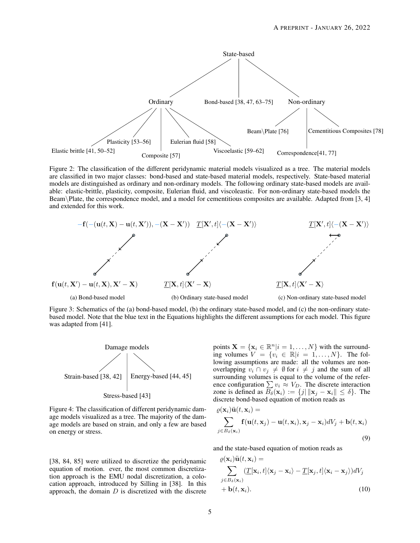<span id="page-4-1"></span>

Figure 2: The classification of the different peridynamic material models visualized as a tree. The material models are classified in two major classes: bond-based and state-based material models, respectively. State-based material models are distinguished as ordinary and non-ordinary models. The following ordinary state-based models are available: elastic-brittle, plasticity, composite, Eulerian fluid, and viscoleastic. For non-ordinary state-based models the Beam\Plate, the correspondence model, and a model for cementitious composites are available. Adapted from [\[3,](#page-22-2) [4\]](#page-22-3) and extended for this work.

<span id="page-4-2"></span>

Figure 3: Schematics of the [\(a\)](#page-4-2) bond-based model, [\(b\)](#page-4-2) the ordinary state-based model, and [\(c\)](#page-4-2) the non-ordinary statebased model. Note that the blue text in the Equations highlights the different assumptions for each model. This figure was adapted from [\[41\]](#page-23-13).

<span id="page-4-0"></span>

Figure 4: The classification of different peridynamic damage models visualized as a tree. The majority of the damage models are based on strain, and only a few are based on energy or stress.

points  $\mathbf{X} = \{ \mathbf{x}_i \in \mathbb{R}^n | i = 1, \dots, N \}$  with the surrounding volumes  $V = \{v_i \in \mathbb{R} | i = 1, \dots, N\}$ . The following assumptions are made: all the volumes are nonoverlapping  $v_i \cap v_j \neq \emptyset$  for  $i \neq j$  and the sum of all surrounding volumes is equal to the volume of the reference configuration  $\sum v_i \approx V_D$ . The discrete interaction zone is defined as  $\overline{B_{\delta}}(\mathbf{x}_i) := \{j | \|\mathbf{x}_j - \mathbf{x}_i\| \le \delta\}$ . The discrete bond-based equation of motion reads as

$$
\varrho(\mathbf{x}_i)\ddot{\mathbf{u}}(t,\mathbf{x}_i) = \sum_{j \in B_\delta(\mathbf{x}_i)} \mathbf{f}(\mathbf{u}(t,\mathbf{x}_j) - \mathbf{u}(t,\mathbf{x}_i), \mathbf{x}_j - \mathbf{x}_i) dV_j + \mathbf{b}(t,\mathbf{x}_i)
$$
\n(9)

and the state-based equation of motion reads as

$$
\varrho(\mathbf{x}_i)\ddot{\mathbf{u}}(t,\mathbf{x}_i) = \sum_{j \in B_{\delta}(\mathbf{x}_i)} (\underline{T}[\mathbf{x}_i, t](\mathbf{x}_j - \mathbf{x}_i) - \underline{T}[\mathbf{x}_j, t](\mathbf{x}_i - \mathbf{x}_j))dV_j + \mathbf{b}(t, \mathbf{x}_i).
$$
\n(10)

[\[38,](#page-23-10) [84,](#page-25-8) [85\]](#page-25-9) were utilized to discretize the peridynamic equation of motion. ever, the most common discretization approach is the EMU nodal discretization, a colocation approach, introduced by Silling in [\[38\]](#page-23-10). In this approach, the domain  $D$  is discretized with the discrete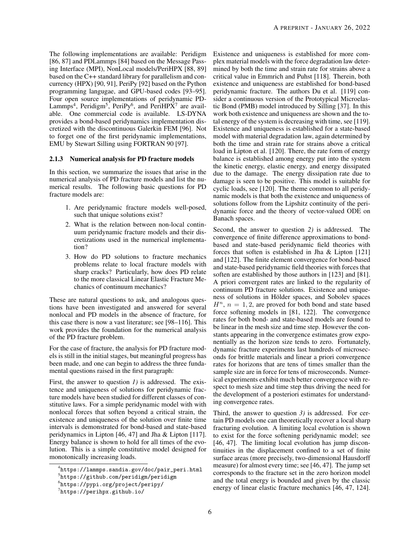The following implementations are available: Peridigm [\[86,](#page-25-10) [87\]](#page-25-11) and PDLammps [\[84\]](#page-25-8) based on the Message Passing Interface (MPI), NonLocal models/PeriHPX [\[88,](#page-25-12) [89\]](#page-25-13) based on the C++ standard library for parallelism and concurrency (HPX) [\[90,](#page-25-14) [91\]](#page-25-15), PeriPy [\[92\]](#page-25-16) based on the Python programming langugae, and GPU-based codes [\[93](#page-25-17)[–95\]](#page-25-18). Four open source implementations of peridynamic PD-Lammps<sup>[4](#page-5-0)</sup>, Peridigm<sup>[5](#page-5-1)</sup>, PeriPy<sup>[6](#page-5-2)</sup>, and PeriHPX<sup>[7](#page-5-3)</sup> are available. One commercial code is available. LS-DYNA provides a bond-based peridynamics implementation discretized with the discontinuous Galerkin FEM [\[96\]](#page-25-19). Not to forget one of the first peridynamic implementations, EMU by Stewart Silling using FORTRAN 90 [\[97\]](#page-25-20).

#### 2.1.3 Numerical analysis for PD fracture models

In this section, we summarize the issues that arise in the numerical analysis of PD fracture models and list the numerical results. The following basic questions for PD fracture models are:

- 1. Are peridynamic fracture models well-posed, such that unique solutions exist?
- 2. What is the relation between non-local continuum peridynamic fracture models and their discretizations used in the numerical implementation?
- 3. How do PD solutions to fracture mechanics problems relate to local fracture models with sharp cracks? Particularly, how does PD relate to the more classical Linear Elastic Fracture Mechanics of continuum mechanics?

These are natural questions to ask, and analogous questions have been investigated and answered for several nonlocal and PD models in the absence of fracture, for this case there is now a vast literature; see [\[98](#page-25-21)[–116\]](#page-26-0). This work provides the foundation for the numerical analysis of the PD fracture problem.

For the case of fracture, the analysis for PD fracture models is still in the initial stages, but meaningful progress has been made, and one can begin to address the three fundamental questions raised in the first paragraph:

First, the answer to question *1)* is addressed. The existence and uniqueness of solutions for peridynamic fracture models have been studied for different classes of constitutive laws. For a simple peridynamic model with with nonlocal forces that soften beyond a critical strain, the existence and uniqueness of the solution over finite time intervals is demonstrated for bond-based and state-based peridynamics in Lipton [\[46,](#page-23-18) [47\]](#page-23-19) and Jha & Lipton [\[117\]](#page-26-1). Energy balance is shown to hold for all times of the evolution. This is a simple constitutive model designed for monotonically increasing loads.

Existence and uniqueness is established for more complex material models with the force degradation law determined by both the time and strain rate for strains above a critical value in Emmrich and Puhst [\[118\]](#page-26-2). Therein, both existence and uniqueness are established for bond-based peridynamic fracture. The authors Du et al. [\[119\]](#page-26-3) consider a continuous version of the Prototypical Microelastic Bond (PMB) model introduced by Silling [\[37\]](#page-23-9). In this work both existence and uniqueness are shown and the total energy of the system is decreasing with time, see [\[119\]](#page-26-3). Existence and uniqueness is established for a state-based model with material degradation law, again determined by both the time and strain rate for strains above a critical load in Lipton et al. [\[120\]](#page-26-4). There, the rate form of energy balance is established among energy put into the system the kinetic energy, elastic energy, and energy dissipated due to the damage. The energy dissipation rate due to damage is seen to be positive. This model is suitable for cyclic loads, see [\[120\]](#page-26-4). The theme common to all peridynamic models is that both the existence and uniqueness of solutions follow from the Lipshitz continuity of the peridynamic force and the theory of vector-valued ODE on Banach spaces.

Second, the answer to question *2)* is addressed. The convergence of finite difference approximations to bondbased and state-based peridynamic field theories with forces that soften is established in Jha & Lipton [\[121\]](#page-26-5) and [\[122\]](#page-26-6). The finite element convergence for bond-based and state-based peridynamic field theories with forces that soften are established by those authors in [\[123\]](#page-26-7) and [\[81\]](#page-25-22). A priori convergent rates are linked to the regularity of continuum PD fracture solutions. Existence and uniqueness of solutions in Hölder spaces, and Sobolev spaces  $H<sup>n</sup>$ ,  $n = 1, 2$ , are proved for both bond and state based force softening models in [\[81,](#page-25-22) [122\]](#page-26-6). The convergence rates for both bond- and state-based models are found to be linear in the mesh size and time step. However the constants appearing in the convergence estimates grow exponentially as the horizon size tends to zero. Fortunately, dynamic fracture experiments last hundreds of microseconds for brittle materials and linear a priori convergence rates for horizons that are tens of times smaller than the sample size are in force for tens of microseconds. Numerical experiments exhibit much better convergence with respect to mesh size and time step thus driving the need for the development of a posteriori estimates for understanding convergence rates.

Third, the answer to question *3)* is addressed. For certain PD models one can theoretically recover a local sharp fracturing evolution. A limiting local evolution is shown to exist for the force softening peridynamic model; see [\[46,](#page-23-18) [47\]](#page-23-19). The limiting local evolution has jump discontinuities in the displacement confined to a set of finite surface areas (more precisely, two-dimensional Hausdorff measure) for almost every time; see [\[46,](#page-23-18) [47\]](#page-23-19). The jump set corresponds to the fracture set in the zero horizon model and the total energy is bounded and given by the classic energy of linear elastic fracture mechanics [\[46,](#page-23-18) [47,](#page-23-19) [124\]](#page-26-8).

<span id="page-5-0"></span><sup>4</sup> [https://lammps.sandia.gov/doc/pair\\_peri.html](https://lammps.sandia.gov/doc/pair_peri.html)

<span id="page-5-1"></span><sup>5</sup> <https://github.com/peridigm/peridigm>

<span id="page-5-2"></span><sup>6</sup> <https://pypi.org/project/peripy/>

<span id="page-5-3"></span><sup>7</sup> <https://perihpx.github.io/>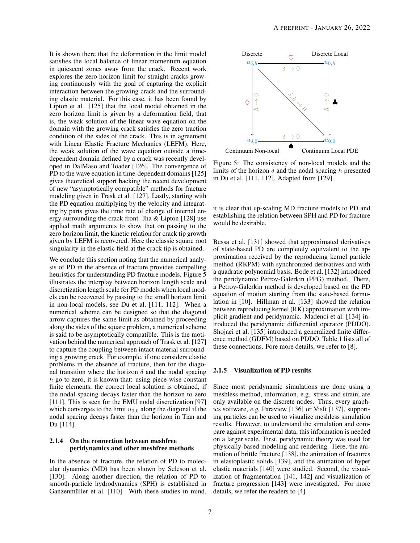It is shown there that the deformation in the limit model satisfies the local balance of linear momentum equation in quiescent zones away from the crack. Recent work explores the zero horizon limit for straight cracks growing continuously with the goal of capturing the explicit interaction between the growing crack and the surrounding elastic material. For this case, it has been found by Lipton et al. [\[125\]](#page-27-0) that the local model obtained in the zero horizon limit is given by a deformation field, that is, the weak solution of the linear wave equation on the domain with the growing crack satisfies the zero traction condition of the sides of the crack. This is in agreement with Linear Elastic Fracture Mechanics (LEFM). Here, the weak solution of the wave equation outside a timedependent domain defined by a crack was recently developed in DalMaso and Toader [\[126\]](#page-27-1). The convergence of PD to the wave equation in time-dependent domains [\[125\]](#page-27-0) gives theoretical support backing the recent development of new "asymptotically compatible" methods for fracture modeling given in Trask et al. [\[127\]](#page-27-2). Lastly, starting with the PD equation multiplying by the velocity and integrating by parts gives the time rate of change of internal energy surrounding the crack front. Jha & Lipton [\[128\]](#page-27-3) use applied math arguments to show that on passing to the zero horizon limit, the kinetic relation for crack tip growth given by LEFM is recovered. Here the classic square root singularity in the elastic field at the crack tip is obtained.

We conclude this section noting that the numerical analysis of PD in the absence of fracture provides compelling heuristics for understanding PD fracture models. Figure [5](#page-6-0) illustrates the interplay between horizon length scale and discretization length scale for PD models when local models can be recovered by passing to the small horizon limit in non-local models, see Du et al. [\[111,](#page-26-9) [112\]](#page-26-10). When a numerical scheme can be designed so that the diagonal arrow captures the same limit as obtained by proceeding along the sides of the square problem, a numerical scheme is said to be asymptotically compatible. This is the motivation behind the numerical approach of Trask et al. [\[127\]](#page-27-2) to capture the coupling between intact material surrounding a growing crack. For example, if one considers elastic problems in the absence of fracture, then for the diagonal transition where the horizon  $\delta$  and the nodal spacing h go to zero, it is known that: using piece-wise constant finite elements, the correct local solution is obtained, if the nodal spacing decays faster than the horizon to zero [\[111\]](#page-26-9). This is seen for the EMU nodal discretization [\[97\]](#page-25-20) which converges to the limit  $u_{0,0}$  along the diagonal if the nodal spacing decays faster than the horizon in Tian and Du [\[114\]](#page-26-11).

#### 2.1.4 On the connection between meshfree peridynamics and other meshfree methods

In the absence of fracture, the relation of PD to molecular dynamics (MD) has been shown by Seleson et al. [\[130\]](#page-27-4). Along another direction, the relation of PD to smooth-particle hydrodynamics (SPH) is established in Ganzenmüller et al. [\[110\]](#page-26-12). With these studies in mind,

<span id="page-6-0"></span>

Figure 5: The consistency of non-local models and the limits of the horizon  $\delta$  and the nodal spacing h presented in Du et al. [\[111,](#page-26-9) [112\]](#page-26-10). Adapted from [\[129\]](#page-27-5).

it is clear that up-scaling MD fracture models to PD and establishing the relation between SPH and PD for fracture would be desirable.

Bessa et al. [\[131\]](#page-27-6) showed that approximated derivatives of state-based PD are completely equivalent to the approximation received by the reproducing kernel particle method (RKPM) with synchronized derivatives and with a quadratic polynomial basis. Bode et al. [\[132\]](#page-27-7) introduced the peridynamic Petrov-Galerkin (PPG) method. There, a Petrov-Galerkin method is developed based on the PD equation of motion starting from the state-based formulation in [\[10\]](#page-22-21). Hillman et al. [\[133\]](#page-27-8) showed the relation between reproducing kernel (RK) approximation with implicit gradient and peridynamic. Madenci et al. [\[134\]](#page-27-9) introduced the peridynamic differential operator (PDDO). Shojaei et al. [\[135\]](#page-27-10) introduced a generalized finite difference method (GDFM) based on PDDO. Table [1](#page-7-0) lists all of these connections. Fore more details, we refer to [\[8\]](#page-22-7).

#### 2.1.5 Visualization of PD results

Since most peridynamic simulations are done using a meshless method, information, e.g. stress and strain, are only available on the discrete nodes. Thus, every graphics software, *e.g.* Paraview [\[136\]](#page-27-11) or VisIt [\[137\]](#page-27-12), supporting particles can be used to visualize meshless simulation results. However, to understand the simulation and compare against experimental data, this information is needed on a larger scale. First, peridynamic theory was used for physically-based modeling and rendering. Here, the animation of brittle fracture [\[138\]](#page-27-13), the animation of fractures in elastoplastic solids [\[139\]](#page-27-14), and the animation of hyper elastic materials [\[140\]](#page-27-15) were studied. Second, the visualization of fragmentation [\[141,](#page-27-16) [142\]](#page-27-17) and visualization of fracture progression [\[143\]](#page-27-18) were investigated. For more details, we refer the readers to [\[4\]](#page-22-3).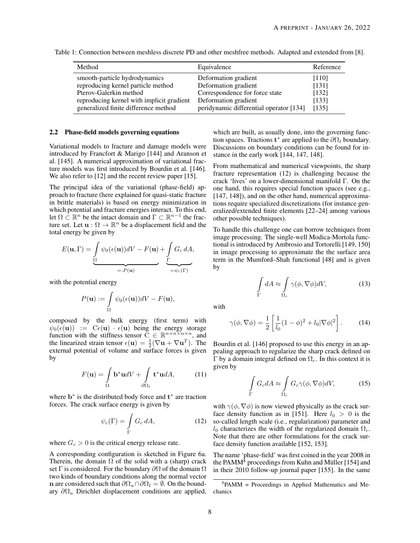| Method                                    | Equivalence                             | Reference |
|-------------------------------------------|-----------------------------------------|-----------|
| smooth-particle hydrodynamics             | Deformation gradient                    | [110]     |
| reproducing kernel particle method        | Deformation gradient                    | [131]     |
| Pterov-Galerkin method                    | Correspondence for force state          | [132]     |
| reproducing kernel with implicit gradient | Deformation gradient                    | [133]     |
| generalized finite difference method      | peridynamic differential operator [134] | [135]     |

<span id="page-7-0"></span>Table 1: Connection between meshless discrete PD and other meshfree methods. Adapted and extended from [\[8\]](#page-22-7).

#### <span id="page-7-3"></span>2.2 Phase-field models governing equations

Variational models to fracture and damage models were introduced by Francfort & Marigo [\[144\]](#page-27-19) and Aranson et al. [\[145\]](#page-27-20). A numerical approximation of variational fracture models was first introduced by Bourdin et al. [\[146\]](#page-27-21). We also refer to [\[12\]](#page-22-10) and the recent review paper [\[15\]](#page-22-13).

The principal idea of the variational (phase-field) approach to fracture (here explained for quasi-static fracture in brittle materials) is based on energy minimization in which potential and fracture energies interact. To this end, let  $\Omega \subset \mathbb{R}^n$  be the intact domain and  $\Gamma \subset \mathbb{R}^{n-1}$  the fracture set. Let  $\mathbf{u} : \Omega \to \mathbb{R}^n$  be a displacement field and the total energy be given by

$$
E(\mathbf{u}, \Gamma) = \underbrace{\int_{\Omega} \psi_0(\epsilon(\mathbf{u})) dV - F(\mathbf{u})}_{=:P(\mathbf{u})} + \underbrace{\int_{\Gamma} G_c dA}_{= \psi_c(\Gamma)},
$$

with the potential energy

$$
P(\mathbf{u}) := \int_{\Omega} \psi_0(\epsilon(\mathbf{u})) dV - F(\mathbf{u}),
$$

composed by the bulk energy (first term) with  $\psi_0(\epsilon(\mathbf{u})) := \mathbf{C}\epsilon(\mathbf{u}) \cdot \epsilon(\mathbf{u})$  being the energy storage function with the stiffness tensor  $\widetilde{C} \in \mathbb{R}^{n \times n \times n \times n}$ , and the linearized strain tensor  $\epsilon(\mathbf{u}) = \frac{1}{2}(\nabla \mathbf{u} + \nabla \mathbf{u}^T)$ . The external potential of volume and surface forces is given by

$$
F(\mathbf{u}) = \int_{\Omega} \mathbf{b}^* \mathbf{u} dV + \int_{\partial \Omega_t} \mathbf{t}^* \mathbf{u} dA, \quad (11)
$$

where  $\mathbf{b}^*$  is the distributed body force and  $\mathbf{t}^*$  are traction forces. The crack surface energy is given by

<span id="page-7-1"></span>
$$
\psi_c(\Gamma) = \int\limits_{\Gamma} G_c \, dA,\tag{12}
$$

where  $G_c > 0$  is the critical energy release rate.

A corresponding configuration is sketched in Figure [6a.](#page-8-0) Therein, the domain  $\Omega$  of the solid with a (sharp) crack set Γ is considered. For the boundary  $\partial\Omega$  of the domain  $\Omega$ two kinds of boundary conditions along the normal vector n are considered such that  $\partial \Omega_u \cap \partial \Omega_t = \emptyset$ . On the boundary  $\partial \Omega_u$  Dirichlet displacement conditions are applied, which are built, as usually done, into the governing function spaces. Tractions  $t^*$  are applied to the  $\partial \Omega_t$  boundary. Discussions on boundary conditions can be found for instance in the early work [\[144,](#page-27-19) [147,](#page-27-22) [148\]](#page-28-0).

From mathematical and numerical viewpoints, the sharp fracture representation [\(12\)](#page-7-1) is challenging because the crack 'lives' on a lower-dimensional manifold Γ. On the one hand, this requires special function spaces (see e.g., [\[147,](#page-27-22) [148\]](#page-28-0)), and on the other hand, numerical approximations require specialized discretizations (for instance generalized/extended finite elements [\[22](#page-22-20)[–24\]](#page-23-0) among various other possible techniques).

To handle this challenge one can borrow techniques from image processing. The single-well Modica-Mortola functional is introduced by Ambrosio and Tortorelli [\[149,](#page-28-1) [150\]](#page-28-2) in image processing to approximate the the surface area term in the Mumford–Shah functional [\[48\]](#page-23-20) and is given by

$$
\int_{\Gamma} dA \approx \int_{\Omega_c} \gamma(\phi, \nabla \phi) dV, \tag{13}
$$

with

Γ

$$
\gamma(\phi, \nabla \phi) = \frac{1}{2} \left[ \frac{1}{l_0} (1 - \phi)^2 + l_0 |\nabla \phi|^2 \right].
$$
 (14)

Bourdin et al. [\[146\]](#page-27-21) proposed to use this energy in an appealing approach to regularize the sharp crack defined on Γ by a domain integral defined on  $Ω<sub>c</sub>$ . In this context it is given by

$$
\int_{\Gamma} G_c dA \approx \int_{\Omega_c} G_c \gamma(\phi, \nabla \phi) dV, \tag{15}
$$

with  $\gamma(\phi, \nabla \phi)$  is now viewed physically as the crack sur-face density function as in [\[151\]](#page-28-3). Here  $l_0 > 0$  is the so-called length scale (i.e., regularization) parameter and  $l_0$  characterizes the width of the regularized domain  $\Omega_c$ . Note that there are other formulations for the crack surface density function available [\[152,](#page-28-4) [153\]](#page-28-5).

The name 'phase-field' was first coined in the year 2008 in the PAMM $8$  proceedings from Kuhn and Müller [\[154\]](#page-28-6) and in their 2010 follow-up journal paper [\[155\]](#page-28-7). In the same

<span id="page-7-2"></span><sup>8</sup> PAMM = Proceedings in Applied Mathematics and Mechanics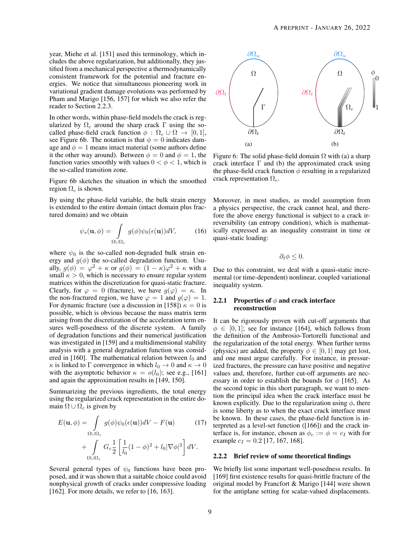year, Miehe et al. [\[151\]](#page-28-3) used this terminology, which includes the above regularization, but additionally, they justified from a mechanical perspective a thermodynamically consistent framework for the potential and fracture energies. We notice that simultaneous pioneering work in variational gradient damage evolutions was performed by Pham and Marigo [\[156,](#page-28-8) [157\]](#page-28-9) for which we also refer the reader to Section [2.2.3.](#page-9-0)

In other words, within phase-field models the crack is regularized by  $\Omega_c$  around the sharp crack Γ using the socalled phase-field crack function  $\phi : \Omega_c \cup \Omega \rightarrow [0, 1],$ see Figure [6b.](#page-8-0) The notation is that  $\phi = 0$  indicates damage and  $\phi = 1$  means intact material (some authors define it the other way around). Between  $\phi = 0$  and  $\phi = 1$ , the function varies smoothly with values  $0 < \phi < 1$ , which is the so-called transition zone.

Figure [6b](#page-8-0) sketches the situation in which the smoothed region  $\Omega_c$  is shown.

By using the phase-field variable, the bulk strain energy is extended to the entire domain (intact domain plus fractured domain) and we obtain

$$
\psi_s(\mathbf{u}, \phi) = \int_{\Omega \cup \Omega_c} g(\phi) \psi_0(\epsilon(\mathbf{u})) dV, \tag{16}
$$

where  $\psi_0$  is the so-called non-degraded bulk strain energy and  $g(\phi)$  the so-called degradation function. Usually,  $g(\phi) = \varphi^2 + \kappa$  or  $g(\phi) = (1 - \kappa)\varphi^2 + \kappa$  with a small  $\kappa > 0$ , which is necessary to ensure regular system matrices within the discretization for quasi-static fracture. Clearly, for  $\varphi = 0$  (fracture), we have  $g(\varphi) = \kappa$ . In the non-fractured region, we have  $\varphi = 1$  and  $g(\varphi) = 1$ . For dynamic fracture (see a discussion in [\[158\]](#page-28-10))  $\kappa = 0$  is possible, which is obvious because the mass matrix term arising from the discretization of the acceleration term ensures well-posedness of the discrete system. A family of degradation functions and their numerical justification was investigated in [\[159\]](#page-28-11) and a multidimensional stability analysis with a general degradation function was consid-ered in [\[160\]](#page-28-12). The mathematical relation between  $l_0$  and  $\kappa$  is linked to  $\Gamma$  convergence in which  $l_0 \to 0$  and  $\kappa \to 0$ with the asymptotic behavior  $\kappa = o(l_0)$ ; see e.g., [\[161\]](#page-28-13) and again the approximation results in [\[149,](#page-28-1) [150\]](#page-28-2).

Summarizing the previous ingredients, the total energy using the regularized crack representation in the entire domain  $\Omega \cup \Omega_c$  is given by

$$
E(\mathbf{u}, \phi) = \int_{\Omega \cup \Omega_c} g(\phi) \psi_0(\epsilon(\mathbf{u})) dV - F(\mathbf{u}) \qquad (17)
$$

$$
+ \int_{\Omega \cup \Omega_c} G_c \frac{1}{2} \left[ \frac{1}{l_0} (1 - \phi)^2 + l_0 |\nabla \phi|^2 \right] dV.
$$

Several general types of  $\psi_0$  functions have been proposed, and it was shown that a suitable choice could avoid nonphysical growth of cracks under compressive loading [\[162\]](#page-28-14). For more details, we refer to [\[16,](#page-22-14) [163\]](#page-28-15).

<span id="page-8-0"></span>

Figure 6: The solid phase-field domain  $\Omega$  with [\(a\)](#page-8-0) a sharp crack interface  $\Gamma$  and [\(b\)](#page-8-0) the approximated crack using the phase-field crack function  $\phi$  resulting in a regularized crack representation  $\Omega_c$ .

Moreover, in most studies, as model assumption from a physics perspective, the crack cannot heal, and therefore the above energy functional is subject to a crack irreversibility (an entropy condition), which is mathematically expressed as an inequality constraint in time or quasi-static loading:

$$
\partial_t \phi \leq 0.
$$

Due to this constraint, we deal with a quasi-static incremental (or time-dependent) nonlinear, coupled variational inequality system.

#### 2.2.1 Properties of  $\phi$  and crack interface reconstruction

It can be rigorously proven with cut-off arguments that  $\phi \in [0, 1]$ ; see for instance [\[164\]](#page-28-16), which follows from the definition of the Ambrosio-Tortorelli functional and the regularization of the total energy. When further terms (physics) are added, the property  $\phi \in [0, 1]$  may get lost, and one must argue carefully. For instance, in pressurized fractures, the pressure can have positive and negative values and, therefore, further cut-off arguments are necessary in order to establish the bounds for  $\phi$  [\[165\]](#page-28-17). As the second topic in this short paragraph, we want to mention the principal idea when the crack interface must be known explicitly. Due to the regularization using  $\phi$ , there is some liberty as to when the exact crack interface must be known. In these cases, the phase-field function is interpreted as a level-set function ([\[166\]](#page-28-18)) and the crack interface is, for instance, chosen as  $\phi_c := \phi = c_I$  with for example  $c_I = 0.2$  [\[17,](#page-22-15) [167,](#page-28-19) [168\]](#page-28-20).

#### 2.2.2 Brief review of some theoretical findings

We briefly list some important well-posedness results. In [\[169\]](#page-28-21) first existence results for quasi-brittle fracture of the original model by Francfort & Marigo [\[144\]](#page-27-19) were shown for the antiplane setting for scalar-valued displacements.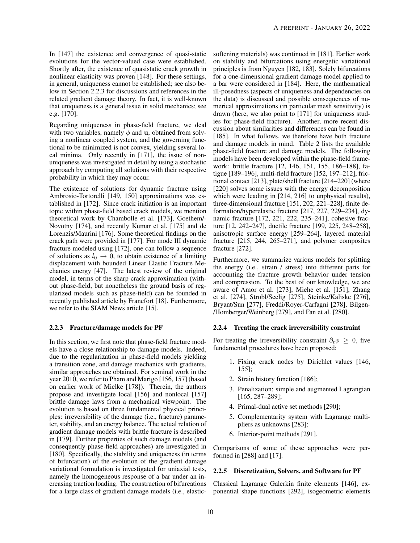In [\[147\]](#page-27-22) the existence and convergence of quasi-static evolutions for the vector-valued case were established. Shortly after, the existence of quasistatic crack growth in nonlinear elasticity was proven [\[148\]](#page-28-0). For these settings, in general, uniqueness cannot be established; see also below in Section [2.2.3](#page-9-0) for discussions and references in the related gradient damage theory. In fact, it is well-known that uniqueness is a general issue in solid mechanics; see e.g. [\[170\]](#page-28-22).

Regarding uniqueness in phase-field fracture, we deal with two variables, namely  $\phi$  and u, obtained from solving a nonlinear coupled system, and the governing functional to be minimized is not convex, yielding several local minima. Only recently in [\[171\]](#page-28-23), the issue of nonuniqueness was investigated in detail by using a stochastic approach by computing all solutions with their respective probability in which they may occur.

The existence of solutions for dynamic fracture using Ambrosio-Tortorelli [\[149,](#page-28-1) [150\]](#page-28-2) approximations was established in [\[172\]](#page-28-24). Since crack initiation is an important topic within phase-field based crack models, we mention theoretical work by Chambolle et al. [\[173\]](#page-29-0), Goethem/- Novotny [\[174\]](#page-29-1), and recently Kumar et al. [\[175\]](#page-29-2) and de Lorenzis/Maurini [\[176\]](#page-29-3). Some theoretical findings on the crack path were provided in [\[177\]](#page-29-4). For mode III dynamic fracture modeled using [\[172\]](#page-28-24), one can follow a sequence of solutions as  $l_0 \rightarrow 0$ , to obtain existence of a limiting displacement with bounded Linear Elastic Fracture Mechanics energy [\[47\]](#page-23-19). The latest review of the original model, in terms of the sharp crack approximation (without phase-field, but nonetheless the ground basis of regularized models such as phase-field) can be founded in recently published article by Francfort [\[18\]](#page-22-16). Furthermore, we refer to the SIAM News article [\[15\]](#page-22-13).

## <span id="page-9-0"></span>2.2.3 Fracture/damage models for PF

In this section, we first note that phase-field fracture models have a close relationship to damage models. Indeed, due to the regularization in phase-field models yielding a transition zone, and damage mechanics with gradients, similar approaches are obtained. For seminal work in the year 2010, we refer to Pham and Marigo [\[156,](#page-28-8) [157\]](#page-28-9) (based on earlier work of Mielke [\[178\]](#page-29-5)). Therein, the authors propose and investigate local [\[156\]](#page-28-8) and nonlocal [\[157\]](#page-28-9) brittle damage laws from a mechanical viewpoint. The evolution is based on three fundamental physical principles: irreversibility of the damage (i.e., fracture) parameter, stability, and an energy balance. The actual relation of gradient damage models with brittle fracture is described in [\[179\]](#page-29-6). Further properties of such damage models (and consequently phase-field approaches) are investigated in [\[180\]](#page-29-7). Specifically, the stability and uniqueness (in terms of bifurcation) of the evolution of the gradient damage variational formulation is investigated for uniaxial tests, namely the homogeneous response of a bar under an increasing traction loading. The construction of bifurcations for a large class of gradient damage models (i.e., elasticsoftening materials) was continued in [\[181\]](#page-29-8). Earlier work on stability and bifurcations using energetic variational principles is from Nguyen [\[182,](#page-29-9) [183\]](#page-29-10). Solely bifurcations for a one-dimensional gradient damage model applied to a bar were considered in [\[184\]](#page-29-11). Here, the mathematical ill-posedness (aspects of uniqueness and dependencies on the data) is discussed and possible consequences of numerical approximations (in particular mesh sensitivity) is drawn (here, we also point to [\[171\]](#page-28-23) for uniqueness studies for phase-field fracture). Another, more recent discussion about similarities and differences can be found in [\[185\]](#page-29-12). In what follows, we therefore have both fracture and damage models in mind. Table [2](#page-10-0) lists the available phase-field fracture and damage models. The following models have been developed within the phase-field framework: brittle fracture [\[12,](#page-22-10) [146,](#page-27-21) [151,](#page-28-3) [155,](#page-28-7) [186](#page-29-13)[–188\]](#page-29-14), fatigue [\[189](#page-29-15)[–196\]](#page-29-16), multi-field fracture [\[152,](#page-28-4) [197–](#page-29-17)[212\]](#page-30-0), frictional contact [\[213\]](#page-30-1), plate/shell fracture [\[214](#page-30-2)[–220\]](#page-30-3) (where [\[220\]](#page-30-3) solves some issues with the energy decomposition which were leading in [\[214,](#page-30-2) [216\]](#page-30-4) to unphysical results), three-dimensional fracture [\[151,](#page-28-3) [202,](#page-30-5) [221](#page-30-6)[–228\]](#page-31-0), finite deformation/hyperelastic fracture [\[217,](#page-30-7) [227,](#page-31-1) [229–](#page-31-2)[234\]](#page-31-3), dynamic fracture [\[172,](#page-28-24) [221,](#page-30-6) [222,](#page-31-4) [235–](#page-31-5)[241\]](#page-31-6), cohesive fracture [\[12,](#page-22-10) [242–](#page-31-7)[247\]](#page-32-0), ductile fracture [\[199,](#page-30-8) [225,](#page-31-8) [248](#page-32-1)[–258\]](#page-32-2), anisotropic surface energy [\[259–](#page-32-3)[264\]](#page-32-4), layered material fracture [\[215,](#page-30-9) [244,](#page-31-9) [265](#page-32-5)[–271\]](#page-33-0), and polymer composites fracture [\[272\]](#page-33-1).

Furthermore, we summarize various models for splitting the energy (i.e., strain / stress) into different parts for accounting the fracture growth behavior under tension and compression. To the best of our knowledge, we are aware of Amor et al. [\[273\]](#page-33-2), Miehe et al. [\[151\]](#page-28-3), Zhang et al. [\[274\]](#page-33-3), Strobl/Seelig [\[275\]](#page-33-4), Steinke/Kaliske [\[276\]](#page-33-5), Bryant/Sun [\[277\]](#page-33-6), Freddi/Royer-Carfagni [\[278\]](#page-33-7), Bilgen- /Homberger/Weinberg [\[279\]](#page-33-8), and Fan et al. [\[280\]](#page-33-9).

#### 2.2.4 Treating the crack irreversibility constraint

For treating the irreversibility constraint  $\partial_t \phi \geq 0$ , five fundamental procedures have been proposed:

- 1. Fixing crack nodes by Dirichlet values [\[146,](#page-27-21) [155\]](#page-28-7);
- 2. Strain history function [\[186\]](#page-29-13);
- 3. Penalization: simple and augmented Lagrangian [\[165,](#page-28-17) [287](#page-33-10)[–289\]](#page-33-11);
- 4. Primal-dual active set methods [\[290\]](#page-33-12);
- 5. Complementarity system with Lagrange multipliers as unknowns [\[283\]](#page-33-13);
- 6. Interior-point methods [\[291\]](#page-33-14).

Comparisons of some of these approaches were performed in [\[288\]](#page-33-15) and [\[17\]](#page-22-15).

#### 2.2.5 Discretization, Solvers, and Software for PF

Classical Lagrange Galerkin finite elements [\[146\]](#page-27-21), exponential shape functions [\[292\]](#page-33-16), isogeometric elements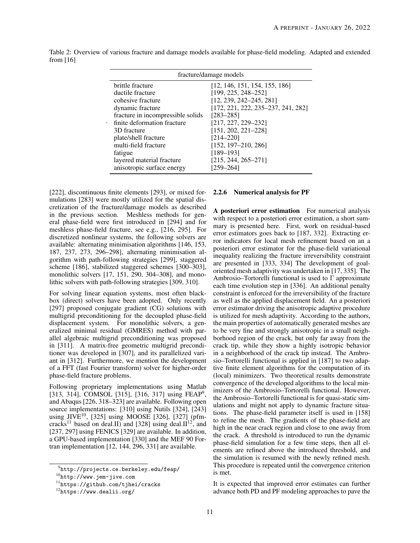| fracture/damage models            |                                    |  |  |  |  |
|-----------------------------------|------------------------------------|--|--|--|--|
| brittle fracture                  | [12, 146, 151, 154, 155, 186]      |  |  |  |  |
| ductile fracture                  | $[199, 225, 248 - 252]$            |  |  |  |  |
| cohesive fracture                 | $[12, 239, 242 - 245, 281]$        |  |  |  |  |
| dynamic fracture                  | [172, 221, 222, 235–237, 241, 282] |  |  |  |  |
| fracture in incompressible solids | $[283 - 285]$                      |  |  |  |  |
| finite deformation fracture       | [217, 227, 229-232]                |  |  |  |  |
| 3D fracture                       | $[151, 202, 221 - 228]$            |  |  |  |  |
| plate/shell fracture              | $[214 - 220]$                      |  |  |  |  |
| multi-field fracture              | $[152, 197 - 210, 286]$            |  |  |  |  |
| fatigue                           | $[189 - 193]$                      |  |  |  |  |
| layered material fracture         | $[215, 244, 265 - 271]$            |  |  |  |  |
| anisotropic surface energy        | $[259 - 264]$                      |  |  |  |  |

<span id="page-10-0"></span>Table 2: Overview of various fracture and damage models available for phase-field modeling. Adapted and extended from [\[16\]](#page-22-14)

[\[222\]](#page-31-4), discontinuous finite elements [\[293\]](#page-33-21), or mixed formulations [\[283\]](#page-33-13) were mostly utilized for the spatial discretization of the fracture/damage models as described in the previous section. Meshless methods for general phase-field were first introduced in [\[294\]](#page-33-22) and for meshless phase-field fracture, see e.g., [\[216,](#page-30-4) [295\]](#page-34-0). For discretized nonlinear systems, the following solvers are available: alternating minimisation algorithms [\[146,](#page-27-21) [153,](#page-28-5) [187,](#page-29-19) [237,](#page-31-11) [273,](#page-33-2) [296](#page-34-1)[–298\]](#page-34-2), alternating minimisation algorithm with path-following strategies [\[299\]](#page-34-3), staggered scheme [\[186\]](#page-29-13), stabilized staggered schemes [\[300](#page-34-4)[–303\]](#page-34-5), monolithic solvers [\[17,](#page-22-15) [151,](#page-28-3) [290,](#page-33-12) [304](#page-34-6)[–308\]](#page-34-7), and monolithic solvers with path-following strategies [\[309,](#page-34-8) [310\]](#page-34-9).

.

For solving linear equation systems, most often blackbox (direct) solvers have been adopted. Only recently [\[297\]](#page-34-10) proposed conjugate gradient (CG) solutions with multigrid preconditioning for the decoupled phase-field displacement system. For monolithic solvers, a generalized minimal residual (GMRES) method with parallel algebraic multigrid preconditioning was proposed in [\[311\]](#page-34-11). A matrix-free geometric multigrid preconditioner was developed in [\[307\]](#page-34-12), and its parallelized variant in [\[312\]](#page-34-13). Furthermore, we mention the development of a FFT (fast Fourier transform) solver for higher-order phase-field fracture problems.

Following proprietary implementations using Matlab [\[313,](#page-34-14) [314\]](#page-34-15), COMSOL [\[315\]](#page-34-16), [\[316,](#page-34-17) [317\]](#page-34-18) using FEAP<sup>[9](#page-10-1)</sup>, and Abaqus [\[226,](#page-31-13) [318–](#page-34-19)[323\]](#page-35-0) are available. Following open source implementations: [\[310\]](#page-34-9) using Nutils [\[324\]](#page-35-1), [\[243\]](#page-31-14) using JIVE<sup>[10](#page-10-2)</sup>, [\[325\]](#page-35-2) using MOOSE [\[326\]](#page-35-3), [\[327\]](#page-35-4) (pfm-cracks<sup>[11](#page-10-3)</sup> based on deal.II) and [\[328\]](#page-35-5) using deal.II<sup>[12](#page-10-4)</sup>, and [\[237,](#page-31-11) [297\]](#page-34-10) using FENICS [\[329\]](#page-35-6) are available. In addition, a GPU-based implementation [\[330\]](#page-35-7) and the MEF 90 Fortran implementation [\[12,](#page-22-10) [144,](#page-27-19) [296,](#page-34-1) [331\]](#page-35-8) are available.

#### 2.2.6 Numerical analysis for PF

A posteriori error estimation For numerical analysis with respect to a posteriori error estimation, a short summary is presented here. First, work on residual-based error estimators goes back to [\[187,](#page-29-19) [332\]](#page-35-9). Extracting error indicators for local mesh refinement based on an a posteriori error estimator for the phase-field variational inequality realizing the fracture irreversibility constraint are presented in [\[333,](#page-35-10) [334\]](#page-35-11) The development of goaloriented mesh adaptivity was undertaken in [\[17,](#page-22-15) [335\]](#page-35-12). The Ambrosio–Tortorelli functional is used to Γ approximate each time evolution step in [\[336\]](#page-35-13). An additional penalty constraint is enforced for the irreversibility of the fracture as well as the applied displacement field. An a posteriori error estimator driving the anisotropic adaptive procedure is utilized for mesh adaptivity. According to the authors, the main properties of automatically generated meshes are to be very fine and strongly anisotropic in a small neighborhood region of the crack, but only far away from the crack tip, while they show a highly isotropic behavior in a neighborhood of the crack tip instead. The Ambrosio–Tortorelli functional is applied in [\[187\]](#page-29-19) to two adaptive finite element algorithms for the computation of its (local) minimizers. Two theoretical results demonstrate convergence of the developed algorithms to the local minimizers of the Ambrosio–Tortorelli functional. However, the Ambrosio–Tortorelli functional is for quasi-static simulations and might not apply to dynamic fracture situations. The phase-field parameter itself is used in [\[158\]](#page-28-10) to refine the mesh. The gradients of the phase-field are high in the near crack region and close to one away from the crack. A threshold is introduced to run the dynamic phase-field simulation for a few time steps, then all elements are refined above the introduced threshold, and the simulation is resumed with the newly refined mesh. This procedure is repeated until the convergence criterion is met.

It is expected that improved error estimates can further advance both PD and PF modeling approaches to pave the

<span id="page-10-1"></span> $^{9}$ <http://projects.ce.berkeley.edu/feap/>

<span id="page-10-2"></span><sup>10</sup><http://www.jem-jive.com>

<span id="page-10-3"></span><sup>11</sup><https://github.com/tjhei/cracks>

<span id="page-10-4"></span><sup>12</sup><https://www.dealii.org/>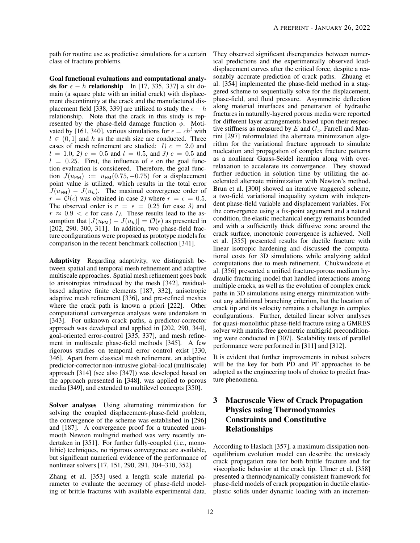path for routine use as predictive simulations for a certain They observed significant discrepancies between numerclass of fracture problems.

Goal functional evaluations and computational analysis for  $\epsilon - h$  relationship In [\[17,](#page-22-15) [335,](#page-35-12) [337\]](#page-35-14) a slit domain (a square plate with an initial crack) with displacement discontinuity at the crack and the manufactured dis-placement field [\[338,](#page-35-15) [339\]](#page-35-16) are utilized to study the  $\epsilon - h$ relationship. Note that the crack in this study is represented by the phase-field damage function  $\phi$ . Moti-vated by [\[161,](#page-28-13) [340\]](#page-35-17), various simulations for  $\epsilon = ch^l$  with  $l \in (0, 1]$  and h as the mesh size are conducted. Three cases of mesh refinement are studied:  $1)$   $c = 2.0$  and  $l = 1.0, 2$   $c = 0.5$  and  $l = 0.5,$  and 3)  $c = 0.5$  and  $l = 0.25$ . First, the influence of  $\epsilon$  on the goal function evaluation is considered. Therefore, the goal function  $J(u_{\text{FM}}) := u_{\text{FM}}(0.75, -0.75)$  for a displacement point value is utilized, which results in the total error  $J(u_{\text{FM}}) - J(u_h)$ . The maximal convergence order of  $r = \mathcal{O}(\epsilon)$  was obtained in case 2) where  $r = \epsilon = 0.5$ . The observed order is  $r = \epsilon = 0.25$  for case 3) and  $r \approx 0.9 < \epsilon$  for case 1). These results lead to the assumption that  $|J(u_{FM}) - J(u_h)| = \mathcal{O}(\epsilon)$  as presented in [\[202,](#page-30-5) [290,](#page-33-12) [300,](#page-34-4) [311\]](#page-34-11). In addition, two phase-field fracture configurations were proposed as prototype models for comparison in the recent benchmark collection [\[341\]](#page-35-18).

Adaptivity Regarding adaptivity, we distinguish between spatial and temporal mesh refinement and adaptive multiscale approaches. Spatial mesh refinement goes back to anisotropies introduced by the mesh [\[342\]](#page-35-19), residualbased adaptive finite elements [\[187,](#page-29-19) [332\]](#page-35-9), anisotropic adaptive mesh refinement [\[336\]](#page-35-13), and pre-refined meshes where the crack path is known a priori [\[222\]](#page-31-4). Other computational convergence analyses were undertaken in [\[343\]](#page-35-20). For unknown crack paths, a predictor-corrector approach was developed and applied in [\[202,](#page-30-5) [290,](#page-33-12) [344\]](#page-36-0), goal-oriented error-control [\[335,](#page-35-12) [337\]](#page-35-14), and mesh refinement in multiscale phase-field methods [\[345\]](#page-36-1). A few rigorous studies on temporal error control exist [\[330,](#page-35-7) [346\]](#page-36-2). Apart from classical mesh refinement, an adaptive predictor-corrector non-intrusive global-local (multiscale) approach [\[314\]](#page-34-15) (see also [\[347\]](#page-36-3)) was developed based on the approach presented in [\[348\]](#page-36-4), was applied to porous media [\[349\]](#page-36-5), and extended to multilevel concepts [\[350\]](#page-36-6).

Solver analyses Using alternating minimization for solving the coupled displacement-phase-field problem, the convergence of the scheme was established in [\[296\]](#page-34-1) and [\[187\]](#page-29-19). A convergence proof for a truncated nonsmooth Newton multigrid method was very recently undertaken in [\[351\]](#page-36-7). For further fully-coupled (i.e., monolithic) techniques, no rigorous convergence are available, but significant numerical evidence of the performance of nonlinear solvers [\[17,](#page-22-15) [151,](#page-28-3) [290,](#page-33-12) [291,](#page-33-14) [304–](#page-34-6)[310,](#page-34-9) [352\]](#page-36-8).

Zhang et al. [\[353\]](#page-36-9) used a length scale material parameter to evaluate the accuracy of phase-field modeling of brittle fractures with available experimental data. ical predictions and the experimentally observed loaddisplacement curves after the critical force, despite a reasonably accurate prediction of crack paths. Zhuang et al. [\[354\]](#page-36-10) implemented the phase-field method in a staggered scheme to sequentially solve for the displacement, phase-field, and fluid pressure. Asymmetric deflection along material interfaces and penetration of hydraulic fractures in naturally-layered porous media were reported for different layer arrangements based upon their respective stiffness as measured by  $E$  and  $G_c$ . Farrell and Maurini [\[297\]](#page-34-10) reformulated the alternate minimization algorithm for the variational fracture approach to simulate nucleation and propagation of complex fracture patterns as a nonlinear Gauss-Seidel iteration along with overrelaxation to accelerate its convergence. They showed further reduction in solution time by utilizing the accelerated alternate minimization with Newton's method. Brun et al. [\[300\]](#page-34-4) showed an iterative staggered scheme, a two-field variational inequality system with independent phase-field variable and displacement variables. For the convergence using a fix-point argument and a natural condition, the elastic mechanical energy remains bounded and with a sufficiently thick diffusive zone around the crack surface, monotonic convergence is achieved. Noll et al. [\[355\]](#page-36-11) presented results for ductile fracture with linear isotropic hardening and discussed the computational costs for 3D simulations while analyzing added computations due to mesh refinement. Chukwudozie et al. [\[356\]](#page-36-12) presented a unified fracture-porous medium hydraulic fracturing model that handled interactions among multiple cracks, as well as the evolution of complex crack paths in 3D simulations using energy minimization without any additional branching criterion, but the location of crack tip and its velocity remains a challenge in complex configurations. Further, detailed linear solver analyses for quasi-monolithic phase-field fracture using a GMRES solver with matrix-free geometric multigrid preconditioning were conducted in [\[307\]](#page-34-12). Scalability tests of parallel performance were performed in [\[311\]](#page-34-11) and [\[312\]](#page-34-13).

It is evident that further improvements in robust solvers will be the key for both PD and PF approaches to be adopted as the engineering tools of choice to predict fracture phenomena.

## <span id="page-11-0"></span>3 Macroscale View of Crack Propagation Physics using Thermodynamics Constraints and Constitutive Relationships

According to Haslach [\[357\]](#page-36-13), a maximum dissipation nonequilibrium evolution model can describe the unsteady crack propagation rate for both brittle fracture and for viscoplastic behavior at the crack tip. Ulmer et al. [\[358\]](#page-36-14) presented a thermodynamically consistent framework for phase-field models of crack propagation in ductile elasticplastic solids under dynamic loading with an incremen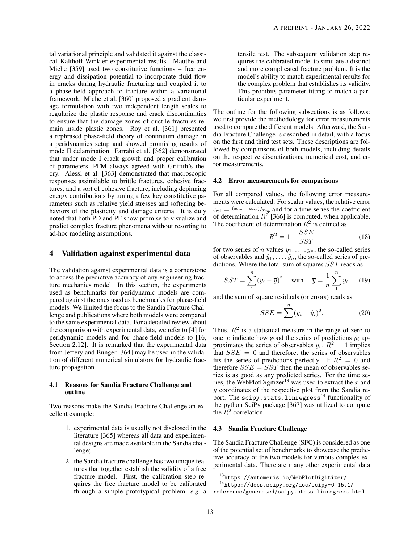tal variational principle and validated it against the classical Kalthoff-Winkler experimental results. Mauthe and Miehe [\[359\]](#page-36-15) used two constitutive functions – free energy and dissipation potential to incorporate fluid flow in cracks during hydraulic fracturing and coupled it to a phase-field approach to fracture within a variational framework. Miehe et al. [\[360\]](#page-36-16) proposed a gradient damage formulation with two independent length scales to regularize the plastic response and crack discontinuities to ensure that the damage zones of ductile fractures remain inside plastic zones. Roy et al. [\[361\]](#page-36-17) presented a rephrased phase-field theory of continuum damage in a peridynamics setup and showed promising results of mode II delamination. Farrahi et al. [\[362\]](#page-36-18) demonstrated that under mode I crack growth and proper calibration of parameters, PFM always agreed with Griffith's theory. Alessi et al. [\[363\]](#page-36-19) demonstrated that macroscopic responses assimilable to brittle fractures, cohesive fractures, and a sort of cohesive fracture, including depinning energy contributions by tuning a few key constitutive parameters such as relative yield stresses and softening behaviors of the plasticity and damage criteria. It is duly noted that both PD and PF show promise to visualize and predict complex fracture phenomena without resorting to ad-hoc modeling assumptions.

## <span id="page-12-0"></span>4 Validation against experimental data

The validation against experimental data is a cornerstone to access the predictive accuracy of any engineering fracture mechanics model. In this section, the experiments used as benchmarks for peridynamic models are compared against the ones used as benchmarks for phase-field models. We limited the focus to the Sandia Fracture Challenge and publications where both models were compared to the same experimental data. For a detailed review about the comparison with experimental data, we refer to [\[4\]](#page-22-3) for peridynamic models and for phase-field models to [\[16,](#page-22-14) Section 2.12]. It is remarked that the experimental data from Jeffery and Bunger [\[364\]](#page-36-20) may be used in the validation of different numerical simulators for hydraulic fracture propagation.

## <span id="page-12-3"></span>4.1 Reasons for Sandia Fracture Challenge and outline

Two reasons make the Sandia Fracture Challenge an excellent example:

- 1. experimental data is usually not disclosed in the literature [\[365\]](#page-36-21) whereas all data and experimental designs are made available in the Sandia challenge;
- 2. the Sandia fracture challenge has two unique features that together establish the validity of a free fracture model. First, the calibration step requires the free fracture model to be calibrated through a simple prototypical problem, *e.g.* a

tensile test. The subsequent validation step requires the calibrated model to simulate a distinct and more complicated fracture problem. It is the model's ability to match experimental results for the complex problem that establishes its validity. This prohibits parameter fitting to match a particular experiment.

The outline for the following subsections is as follows: we first provide the methodology for error measurements used to compare the different models. Afterward, the Sandia Fracture Challenge is described in detail, with a focus on the first and third test sets. These descriptions are followed by comparisons of both models, including details on the respective discretizations, numerical cost, and error measurements.

## 4.2 Error measurements for comparisons

For all compared values, the following error measurements were calculated: For scalar values, the relative error  $\epsilon_{\text{rel}} = (x_{\text{sim}} - x_{\text{exp}}) / x_{\text{exp}}$  and for a time series the coefficient of determination  $R^2$  [\[366\]](#page-36-22) is computed, when applicable. The coefficient of determination  $\tilde{R}^2$  is defined as

$$
R^2 = 1 - \frac{SSE}{SST} \tag{18}
$$

for two series of n values  $y_1, \ldots, y_n$ , the so-called series of observables and  $\hat{y}_1, \dots, \hat{y}_n$ , the so-called series of predictions. Where the total sum of squares SST reads as

$$
SST = \sum_{1}^{n} (y_i - \overline{y})^2 \quad \text{with} \quad \overline{y} = \frac{1}{n} \sum_{1}^{n} y_i \quad (19)
$$

and the sum of square residuals (or errors) reads as

$$
SSE = \sum_{1}^{n} (y_i - \hat{y}_i)^2.
$$
 (20)

Thus,  $R<sup>2</sup>$  is a statistical measure in the range of zero to one to indicate how good the series of predictions  $\hat{y}_i$  approximates the series of observables  $y_i$ .  $R^2 = 1$  implies that  $SSE = 0$  and therefore, the series of observables fits the series of predictions perfectly. If  $R^2 = 0$  and therefore  $SSE = SST$  then the mean of observables series is as good as any predicted series. For the time se-ries, the WebPlotDigitizer<sup>[13](#page-12-1)</sup> was used to extract the x and y coordinates of the respective plot from the Sandia re-port. The scipy.stats.linregress<sup>[14](#page-12-2)</sup> functionality of the python SciPy package [\[367\]](#page-36-23) was utilized to compute the  $\tilde{R}^2$  correlation.

## 4.3 Sandia Fracture Challenge

The Sandia Fracture Challenge (SFC) is considered as one of the potential set of benchmarks to showcase the predictive accuracy of the two models for various complex experimental data. There are many other experimental data

<span id="page-12-2"></span><span id="page-12-1"></span><sup>13</sup><https://automeris.io/WebPlotDigitizer/>

<sup>14</sup>[https://docs.scipy.org/doc/scipy-0.15.1/](https://docs.scipy.org/doc/scipy-0.15.1/reference/generated/scipy.stats.linregress.html) [reference/generated/scipy.stats.linregress.html](https://docs.scipy.org/doc/scipy-0.15.1/reference/generated/scipy.stats.linregress.html)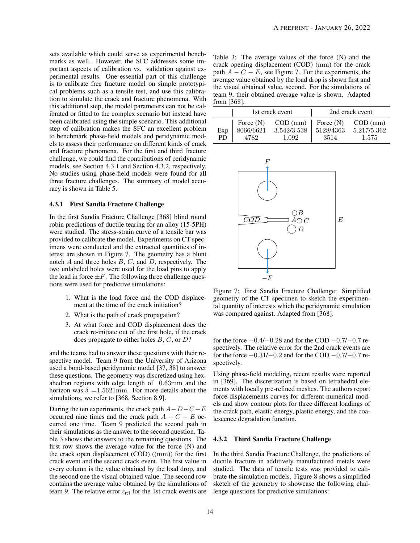sets available which could serve as experimental benchmarks as well. However, the SFC addresses some important aspects of calibration vs. validation against experimental results. One essential part of this challenge is to calibrate free fracture model on simple prototypical problems such as a tensile test, and use this calibration to simulate the crack and fracture phenomena. With this additional step, the model parameters can not be calibrated or fitted to the complex scenario but instead have been calibrated using the simple scenario. This additional step of calibration makes the SFC an excellent problem to benchmark phase-field models and peridynamic models to assess their performance on different kinds of crack and fracture phenomena. For the first and third fracture challenge, we could find the contributions of peridynamic models, see Section [4.3.1](#page-13-0) and Section [4.3.2,](#page-13-1) respectively. No studies using phase-field models were found for all three fracture challenges. The summary of model accuracy is shown in Table [5.](#page-15-1)

#### <span id="page-13-0"></span>4.3.1 First Sandia Fracture Challenge

In the first Sandia Fracture Challenge [\[368\]](#page-37-0) blind round robin predictions of ductile tearing for an alloy (15-5PH) were studied. The stress-strain curve of a tensile bar was provided to calibrate the model. Experiments on CT specimens were conducted and the extracted quantities of interest are shown in Figure [7.](#page-13-2) The geometry has a blunt notch  $A$  and three holes  $B, C$ , and  $D$ , respectively. The two unlabeled holes were used for the load pins to apply the load in force  $\pm F$ . The following three challenge questions were used for predictive simulations:

- 1. What is the load force and the COD displacement at the time of the crack initiation?
- 2. What is the path of crack propagation?
- 3. At what force and COD displacement does the crack re-initiate out of the first hole, if the crack does propagate to either holes  $B, C$ , or  $D$ ?

and the teams had to answer these questions with their respective model. Team 9 from the University of Arizona used a bond-based peridynamic model [\[37,](#page-23-9) [38\]](#page-23-10) to answer these questions. The geometry was discretized using hexahedron regions with edge length of 0.63mm and the horizon was  $\delta = 1.5621$ mm. For more details about the simulations, we refer to [\[368,](#page-37-0) Section 8.9].

During the ten experiments, the crack path  $A-D-C-E$ occurred nine times and the crack path  $A - C - E$  occurred one time. Team 9 predicted the second path in their simulations as the answer to the second question. Table [3](#page-13-3) shows the answers to the remaining questions. The first row shows the average value for the force (N) and the crack open displacement (COD) ((mm)) for the first crack event and the second crack event. The first value in every column is the value obtained by the load drop, and the second one the visual obtained value. The second row contains the average value obtained by the simulations of team 9. The relative error  $\epsilon_{rel}$  for the 1st crack events are

<span id="page-13-3"></span>Table 3: The average values of the force (N) and the crack opening displacement (COD) (mm) for the crack path  $A - C - E$ , see Figure [7.](#page-13-2) For the experiments, the average value obtained by the load drop is shown first and the visual obtained value, second. For the simulations of team 9, their obtained average value is shown. Adapted from [\[368\]](#page-37-0).

|            |                                   | 1st crack event                    | 2nd crack event                  |                                    |  |
|------------|-----------------------------------|------------------------------------|----------------------------------|------------------------------------|--|
| Exp<br>PD. | Force $(N)$<br>8066/6621<br>4782. | $COD$ (mm)<br>3.542/3.538<br>1.092 | Force $(N)$<br>5128/4363<br>3514 | $COD$ (mm)<br>5.217/5.362<br>1.575 |  |

<span id="page-13-2"></span>

Figure 7: First Sandia Fracture Challenge: Simplified geometry of the CT specimen to sketch the experimental quantity of interests which the peridynamic simulation was compared against. Adapted from [\[368\]](#page-37-0).

for the force  $-0.4/-0.28$  and for the COD  $-0.7/-0.7$  respectively. The relative error for the 2nd crack events are for the force −0.31/−0.2 and for the COD −0.7/−0.7 respectively.

Using phase-field modeling, recent results were reported in [\[369\]](#page-37-1). The discretization is based on tetrahedral elements with locally pre-refined meshes. The authors report force-displacements curves for different numerical models and show contour plots for three different loadings of the crack path, elastic energy, plastic energy, and the coalescence degradation function.

#### <span id="page-13-1"></span>4.3.2 Third Sandia Fracture Challenge

In the third Sandia Fracture Challenge, the predictions of ductile fracture in additively manufactured metals were studied. The data of tensile tests was provided to calibrate the simulation models. Figure [8](#page-14-0) shows a simplified sketch of the geometry to showcase the following challenge questions for predictive simulations: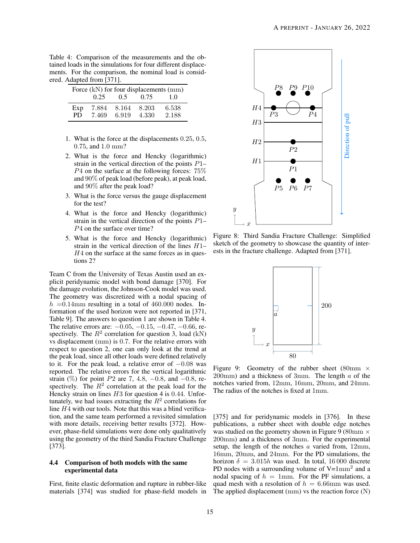<span id="page-14-1"></span>Table 4: Comparison of the measurements and the obtained loads in the simulations for four different displacements. For the comparison, the nominal load is considered. Adapted from [\[371\]](#page-37-2).

| Force (kN) for four displacements (mm) |                |                |                |                |  |  |  |
|----------------------------------------|----------------|----------------|----------------|----------------|--|--|--|
|                                        | 0.25           | 0.5            | 0.75           | 1.0            |  |  |  |
| Exp<br>PD.                             | 7.884<br>7.469 | 8.164<br>6.919 | 8.203<br>4.330 | 6.538<br>2.188 |  |  |  |

- 1. What is the force at the displacements 0.25, 0.5, 0.75, and 1.0 mm?
- 2. What is the force and Hencky (logarithmic) strain in the vertical direction of the points P1–  $P4$  on the surface at the following forces:  $75\%$ and 90% of peak load (before peak), at peak load, and 90% after the peak load?
- 3. What is the force versus the gauge displacement for the test?
- 4. What is the force and Hencky (logarithmic) strain in the vertical direction of the points  $P1-$ P4 on the surface over time?
- 5. What is the force and Hencky (logarithmic) strain in the vertical direction of the lines H1–  $H<sub>4</sub>$  on the surface at the same forces as in questions 2?

Team C from the University of Texas Austin used an explicit peridynamic model with bond damage [\[370\]](#page-37-3). For the damage evolution, the Johnson-Cook model was used. The geometry was discretized with a nodal spacing of  $h = 0.14$ mm resulting in a total of 460.000 nodes. Information of the used horizon were not reported in [\[371,](#page-37-2) Table 9]. The answers to question 1 are shown in Table [4.](#page-14-1) The relative errors are:  $-0.05, -0.15, -0.47, -0.66$ , respectively. The  $R^2$  correlation for question 3, load (kN) vs displacement (mm) is 0.7. For the relative errors with respect to question 2, one can only look at the trend at the peak load, since all other loads were defined relatively to it. For the peak load, a relative error of  $-0.08$  was reported. The relative errors for the vertical logarithmic strain (%) for point  $P2$  are 7, 4.8, -0.8, and -0.8, respectively. The  $R^2$  correlation at the peak load for the Hencky strain on lines  $H3$  for question 4 is 0.44. Unfortunately, we had issues extracting the  $R^2$  correlations for line H4 with our tools. Note that this was a blind verification, and the same team performed a revisited simulation with more details, receiving better results [\[372\]](#page-37-4). However, phase-field simulations were done only qualitatively using the geometry of the third Sandia Fracture Challenge [\[373\]](#page-37-5).

#### 4.4 Comparison of both models with the same experimental data

First, finite elastic deformation and rupture in rubber-like materials [\[374\]](#page-37-6) was studied for phase-field models in

<span id="page-14-0"></span>

<span id="page-14-2"></span>Figure 8: Third Sandia Fracture Challenge: Simplified sketch of the geometry to showcase the quantity of interests in the fracture challenge. Adapted from [\[371\]](#page-37-2).



Figure 9: Geometry of the rubber sheet (80mm  $\times$  $200$ mm) and a thickness of 3mm. The length  $a$  of the notches varied from, 12mm, 16mm, 20mm, and 24mm. The radius of the notches is fixed at 1mm.

[\[375\]](#page-37-7) and for peridynamic models in [\[376\]](#page-37-8). In these publications, a rubber sheet with double edge notches was studied on the geometry shown in Figure [9](#page-14-2) (80mm  $\times$ 200mm) and a thickness of 3mm. For the experimental setup, the length of the notches a varied from, 12mm, 16mm, 20mm, and 24mm. For the PD simulations, the horizon  $\delta = 3.015h$  was used. In total, 16000 discrete PD nodes with a surrounding volume of  $V=1 \text{mm}^2$  and a nodal spacing of  $h = 1$ mm. For the PF simulations, a quad mesh with a resolution of  $h = 6.66$ mm was used. The applied displacement (mm) vs the reaction force (N)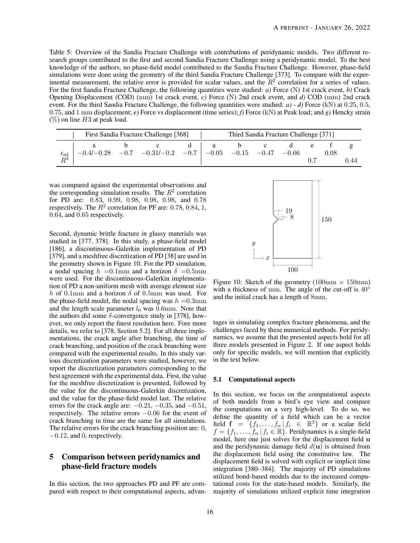<span id="page-15-1"></span>Table 5: Overview of the Sandia Fracture Challenge with contributions of peridynamic models. Two different research groups contributed to the first and second Sandia Fracture Challenge using a peridynamic model. To the best knowledge of the authors, no phase-field model contributed to the Sandia Fracture Challenge. However, phase-field simulations were done using the geometry of the third Sandia Fracture Challenge [\[373\]](#page-37-5). To compare with the experimental measurement, the relative error is provided for scalar values, and the  $R<sup>2</sup>$  correlation for a series of values. For the first Sandia Fracture Challenge, the following quantities were studied: *a)* Force (N) 1st crack event, *b)* Crack Opening Displacement (COD) (mm) 1st crack event, *c)* Force (N) 2nd crack event, and *d)* COD (mm) 2nd crack event. For the third Sandia Fracture Challenge, the following quantities were studied: *a*) - *d*) Force (kN) at 0.25, 0.5, 0.75, and 1 mm displacement; *e)* Force vs displacement (time series); *f)* Force (kN) at Peak load; and *g)* Hencky strain  $(\%)$  on line H3 at peak load.

|                                    | First Sandia Fracture Challenge [368] |  |                                                                         |  | Third Sandia Fracture Challenge [371] |  |  |  |  |      |      |
|------------------------------------|---------------------------------------|--|-------------------------------------------------------------------------|--|---------------------------------------|--|--|--|--|------|------|
|                                    |                                       |  | $-0.4/-0.28$ $-0.7$ $-0.31/-0.2$ $-0.7$ $-0.05$ $-0.15$ $-0.47$ $-0.66$ |  |                                       |  |  |  |  | 0.08 |      |
| $\frac{\epsilon_{\text{rel}}}{D2}$ |                                       |  |                                                                         |  |                                       |  |  |  |  |      | 0.44 |

was compared against the experimental observations and the corresponding simulation results. The  $R^2$  correlation for PD are: 0.83, 0.99, 0.98, 0.98, 0.98, and 0.78 respectively. The  $R^2$  correlation for PF are: 0.78, 0.84, 1, 0.64, and 0.65 respectively.

Second, dynamic brittle fracture in glassy materials was studied in [\[377,](#page-37-9) [378\]](#page-37-10). In this study, a phase-field model [\[186\]](#page-29-13), a discontinuous-Galerkin implementation of PD [\[379\]](#page-37-11), and a meshfree discretization of PD [\[38\]](#page-23-10) are used in the geometry shown in Figure [10.](#page-15-2) For the PD simulation, a nodal spacing  $h = 0.1$ mm and a horizon  $\delta = 0.5$ mm were used. For the discontinuous-Galerkin implementation of PD a non-uniform mesh with average element size h of 0.1mm and a horizon  $\delta$  of 0.5mm was used. For the phase-field model, the nodal spacing was  $h = 0.3$ mm and the length scale parameter  $l_0$  was 0.6mm. Note that the authors did some  $\delta$ -convergence study in [\[378\]](#page-37-10), however, we only report the finest resolution here. Fore more details, we refer to [\[378,](#page-37-10) Section 5.2]. For all three implementations, the crack angle after branching, the time of crack branching, and position of the crack branching were compared with the experimental results. In this study various discretization parameters were studied, however, we report the discretization parameters corresponding to the best agreement with the experimental data. First, the value for the meshfree discretization is presented, followed by the value for the discontinuous-Galerkin discretization, and the value for the phase-field model last. The relative errors for the crack angle are:  $-0.21$ ,  $-0.35$ , and  $-0.51$ , respectively. The relative errors −0.06 for the event of crack branching in time are the same for all simulations. The relative errors for the crack branching position are: 0,  $-0.12$ , and 0, respectively.

## <span id="page-15-0"></span>5 Comparison between peridynamics and phase-field fracture models

In this section, the two approaches PD and PF are compared with respect to their computational aspects, advan-

<span id="page-15-2"></span>

Figure 10: Sketch of the geometry  $(100 \text{mm} \times 150 \text{mm})$ with a thickness of mm. The angle of the cut-off is 40° and the initial crack has a length of 8mm.

tages in simulating complex fracture phenomena, and the challenges faced by these numerical methods. For peridynamics, we assume that the presented aspects hold for all three models presented in Figure [2.](#page-4-1) If one aspect holds only for specific models, we will mention that explicitly in the text below.

#### 5.1 Computational aspects

In this section, we focus on the computational aspects of both models from a bird's eye view and compare the computations on a very high-level. To do so, we define the quantity of a field which can be a vector field  $f = \{f_1, \ldots, f_n | f_i \in \mathbb{R}^3\}$  or a scalar field  $f = \{f_1, \ldots, f_n | f_i \in \mathbb{R}\}.$  Peridynamics is a single-field model, here one just solves for the displacement field u and the peridynamic damage field  $d(\mathbf{u})$  is obtained from the displacement field using the constitutive law. The displacement field is solved with explicit or implicit time integration [\[380](#page-37-12)[–384\]](#page-37-13). The majority of PD simulations utilized bond-based models due to the increased computational costs for the state-based models. Similarly, the majority of simulations utilized explicit time integration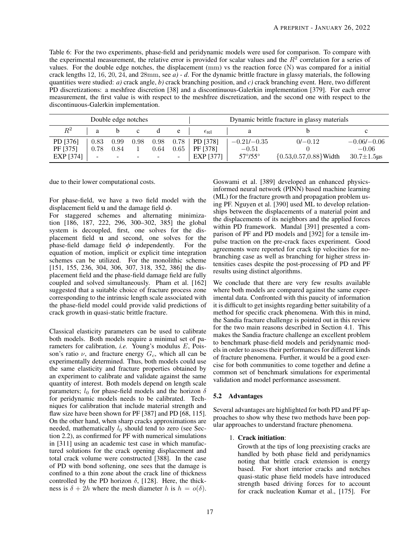<span id="page-16-0"></span>Table 6: For the two experiments, phase-field and peridynamic models were used for comparison. To compare with the experimental measurement, the relative error is provided for scalar values and the  $R<sup>2</sup>$  correlation for a series of values. For the double edge notches, the displacement (mm) vs the reaction force (N) was compared for a initial crack lengths 12, 16, 20, 24, and 28mm, see *a)* - *d*. For the dynamic brittle fracture in glassy materials, the following quantities were studied: *a)* crack angle, *b)* crack branching position, and *c)* crack branching event. Here, two different PD discretizations: a meshfree discretion [\[38\]](#page-23-10) and a discontinuous-Galerkin implementation [\[379\]](#page-37-11). For each error measurement, the first value is with respect to the meshfree discretization, and the second one with respect to the discontinuous-Galerkin implementation.

| Double edge notches |        |      |                          |      | Dynamic brittle fracture in glassy materials |                         |                         |                            |                   |
|---------------------|--------|------|--------------------------|------|----------------------------------------------|-------------------------|-------------------------|----------------------------|-------------------|
| $R^2$               | a      |      |                          |      | e                                            | $\epsilon_{\text{rel}}$ | a                       |                            |                   |
| PD [376]            | 0.83   | 0.99 | 0.98                     | 0.98 | 0.78                                         | PD [378]                | $-0.21/-0.35$           | $0/-0.12$                  | $-0.06/-0.06$     |
| PF [375]            | 0.78   | 0.84 |                          | 0.64 | 0.65                                         | PF [378]                | $-0.51$                 |                            | $-0.06$           |
| EXP [374]           | $\sim$ | -    | $\overline{\phantom{a}}$ | -    | $\overline{\phantom{a}}$                     | EXP [377]               | $57^{\circ}/55^{\circ}$ | ${0.53, 0.57, 0.88}$ Width | $30.7 \pm 1.5$ us |

due to their lower computational costs.

For phase-field, we have a two field model with the displacement field u and the damage field  $\phi$ .

For staggered schemes and alternating minimization [\[186,](#page-29-13) [187,](#page-29-19) [222,](#page-31-4) [296,](#page-34-1) [300](#page-34-4)[–302,](#page-34-20) [385\]](#page-37-14) the global system is decoupled, first, one solves for the displacement field **u** and second, one solves for the phase-field damage field  $\phi$  independently. For the phase-field damage field  $\phi$  independently. equation of motion, implicit or explicit time integration schemes can be utilized. For the monolithic scheme [\[151,](#page-28-3) [155,](#page-28-7) [236,](#page-31-15) [304,](#page-34-6) [306,](#page-34-21) [307,](#page-34-12) [318,](#page-34-19) [352,](#page-36-8) [386\]](#page-37-15) the displacement field and the phase-field damage field are fully coupled and solved simultaneously. Pham et al. [\[162\]](#page-28-14) suggested that a suitable choice of fracture process zone corresponding to the intrinsic length scale associated with the phase-field model could provide valid predictions of crack growth in quasi-static brittle fracture.

Classical elasticity parameters can be used to calibrate both models. Both models require a minimal set of parameters for calibration, *i.e.* Young's modulus E, Poisson's ratio  $\nu$ , and fracture energy  $G_c$ , which all can be experimentally determined. Thus, both models could use the same elasticity and fracture properties obtained by an experiment to calibrate and validate against the same quantity of interest. Both models depend on length scale parameters;  $l_0$  for phase-field models and the horizon  $\delta$ for peridynamic models needs to be calibrated. Techniques for calibration that include material strength and flaw size have been shown for PF [\[387\]](#page-37-16) and PD [\[68,](#page-24-9) [115\]](#page-26-13). On the other hand, when sharp cracks approximations are needed, mathematically  $l_0$  should tend to zero (see Section [2.2\)](#page-7-3), as confirmed for PF with numerical simulations in [\[311\]](#page-34-11) using an academic test case in which manufactured solutions for the crack opening displacement and total crack volume were constructed [\[388\]](#page-37-17). In the case of PD with bond softening, one sees that the damage is confined to a thin zone about the crack line of thickness controlled by the PD horizon  $\delta$ , [\[128\]](#page-27-3). Here, the thickness is  $\delta + 2h$  where the mesh diameter h is  $h = o(\delta)$ .

Goswami et al. [\[389\]](#page-37-18) developed an enhanced physicsinformed neural network (PINN) based machine learning (ML) for the fracture growth and propagation problem using PF. Nguyen et al. [\[390\]](#page-38-0) used ML to develop relationships between the displacements of a material point and the displacements of its neighbors and the applied forces within PD framework. Mandal [\[391\]](#page-38-1) presented a comparison of PF and PD models and [\[392\]](#page-38-2) for a tensile impulse traction on the pre-crack faces experiment. Good agreements were reported for crack tip velocities for nobranching case as well as branching for higher stress intensities cases despite the post-processing of PD and PF results using distinct algorithms.

We conclude that there are very few results available where both models are compared against the same experimental data. Confronted with this paucity of information it is difficult to get insights regarding better suitability of a method for specific crack phenomena. With this in mind, the Sandia fracture challenge is pointed out in this review for the two main reasons described in Section [4.1.](#page-12-3) This makes the Sandia fracture challenge an excellent problem to benchmark phase-field models and peridynamic models in order to assess their performances for different kinds of fracture phenomena. Further, it would be a good exercise for both communities to come together and define a common set of benchmark simulations for experimental validation and model performance assessment.

## 5.2 Advantages

Several advantages are highlighted for both PD and PF approaches to show why these two methods have been popular approaches to understand fracture phenomena.

## 1. Crack initiation:

Growth at the tips of long preexisting cracks are handled by both phase field and peridynamics noting that brittle crack extension is energy based. For short interior cracks and notches quasi-static phase field models have introduced strength based driving forces for to account for crack nucleation Kumar et al., [\[175\]](#page-29-2). For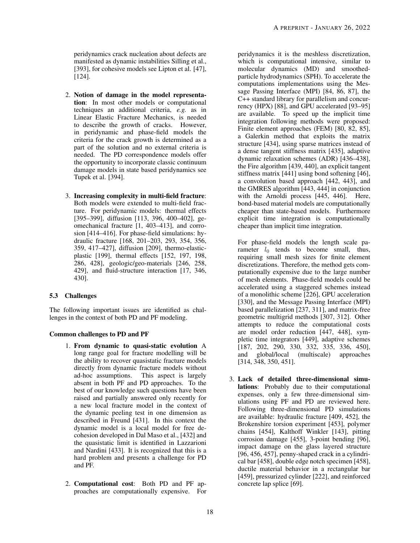peridynamics crack nucleation about defects are manifested as dynamic instabilities Silling et al., [\[393\]](#page-38-3), for cohesive models see Lipton et al. [\[47\]](#page-23-19), [\[124\]](#page-26-8).

- 2. Notion of damage in the model representation: In most other models or computational techniques an additional criteria, *e.g.* as in Linear Elastic Fracture Mechanics, is needed to describe the growth of cracks. However, in peridynamic and phase-field models the criteria for the crack growth is determined as a part of the solution and no external criteria is needed. The PD correspondence models offer the opportunity to incorporate classic continuum damage models in state based peridynamics see Tupek et al. [\[394\]](#page-38-4).
- 3. Increasing complexity in multi-field fracture: Both models were extended to multi-field fracture. For peridynamic models: thermal effects [\[395](#page-38-5)[–399\]](#page-38-6), diffusion [\[113,](#page-26-14) [396,](#page-38-7) [400–](#page-38-8)[402\]](#page-38-9), geomechanical fracture [\[1,](#page-22-0) [403–](#page-38-10)[413\]](#page-38-11), and corrosion [\[414](#page-39-0)[–416\]](#page-39-1). For phase-field simulations: hydraulic fracture [\[168,](#page-28-20) [201](#page-30-11)[–203,](#page-30-12) [293,](#page-33-21) [354,](#page-36-10) [356,](#page-36-12) [359,](#page-36-15) [417–](#page-39-2)[427\]](#page-39-3), diffusion [\[209\]](#page-30-13), thermo-elasticplastic [\[199\]](#page-30-8), thermal effects [\[152,](#page-28-4) [197,](#page-29-17) [198,](#page-29-20) [286,](#page-33-20) [428\]](#page-39-4), geologic/geo-materials [\[246,](#page-32-8) [258,](#page-32-2) [429\]](#page-39-5), and fluid-structure interaction [\[17,](#page-22-15) [346,](#page-36-2) [430\]](#page-39-6).

## 5.3 Challenges

The following important issues are identified as challenges in the context of both PD and PF modeling.

## Common challenges to PD and PF

- 1. From dynamic to quasi-static evolution A long range goal for fracture modelling will be the ability to recover quasistatic fracture models directly from dynamic fracture models without ad-hoc assumptions. This aspect is largely absent in both PF and PD approaches. To the best of our knowledge such questions have been raised and partially answered only recently for a new local fracture model in the context of the dynamic peeling test in one dimension as described in Freund [\[431\]](#page-39-7). In this context the dynamic model is a local model for free decohesion developed in Dal Maso et al., [\[432\]](#page-39-8) and the quasistatic limit is identified in Lazzarioni and Nardini [\[433\]](#page-39-9). It is recognized that this is a hard problem and presents a challenge for PD and PF.
- 2. Computational cost: Both PD and PF approaches are computationally expensive. For

peridynamics it is the meshless discretization, which is computational intensive, similar to molecular dynamics (MD) and smoothedparticle hydrodynamics (SPH). To accelerate the computations implementations using the Message Passing Interface (MPI) [\[84,](#page-25-8) [86,](#page-25-10) [87\]](#page-25-11), the C++ standard library for parallelism and concurrency (HPX) [\[88\]](#page-25-12), and GPU accelerated [\[93–](#page-25-17)[95\]](#page-25-18) are available. To speed up the implicit time integration following methods were proposed: Finite element approaches (FEM) [\[80,](#page-25-5) [82,](#page-25-6) [85\]](#page-25-9), a Galerkin method that exploits the matrix structure [\[434\]](#page-39-10), using sparse matrices instead of a dense tangent stiffness matrix [\[435\]](#page-39-11), adaptive dynamic relaxation schemes (ADR) [\[436](#page-39-12)[–438\]](#page-40-0), the Fire algorithm [\[439,](#page-40-1) [440\]](#page-40-2), an explicit tangent stiffness matrix [\[441\]](#page-40-3) using bond softening [\[46\]](#page-23-18), a convolution based approach [\[442,](#page-40-4) [443\]](#page-40-5), and the GMRES algorithm [\[443,](#page-40-5) [444\]](#page-40-6) in conjunction with the Arnoldi process [\[445,](#page-40-7) [446\]](#page-40-8). Here, bond-based material models are computationally cheaper than state-based models. Furthermore explicit time integration is computationally cheaper than implicit time integration.

For phase-field models the length scale parameter  $l_0$  tends to become small, thus, requiring small mesh sizes for finite element discretizations. Therefore, the method gets computationally expensive due to the large number of mesh elements. Phase-field models could be accelerated using a staggered schemes instead of a monolithic scheme [\[226\]](#page-31-13), GPU acceleration [\[330\]](#page-35-7), and the Message Passing Interface (MPI) based parallelization [\[237,](#page-31-11) [311\]](#page-34-11), and matrix-free geometric multigrid methods [\[307,](#page-34-12) [312\]](#page-34-13). Other attempts to reduce the computational costs are model order reduction [\[447,](#page-40-9) [448\]](#page-40-10), sympletic time integrators [\[449\]](#page-40-11), adaptive schemes [\[187,](#page-29-19) [202,](#page-30-5) [290,](#page-33-12) [330,](#page-35-7) [332,](#page-35-9) [335,](#page-35-12) [336,](#page-35-13) [450\]](#page-40-12), and global/local (multiscale) approaches [\[314,](#page-34-15) [348,](#page-36-4) [350,](#page-36-6) [451\]](#page-40-13).

3. Lack of detailed three-dimensional simulations: Probably due to their computational expenses, only a few three-dimensional simulations using PF and PD are reviewed here. Following three-dimensional PD simulations are available: hydraulic fracture [\[409,](#page-38-12) [452\]](#page-40-14), the Brokenshire torsion experiment [\[453\]](#page-40-15), polymer chains [\[454\]](#page-40-16), Kalthoff Winkler [\[143\]](#page-27-18), pitting corrosion damage [\[455\]](#page-40-17), 3-point bending [\[96\]](#page-25-19), impact damage on the glass layered structure [\[96,](#page-25-19) [456,](#page-40-18) [457\]](#page-40-19), penny-shaped crack in a cylindrical bar [\[458\]](#page-40-20), double edge notch specimen [\[458\]](#page-40-20), ductile material behavior in a rectangular bar [\[459\]](#page-40-21), pressurized cylinder [\[222\]](#page-31-4), and reinforced concrete lap splice [\[69\]](#page-24-10).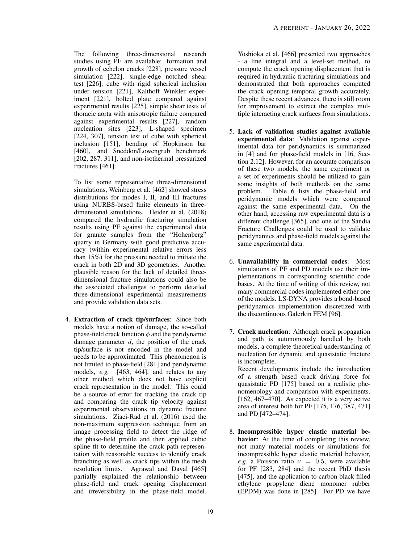The following three-dimensional research studies using PF are available: formation and growth of echelon cracks [\[228\]](#page-31-0), pressure vessel simulation [\[222\]](#page-31-4), single-edge notched shear test [\[226\]](#page-31-13), cube with rigid spherical inclusion under tension [\[221\]](#page-30-6), Kalthoff Winkler experiment [\[221\]](#page-30-6), bolted plate compared against experimental results [\[225\]](#page-31-8), simple shear tests of thoracic aorta with anisotropic failure compared against experimental results [\[227\]](#page-31-1), random nucleation sites [\[223\]](#page-31-16), L-shaped specimen [\[224,](#page-31-17) [307\]](#page-34-12), tension test of cube with spherical inclusion [\[151\]](#page-28-3), bending of Hopkinson bar [\[460\]](#page-40-22), and Sneddon/Lowengrub benchmark [\[202,](#page-30-5) [287,](#page-33-10) [311\]](#page-34-11), and non-isothermal pressurized fractures [\[461\]](#page-40-23).

To list some representative three-dimensional simulations, Weinberg et al. [\[462\]](#page-40-24) showed stress distributions for modes I, II, and III fractures using NURBS-based finite elements in threedimensional simulations. Heider et al. (2018) compared the hydraulic fracturing simulation results using PF against the experimental data for granite samples from the "Hohenberg" quarry in Germany with good predictive accuracy (within experimental relative errors less than 15%) for the pressure needed to initiate the crack in both 2D and 3D geometries. Another plausible reason for the lack of detailed threedimensional fracture simulations could also be the associated challenges to perform detailed three-dimensional experimental measurements and provide validation data sets.

4. Extraction of crack tip/surfaces: Since both models have a notion of damage, the so-called phase-field crack function  $\phi$  and the peridynamic damage parameter  $d$ , the position of the crack tip/surface is not encoded in the model and needs to be approximated. This phenomenon is not limited to phase-field [\[281\]](#page-33-17) and peridynamic models, *e.g.* [\[463,](#page-40-25) [464\]](#page-41-0), and relates to any other method which does not have explicit crack representation in the model. This could be a source of error for tracking the crack tip and comparing the crack tip velocity against experimental observations in dynamic fracture simulations. Ziaei-Rad et al. (2016) used the non-maximum suppression technique from an image processing field to detect the ridge of the phase-field profile and then applied cubic spline fit to determine the crack path representation with reasonable success to identify crack branching as well as crack tips within the mesh resolution limits. Agrawal and Dayal [\[465\]](#page-41-1) partially explained the relationship between phase-field and crack opening displacement and irreversibility in the phase-field model.

Yoshioka et al. [\[466\]](#page-41-2) presented two approaches - a line integral and a level-set method, to compute the crack opening displacement that is required in hydraulic fracturing simulations and demonstrated that both approaches computed the crack opening temporal growth accurately. Despite these recent advances, there is still room for improvement to extract the complex multiple interacting crack surfaces from simulations.

- 5. Lack of validation studies against available experimental data: Validation against experimental data for peridynamics is summarized in [\[4\]](#page-22-3) and for phase-field models in [\[16,](#page-22-14) Section 2.12]. However, for an accurate comparison of these two models, the same experiment or a set of experiments should be utilized to gain some insights of both methods on the same problem. Table [6](#page-16-0) lists the phase-field and peridynamic models which were compared against the same experimental data. On the other hand, accessing raw experimental data is a different challenge [\[365\]](#page-36-21), and one of the Sandia Fracture Challenges could be used to validate peridynamics and phase-field models against the same experimental data.
- 6. Unavailability in commercial codes: Most simulations of PF and PD models use their implementations in corresponding scientific code bases. At the time of writing of this review, not many commercial codes implemented either one of the models. LS-DYNA provides a bond-based peridynamics implementation discretized with the discontinuous Galerkin FEM [\[96\]](#page-25-19).
- 7. Crack nucleation: Although crack propagation and path is autonomously handled by both models, a complete theoretical understanding of nucleation for dynamic and quasistatic fracture is incomplete. Recent developments include the introduction of a strength based crack driving force for quasistatic PD [\[175\]](#page-29-2) based on a realistic phenomenology and comparison with experiments. [\[162,](#page-28-14) [467–](#page-41-3)[470\]](#page-41-4). As expected it is a very active area of interest both for PF [\[175,](#page-29-2) [176,](#page-29-3) [387,](#page-37-16) [471\]](#page-41-5) and PD [\[472](#page-41-6)[–474\]](#page-41-7).
- 8. Incompressible hyper elastic material behavior: At the time of completing this review, not many material models or simulations for incompressible hyper elastic material behavior, *e.g.* a Poisson ratio  $\nu = 0.5$ , were available for PF [\[283,](#page-33-13) [284\]](#page-33-23) and the recent PhD thesis [\[475\]](#page-41-8), and the application to carbon black filled ethylene propylene diene monomer rubber (EPDM) was done in [\[285\]](#page-33-19). For PD we have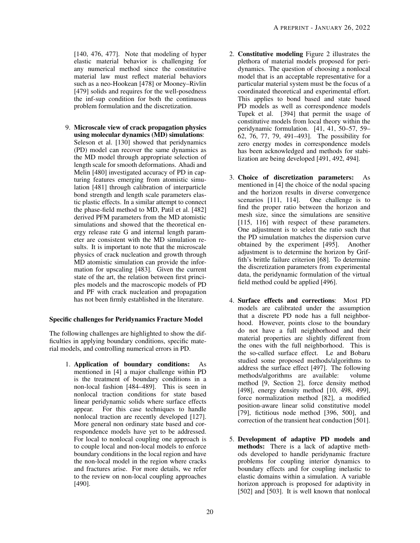[\[140,](#page-27-15) [476,](#page-41-9) [477\]](#page-41-10). Note that modeling of hyper elastic material behavior is challenging for any numerical method since the constitutive material law must reflect material behaviors such as a neo-Hookean [\[478\]](#page-41-11) or Mooney–Rivlin [\[479\]](#page-41-12) solids and requires for the well-posedness the inf-sup condition for both the continuous problem formulation and the discretization.

9. Microscale view of crack propagation physics using molecular dynamics (MD) simulations: Seleson et al. [\[130\]](#page-27-4) showed that peridynamics (PD) model can recover the same dynamics as the MD model through appropriate selection of length scale for smooth deformations. Ahadi and Melin [\[480\]](#page-41-13) investigated accuracy of PD in capturing features emerging from atomistic simulation [\[481\]](#page-41-14) through calibration of interparticle bond strength and length scale parameters elastic plastic effects. In a similar attempt to connect the phase-field method to MD, Patil et al. [\[482\]](#page-41-15) derived PFM parameters from the MD atomistic simulations and showed that the theoretical energy release rate G and internal length parameter are consistent with the MD simulation results. It is important to note that the microscale physics of crack nucleation and growth through MD atomistic simulation can provide the information for upscaling [\[483\]](#page-41-16). Given the current state of the art, the relation between first principles models and the macroscopic models of PD and PF with crack nucleation and propagation has not been firmly established in the literature.

#### Specific challenges for Peridynamics Fracture Model

The following challenges are highlighted to show the difficulties in applying boundary conditions, specific material models, and controlling numerical errors in PD.

> 1. Application of boundary conditions: As mentioned in [\[4\]](#page-22-3) a major challenge within PD is the treatment of boundary conditions in a non-local fashion [\[484](#page-41-17)[–489\]](#page-41-18). This is seen in nonlocal traction conditions for state based linear peridynamic solids where surface effects appear. For this case techniques to handle nonlocal traction are recently developed [\[127\]](#page-27-2). More general non ordinary state based and correspondence models have yet to be addressed. For local to nonlocal coupling one approach is to couple local and non-local models to enforce boundary conditions in the local region and have the non-local model in the region where cracks and fractures arise. For more details, we refer to the review on non-local coupling approaches [\[490\]](#page-42-0).

- 2. Constitutive modeling Figure [2](#page-4-1) illustrates the plethora of material models proposed for peridynamics. The question of choosing a nonlocal model that is an acceptable representative for a particular material system must be the focus of a coordinated theoretical and experimental effort. This applies to bond based and state based PD models as well as correspondence models Tupek et al. [\[394\]](#page-38-4) that permit the usage of constitutive models from local theory within the peridynamic formulation. [\[41, 41,](#page-23-13) [50–](#page-24-1)[57,](#page-24-5) [59–](#page-24-7) [62,](#page-24-8) [76,](#page-25-3) [77,](#page-25-2) [79,](#page-25-1) [491–](#page-42-1)[493\]](#page-42-2). The possibility for zero energy modes in correspondence models has been acknowledged and methods for stabilization are being developed [\[491,](#page-42-1) [492,](#page-42-3) [494\]](#page-42-4).
- 3. Choice of discretization parameters: As mentioned in [\[4\]](#page-22-3) the choice of the nodal spacing and the horizon results in diverse convergence scenarios [\[111,](#page-26-9) [114\]](#page-26-11). One challenge is to find the proper ratio between the horizon and mesh size, since the simulations are sensitive [\[115,](#page-26-13) [116\]](#page-26-0) with respect of these parameters. One adjustment is to select the ratio such that the PD simulation matches the dispersion curve obtained by the experiment [\[495\]](#page-42-5). Another adjustment is to determine the horizon by Griffith's brittle failure criterion [\[68\]](#page-24-9). To determine the discretization parameters from experimental data, the peridynamic formulation of the virtual field method could be applied [\[496\]](#page-42-6).
- 4. Surface effects and corrections: Most PD models are calibrated under the assumption that a discrete PD node has a full neighborhood. However, points close to the boundary do not have a full neighborhood and their material properties are slightly different from the ones with the full neighborhood. This is the so-called surface effect. Le and Bobaru studied some proposed methods/algorithms to address the surface effect [\[497\]](#page-42-7). The following methods/algorithms are available: volume method [\[9,](#page-22-8) Section 2], force density method [\[498\]](#page-42-8), energy density method [\[10,](#page-22-21) [498,](#page-42-8) [499\]](#page-42-9), force normalization method [\[82\]](#page-25-6), a modified position-aware linear solid constitutive model [\[79\]](#page-25-1), fictitious node method [\[396,](#page-38-7) [500\]](#page-42-10), and correction of the transient heat conduction [\[501\]](#page-42-11).
- 5. Development of adaptive PD models and methods: There is a lack of adaptive methods developed to handle peridynamic fracture problems for coupling interior dynamics to boundary effects and for coupling inelastic to elastic domains within a simulation. A variable horizon approach is proposed for adaptivity in [\[502\]](#page-42-12) and [\[503\]](#page-42-13). It is well known that nonlocal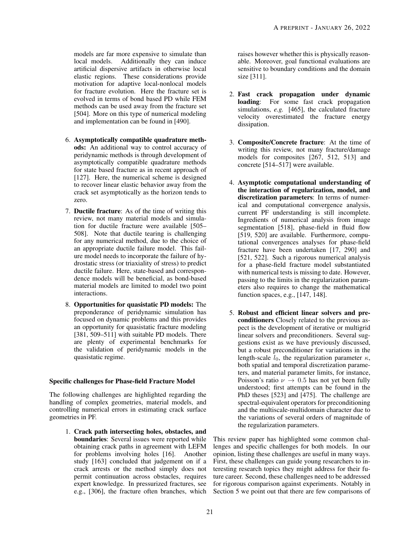models are far more expensive to simulate than local models. Additionally they can induce artificial dispersive artifacts in otherwise local elastic regions. These considerations provide motivation for adaptive local-nonlocal models for fracture evolution. Here the fracture set is evolved in terms of bond based PD while FEM methods can be used away from the fracture set [\[504\]](#page-42-14). More on this type of numerical modeling and implementation can be found in [\[490\]](#page-42-0).

- 6. Asymptotically compatible quadrature methods: An additional way to control accuracy of peridynamic methods is through development of asymptotically compatible quadrature methods for state based fracture as in recent approach of [\[127\]](#page-27-2). Here, the numerical scheme is designed to recover linear elastic behavior away from the crack set asymptotically as the horizon tends to zero.
- 7. Ductile fracture: As of the time of writing this review, not many material models and simulation for ductile fracture were available [\[505–](#page-42-15) [508\]](#page-42-16). Note that ductile tearing is challenging for any numerical method, due to the choice of an appropriate ductile failure model. This failure model needs to incorporate the failure of hydrostatic stress (or triaxiality of stress) to predict ductile failure. Here, state-based and correspondence models will be beneficial, as bond-based material models are limited to model two point interactions.
- 8. Opportunities for quasistatic PD models: The preponderance of peridynamic simulation has focused on dynamic problems and this provides an opportunity for quasistatic fracture modeling [\[381,](#page-37-19) [509](#page-42-17)[–511\]](#page-42-18) with suitable PD models. There are plenty of experimental benchmarks for the validation of peridynamic models in the quasistatic regime.

#### Specific challenges for Phase-field Fracture Model

The following challenges are highlighted regarding the handling of complex geometries, material models, and controlling numerical errors in estimating crack surface geometries in PF.

> 1. Crack path intersecting holes, obstacles, and boundaries: Several issues were reported while obtaining crack paths in agreement with LEFM for problems involving holes [\[16\]](#page-22-14). Another study [\[163\]](#page-28-15) concluded that judgement on if a crack arrests or the method simply does not permit continuation across obstacles, requires expert knowledge. In pressurized fractures, see e.g., [\[306\]](#page-34-21), the fracture often branches, which

raises however whether this is physically reasonable. Moreover, goal functional evaluations are sensitive to boundary conditions and the domain size [\[311\]](#page-34-11).

- 2. Fast crack propagation under dynamic loading: For some fast crack propagation simulations, *e.g.* [\[465\]](#page-41-1), the calculated fracture velocity overestimated the fracture energy dissipation.
- 3. Composite/Concrete fracture: At the time of writing this review, not many fracture/damage models for composites [\[267,](#page-32-9) [512,](#page-42-19) [513\]](#page-42-20) and concrete [\[514](#page-42-21)[–517\]](#page-43-0) were available.
- 4. Asymptotic computational understanding of the interaction of regularization, model, and discretization parameters: In terms of numerical and computational convergence analysis, current PF understanding is still incomplete. Ingredients of numerical analysis from image segmentation [\[518\]](#page-43-1), phase-field in fluid flow [\[519,](#page-43-2) [520\]](#page-43-3) are available. Furthermore, computational convergences analyses for phase-field fracture have been undertaken [\[17,](#page-22-15) [290\]](#page-33-12) and [\[521,](#page-43-4) [522\]](#page-43-5). Such a rigorous numerical analysis for a phase-field fracture model substantiated with numerical tests is missing to date. However, passing to the limits in the regularization parameters also requires to change the mathematical function spaces, e.g., [\[147,](#page-27-22) [148\]](#page-28-0).
- 5. Robust and efficient linear solvers and preconditioners Closely related to the previous aspect is the development of iterative or multigrid linear solvers and preconditioners. Several suggestions exist as we have previously discussed, but a robust preconditioner for variations in the length-scale  $l_0$ , the regularization parameter  $\kappa$ , both spatial and temporal discretization parameters, and material parameter limits, for instance, Poisson's ratio  $\nu \rightarrow 0.5$  has not yet been fully understood; first attempts can be found in the PhD theses [\[523\]](#page-43-6) and [\[475\]](#page-41-8). The challenge are spectral-equivalent operators for preconditioning and the multiscale-multidomain character due to the variations of several orders of magnitude of the regularization parameters.

This review paper has highlighted some common challenges and specific challenges for both models. In our opinion, listing these challenges are useful in many ways. First, these challenges can guide young researchers to interesting research topics they might address for their future career. Second, these challenges need to be addressed for rigorous comparison against experiments. Notably in Section [5](#page-15-0) we point out that there are few comparisons of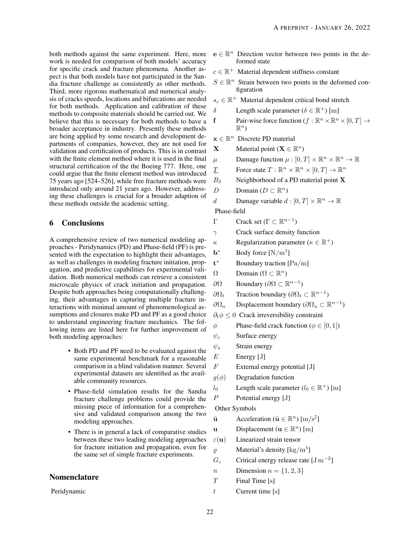work is needed for comparison of both models' accuracy for specific crack and fracture phenomena. Another aspect is that both models have not participated in the Sandia fracture challenge as consistently as other methods. Third, more rigorous mathematical and numerical analysis of cracks speeds, locations and bifurcations are needed for both methods. Application and calibration of these methods to composite materials should be carried out. We believe that this is necessary for both methods to have a broader acceptance in industry. Presently these methods are being applied by some research and development departments of companies, however, they are not used for validation and certification of products. This is in contrast with the finite element method where it is used in the final structural certification of the the Boeing 777. Here, one could argue that the finite element method was introduced 75 years ago [\[524](#page-43-7)[–526\]](#page-43-8), while free fracture methods were introduced only around 21 years ago. However, addressing these challenges is crucial for a broader adaption of these methods outside the academic setting.

## <span id="page-21-0"></span>6 Conclusions

A comprehensive review of two numerical modeling approaches - Peridynamics (PD) and Phase-field (PF) is presented with the expectation to highlight their advantages, as well as challenges in modeling fracture initiation, propagation, and predictive capabilities for experimental validation. Both numerical methods can retrieve a consistent microscale physics of crack initiation and propagation. Despite both approaches being computationally challenging, their advantages in capturing multiple fracture interactions with minimal amount of phenomenological assumptions and closures make PD and PF as a good choice to understand engineering fracture mechanics. The following items are listed here for further improvement of both modeling approaches:

- Both PD and PF need to be evaluated against the same experimental benchmark for a reasonable comparison in a blind validation manner. Several experimental datasets are identified as the available community resources.
- Phase-field simulation results for the Sandia fracture challenge problems could provide the missing piece of information for a comprehensive and validated comparison among the two modeling approaches.
- There is in general a lack of comparative studies between these two leading modeling approaches for fracture initiation and propagation, even for the same set of simple fracture experiments.

## Nomenclature

Peridynamic

- both methods against the same experiment. Here, more  $e \in \mathbb{R}^n$  Direction vector between two points in the deformed state
	- $c \in \mathbb{R}^+$  Material dependent stiffness constant
	- $S \in \mathbb{R}^n$  Strain between two points in the deformed configuration
	- $s_c \in \mathbb{R}^+$  Material dependent critical bond stretch
	- δ Length scale parameter ( $\delta \in \mathbb{R}^+$ ) [m]
	- **f** Pair-wise force function  $(f : \mathbb{R}^n \times \mathbb{R}^n \times [0, T] \to$  $\mathbb{R}^n$ )
	- $\mathbf{x} \in \mathbb{R}^n$  Discrete PD material
	- **X** Material point ( $\mathbf{X} \in \mathbb{R}^n$ )
	- $\mu$  Damage function  $\mu : [0, T] \times \mathbb{R}^n \times \mathbb{R}^n \to \mathbb{R}$
	- T Force state  $T: \mathbb{R}^n \times \mathbb{R}^n \times [0, T] \to \mathbb{R}^n$
	- $B_\delta$  Neighborhood of a PD material point **X**
	- D Domain  $(D \subset \mathbb{R}^n)$
	- d Damage variable  $d : [0, T] \times \mathbb{R}^n \to \mathbb{R}$

Phase-field

- Γ Crack set (Γ ⊂  $\mathbb{R}^{n-1}$ )
- $\gamma$  Crack surface density function
- $\kappa$  Regularization parameter ( $\kappa \in \mathbb{R}^+$ )
- $\mathbf{b}^*$ \* Body force  $[N/m^3]$
- $t^*$ <sup>∗</sup> Boundary traction [Pa/m]
- $\Omega$  Domain ( $\Omega \subset \mathbb{R}^n$ )
- $\partial Ω$  Boundary ( $\partial Ω$  ⊂ ℝ<sup>n-1</sup>)
- $\partial \Omega_t$  Traction boundary ( $\partial \Omega_t \subset \mathbb{R}^{n-1}$ )
- $\partial \Omega_u$  Displacement boundary ( $\partial \Omega_u \subset \mathbb{R}^{n-1}$ )
- $\partial_t \phi \leq 0$  Crack irreversibility constraint
- $\phi$  Phase-field crack function ( $\phi \in [0, 1]$ )
- $\psi_c$  Surface energy
- $\psi_s$  Strain energy
- $E$  Energy [J]
- F External energy potential [J]
- $g(\phi)$  Degradation function
- $l_0$  Length scale parameter ( $l_0 \in \mathbb{R}^+$ ) [m]
- $P$  Potential energy [J]

Other Symbols

 $\ddot{\mathbf{u}}$  Acceleration ( $\ddot{\mathbf{u}} \in \mathbb{R}^n$ ) [m/s<sup>2</sup>]

- u Displacement ( $\mathbf{u} \in \mathbb{R}^n$ ) [m]
- $\varepsilon(\mathbf{u})$  Linearized strain tensor
- $\varrho$  Material's density [kg/m<sup>3</sup>]
- $G_c$  Critical energy release rate [J m<sup>-2</sup>]
- *n* Dimension  $n = \{1, 2, 3\}$
- $T$  Final Time [s]
- $t$  Current time [s]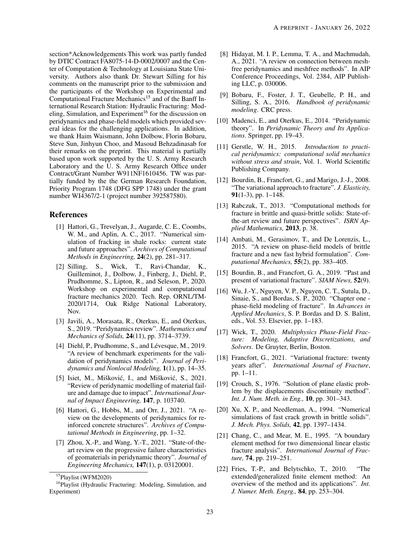section\*Acknowledgements This work was partly funded by DTIC Contract FA8075-14-D-0002/0007 and the Center of Computation & Technology at Louisiana State University. Authors also thank Dr. Stewart Silling for his comments on the manuscript prior to the submission and the participants of the Workshop on Experimental and Computational Fracture Mechanics<sup>[15](#page-22-22)</sup> and of the Banff International Research Station: Hydraulic Fracturing: Mod-eling, Simulation, and Experiment<sup>[16](#page-22-23)</sup> for the discussion on peridynamics and phase-field models which provided several ideas for the challenging applications. In addition, we thank Haim Waismann, John Dolbow, Florin Bobaru, Steve Sun, Jinhyun Choo, and Masoud Behzadinasab for their remarks on the preprint. This material is partially based upon work supported by the U. S. Army Research Laboratory and the U. S. Army Research Office under Contract/Grant Number W911NF1610456. TW was partially funded by the the German Research Foundation, Priority Program 1748 (DFG SPP 1748) under the grant number WI4367/2-1 (project number 392587580).

## References

- <span id="page-22-0"></span>[1] Hattori, G., Trevelyan, J., Augarde, C. E., Coombs, W. M., and Aplin, A. C., 2017. "Numerical simulation of fracking in shale rocks: current state and future approaches". *Archives of Computational Methods in Engineering,* 24(2), pp. 281–317.
- <span id="page-22-1"></span>[2] Silling, S., Wick, T., Ravi-Chandar, K., Guilleminot, J., Dolbow, J., Finberg, J., Diehl, P., Prudhomme, S., Lipton, R., and Seleson, P., 2020. Workshop on experimental and computational fracture mechanics 2020. Tech. Rep. ORNL/TM-2020/1714, Oak Ridge National Laboratory, Nov.
- <span id="page-22-2"></span>[3] Javili, A., Morasata, R., Oterkus, E., and Oterkus, S., 2019. "Peridynamics review". *Mathematics and Mechanics of Solids,* 24(11), pp. 3714–3739.
- <span id="page-22-3"></span>[4] Diehl, P., Prudhomme, S., and Lévesque, M., 2019. "A review of benchmark experiments for the validation of peridynamics models". *Journal of Peridynamics and Nonlocal Modeling,* 1(1), pp. 14–35.
- <span id="page-22-4"></span>[5] Isiet, M., Mišković, I., and Mišković, S., 2021. "Review of peridynamic modelling of material failure and damage due to impact". *International Journal of Impact Engineering,* 147, p. 103740.
- <span id="page-22-5"></span>[6] Hattori, G., Hobbs, M., and Orr, J., 2021. "A review on the developments of peridynamics for reinforced concrete structures". *Archives of Computational Methods in Engineering*, pp. 1–32.
- <span id="page-22-6"></span>[7] Zhou, X.-P., and Wang, Y.-T., 2021. "State-of-theart review on the progressive failure characteristics of geomaterials in peridynamic theory". *Journal of Engineering Mechanics,* 147(1), p. 03120001.
- <span id="page-22-7"></span>[8] Hidayat, M. I. P., Lemma, T. A., and Machmudah, A., 2021. "A review on connection between meshfree peridynamics and meshfree methods". In AIP Conference Proceedings, Vol. 2384, AIP Publishing LLC, p. 030006.
- <span id="page-22-8"></span>[9] Bobaru, F., Foster, J. T., Geubelle, P. H., and Silling, S. A., 2016. *Handbook of peridynamic modeling*. CRC press.
- <span id="page-22-21"></span>[10] Madenci, E., and Oterkus, E., 2014. "Peridynamic theory". In *Peridynamic Theory and Its Applications*. Springer, pp. 19–43.
- <span id="page-22-9"></span>[11] Gerstle, W. H., 2015. *Introduction to practical peridynamics: computational solid mechanics without stress and strain*, Vol. 1. World Scientific Publishing Company.
- <span id="page-22-10"></span>[12] Bourdin, B., Francfort, G., and Marigo, J.-J., 2008. "The variational approach to fracture". *J. Elasticity,* 91(1-3), pp. 1–148.
- <span id="page-22-11"></span>[13] Rabczuk, T., 2013. "Computational methods for fracture in brittle and quasi-brittle solids: State-ofthe-art review and future perspectives". *ISRN Applied Mathematics,* 2013, p. 38.
- <span id="page-22-12"></span>[14] Ambati, M., Gerasimov, T., and De Lorenzis, L., 2015. "A review on phase-field models of brittle fracture and a new fast hybrid formulation". *Computational Mechanics,* 55(2), pp. 383–405.
- <span id="page-22-13"></span>[15] Bourdin, B., and Francfort, G. A., 2019. "Past and present of variational fracture". *SIAM News,* 52(9).
- <span id="page-22-14"></span>[16] Wu, J.-Y., Nguyen, V. P., Nguyen, C. T., Sutula, D., Sinaie, S., and Bordas, S. P., 2020. "Chapter one phase-field modeling of fracture". In *Advances in Applied Mechanics*, S. P. Bordas and D. S. Balint, eds., Vol. 53. Elsevier, pp. 1–183.
- <span id="page-22-15"></span>[17] Wick, T., 2020. *Multiphysics Phase-Field Fracture: Modeling, Adaptive Discretizations, and Solvers*. De Gruyter, Berlin, Boston.
- <span id="page-22-16"></span>[18] Francfort, G., 2021. "Variational fracture: twenty years after". *International Journal of Fracture*, pp. 1–11.
- <span id="page-22-17"></span>[19] Crouch, S., 1976. "Solution of plane elastic problem by the displacements discontinuity method". *Int. J. Num. Meth. in Eng.,* 10, pp. 301–343.
- <span id="page-22-18"></span>[20] Xu, X. P., and Needleman, A., 1994. "Numerical simulations of fast crack growth in brittle solids". *J. Mech. Phys. Solids,* 42, pp. 1397–1434.
- <span id="page-22-19"></span>[21] Chang, C., and Mear, M. E., 1995. "A boundary element method for two dimensional linear elastic fracture analysis". *International Journal of Fracture,* 74, pp. 219–251.
- <span id="page-22-20"></span>[22] Fries, T.-P., and Belytschko, T., 2010. "The extended/generalized finite element method: An overview of the method and its applications". *Int. J. Numer. Meth. Engrg.,* 84, pp. 253–304.

<span id="page-22-23"></span><span id="page-22-22"></span><sup>15</sup>[Playlist \(WFM2020\)](https://www.youtube.com/playlist?list=PLZfAlQ03KbQvhOuR58jfx3e60De_D1SoM)

<sup>&</sup>lt;sup>16</sup>[Playlist \(Hydraulic Fracturing: Modeling, Simulation, and](https://www.birs.ca/events/2018/5-day-workshops/18w5085/videos) [Experiment\)](https://www.birs.ca/events/2018/5-day-workshops/18w5085/videos)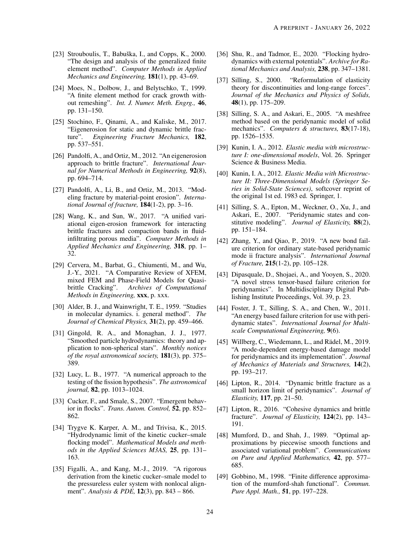- [23] Strouboulis, T., Babuška, I., and Copps, K.,  $2000$ . "The design and analysis of the generalized finite element method". *Computer Methods in Applied Mechanics and Engineering,* 181(1), pp. 43–69.
- <span id="page-23-0"></span>[24] Moes, N., Dolbow, J., and Belytschko, T., 1999. "A finite element method for crack growth without remeshing". *Int. J. Numer. Meth. Engrg.,* 46, pp. 131–150.
- <span id="page-23-1"></span>[25] Stochino, F., Qinami, A., and Kaliske, M., 2017. "Eigenerosion for static and dynamic brittle fracture". *Engineering Fracture Mechanics,* 182, pp. 537–551.
- [26] Pandolfi, A., and Ortiz, M., 2012. "An eigenerosion approach to brittle fracture". *International Journal for Numerical Methods in Engineering,* 92(8), pp. 694–714.
- [27] Pandolfi, A., Li, B., and Ortiz, M., 2013. "Modeling fracture by material-point erosion". *International Journal of fracture,* 184(1-2), pp. 3–16.
- <span id="page-23-2"></span>[28] Wang, K., and Sun, W., 2017. "A unified variational eigen-erosion framework for interacting brittle fractures and compaction bands in fluidinfiltrating porous media". *Computer Methods in Applied Mechanics and Engineering,* 318, pp. 1– 32.
- <span id="page-23-3"></span>[29] Cervera, M., Barbat, G., Chiumenti, M., and Wu, J.-Y., 2021. "A Comparative Review of XFEM, mixed FEM and Phase-Field Models for Quasibrittle Cracking". *Archives of Computational Methods in Engineering,* xxx, p. xxx.
- <span id="page-23-4"></span>[30] Alder, B. J., and Wainwright, T. E., 1959. "Studies in molecular dynamics. i. general method". *The Journal of Chemical Physics,* 31(2), pp. 459–466.
- <span id="page-23-5"></span>[31] Gingold, R. A., and Monaghan, J. J., 1977. "Smoothed particle hydrodynamics: theory and application to non-spherical stars". *Monthly notices of the royal astronomical society,* 181(3), pp. 375– 389.
- <span id="page-23-6"></span>[32] Lucy, L. B., 1977. "A numerical approach to the testing of the fission hypothesis". *The astronomical journal,* 82, pp. 1013–1024.
- <span id="page-23-7"></span>[33] Cucker, F., and Smale, S., 2007. "Emergent behavior in flocks". *Trans. Autom. Control,* 52, pp. 852– 862.
- [34] Trygve K. Karper, A. M., and Trivisa, K., 2015. "Hydrodynamic limit of the kinetic cucker–smale flocking model". *Mathematical Models and methods in the Applied Sciences M3AS,* 25, pp. 131– 163.
- [35] Figalli, A., and Kang, M.-J., 2019. "A rigorous derivation from the kinetic cucker–smale model to the pressureless euler system with nonlocal alignment". *Analysis & PDE,* 12(3), pp. 843 – 866.
- <span id="page-23-8"></span>[36] Shu, R., and Tadmor, E., 2020. "Flocking hydrodynamics with external potentials". *Archive for Rational Mechanics and Analysis,* 238, pp. 347–1381.
- <span id="page-23-9"></span>[37] Silling, S., 2000. "Reformulation of elasticity theory for discontinuities and long-range forces". *Journal of the Mechanics and Physics of Solids,* 48(1), pp. 175–209.
- <span id="page-23-10"></span>[38] Silling, S. A., and Askari, E., 2005. "A meshfree method based on the peridynamic model of solid mechanics". *Computers & structures,* 83(17-18), pp. 1526–1535.
- <span id="page-23-11"></span>[39] Kunin, I. A., 2012. *Elastic media with microstructure I: one-dimensional models*, Vol. 26. Springer Science & Business Media.
- <span id="page-23-12"></span>[40] Kunin, I. A., 2012. *Elastic Media with Microstructure II: Three-Dimensional Models (Springer Series in Solid-State Sciences)*, softcover reprint of the original 1st ed. 1983 ed. Springer, 1.
- <span id="page-23-13"></span>[41] Silling, S. A., Epton, M., Weckner, O., Xu, J., and Askari, E., 2007. "Peridynamic states and constitutive modeling". *Journal of Elasticity,* 88(2), pp. 151–184.
- <span id="page-23-14"></span>[42] Zhang, Y., and Qiao, P., 2019. "A new bond failure criterion for ordinary state-based peridynamic mode ii fracture analysis". *International Journal of Fracture,* 215(1-2), pp. 105–128.
- <span id="page-23-15"></span>[43] Dipasquale, D., Shojaei, A., and Yooyen, S., 2020. "A novel stress tensor-based failure criterion for peridynamics". In Multidisciplinary Digital Publishing Institute Proceedings, Vol. 39, p. 23.
- <span id="page-23-16"></span>[44] Foster, J. T., Silling, S. A., and Chen, W., 2011. "An energy based failure criterion for use with peridynamic states". *International Journal for Multiscale Computational Engineering,* 9(6).
- <span id="page-23-17"></span>[45] Willberg, C., Wiedemann, L., and Rädel, M., 2019. "A mode-dependent energy-based damage model for peridynamics and its implementation". *Journal of Mechanics of Materials and Structures,* 14(2), pp. 193–217.
- <span id="page-23-18"></span>[46] Lipton, R., 2014. "Dynamic brittle fracture as a small horizon limit of peridynamics". *Journal of Elasticity,* 117, pp. 21–50.
- <span id="page-23-19"></span>[47] Lipton, R., 2016. "Cohesive dynamics and brittle fracture". *Journal of Elasticity,* 124(2), pp. 143– 191.
- <span id="page-23-20"></span>[48] Mumford, D., and Shah, J., 1989. "Optimal approximations by piecewise smooth functions and associated variational problem". *Communications on Pure and Applied Mathematics,* 42, pp. 577– 685.
- <span id="page-23-21"></span>[49] Gobbino, M., 1998. "Finite difference approximation of the mumford-shah functional". *Commun. Pure Appl. Math.,* 51, pp. 197–228.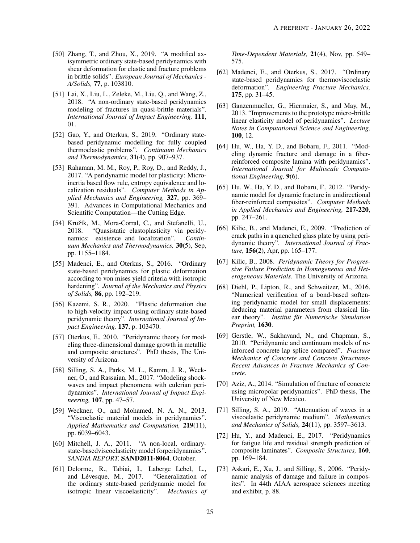- <span id="page-24-1"></span>[50] Zhang, T., and Zhou, X., 2019. "A modified axisymmetric ordinary state-based peridynamics with shear deformation for elastic and fracture problems in brittle solids". *European Journal of Mechanics - A/Solids,* 77, p. 103810.
- [51] Lai, X., Liu, L., Zeleke, M., Liu, Q., and Wang, Z., 2018. "A non-ordinary state-based peridynamics modeling of fractures in quasi-brittle materials". *International Journal of Impact Engineering,* 111, 01.
- <span id="page-24-2"></span>[52] Gao, Y., and Oterkus, S., 2019. "Ordinary statebased peridynamic modelling for fully coupled thermoelastic problems". *Continuum Mechanics and Thermodynamics,* 31(4), pp. 907–937.
- <span id="page-24-3"></span>[53] Rahaman, M. M., Roy, P., Roy, D., and Reddy, J., 2017. "A peridynamic model for plasticity: Microinertia based flow rule, entropy equivalence and localization residuals". *Computer Methods in Applied Mechanics and Engineering,* 327, pp. 369– 391. Advances in Computational Mechanics and Scientific Computation—the Cutting Edge.
- [54] Kružík, M., Mora-Corral, C., and Stefanelli, U., 2018. "Quasistatic elastoplasticity via peridynamics: existence and localization". *Continuum Mechanics and Thermodynamics,* 30(5), Sep, pp. 1155–1184.
- [55] Madenci, E., and Oterkus, S., 2016. "Ordinary state-based peridynamics for plastic deformation according to von mises yield criteria with isotropic hardening". *Journal of the Mechanics and Physics of Solids,* 86, pp. 192–219.
- <span id="page-24-4"></span>[56] Kazemi, S. R., 2020. "Plastic deformation due to high-velocity impact using ordinary state-based peridynamic theory". *International Journal of Impact Engineering,* 137, p. 103470.
- <span id="page-24-5"></span>[57] Oterkus, E., 2010. "Peridynamic theory for modeling three-dimensional damage growth in metallic and composite structures". PhD thesis, The University of Arizona.
- <span id="page-24-6"></span>[58] Silling, S. A., Parks, M. L., Kamm, J. R., Weckner, O., and Rassaian, M., 2017. "Modeling shockwaves and impact phenomena with eulerian peridynamics". *International Journal of Impact Engineering,* 107, pp. 47–57.
- <span id="page-24-7"></span>[59] Weckner, O., and Mohamed, N. A. N., 2013. "Viscoelastic material models in peridynamics". *Applied Mathematics and Computation,* 219(11), pp. 6039–6043.
- [60] Mitchell, J. A., 2011. "A non-local, ordinarystate-basedviscoelasticity model forperidynamics". *SANDIA REPORT,* SAND2011-8064, October.
- [61] Delorme, R., Tabiai, I., Laberge Lebel, L., and Lévesque, M., 2017. "Generalization of the ordinary state-based peridynamic model for isotropic linear viscoelasticity". *Mechanics of*

*Time-Dependent Materials,* 21(4), Nov, pp. 549– 575.

- <span id="page-24-8"></span>[62] Madenci, E., and Oterkus, S., 2017. "Ordinary state-based peridynamics for thermoviscoelastic deformation". *Engineering Fracture Mechanics,* 175, pp. 31–45.
- <span id="page-24-0"></span>[63] Ganzenmueller, G., Hiermaier, S., and May, M., 2013. "Improvements to the prototype micro-brittle linear elasticity model of peridynamics". *Lecture Notes in Computational Science and Engineering,* 100, 12.
- [64] Hu, W., Ha, Y. D., and Bobaru, F., 2011. "Modeling dynamic fracture and damage in a fiberreinforced composite lamina with peridynamics". *International Journal for Multiscale Computational Engineering,* 9(6).
- [65] Hu, W., Ha, Y. D., and Bobaru, F., 2012. "Peridynamic model for dynamic fracture in unidirectional fiber-reinforced composites". *Computer Methods in Applied Mechanics and Engineering,* 217-220, pp. 247–261.
- [66] Kilic, B., and Madenci, E., 2009. "Prediction of crack paths in a quenched glass plate by using peridynamic theory". *International Journal of Fracture,* 156(2), Apr, pp. 165–177.
- [67] Kilic, B., 2008. *Peridynamic Theory for Progressive Failure Prediction in Homogeneous and Heterogeneous Materials*. The University of Arizona.
- <span id="page-24-9"></span>[68] Diehl, P., Lipton, R., and Schweitzer, M., 2016. "Numerical verification of a bond-based softening peridynamic model for small displacements: deducing material parameters from classical linear theory". *Institut fur Numerische Simulation ¨ Preprint,* 1630.
- <span id="page-24-10"></span>[69] Gerstle, W., Sakhavand, N., and Chapman, S., 2010. "Peridynamic and continuum models of reinforced concrete lap splice compared". *Fracture Mechanics of Concrete and Concrete Structures-Recent Advances in Fracture Mechanics of Concrete*.
- [70] Aziz, A., 2014. "Simulation of fracture of concrete using micropolar peridynamics". PhD thesis, The University of New Mexico.
- [71] Silling, S. A., 2019. "Attenuation of waves in a viscoelastic peridynamic medium". *Mathematics and Mechanics of Solids,* 24(11), pp. 3597–3613.
- [72] Hu, Y., and Madenci, E., 2017. "Peridynamics for fatigue life and residual strength prediction of composite laminates". *Composite Structures,* 160, pp. 169–184.
- [73] Askari, E., Xu, J., and Silling, S., 2006. "Peridynamic analysis of damage and failure in composites". In 44th AIAA aerospace sciences meeting and exhibit, p. 88.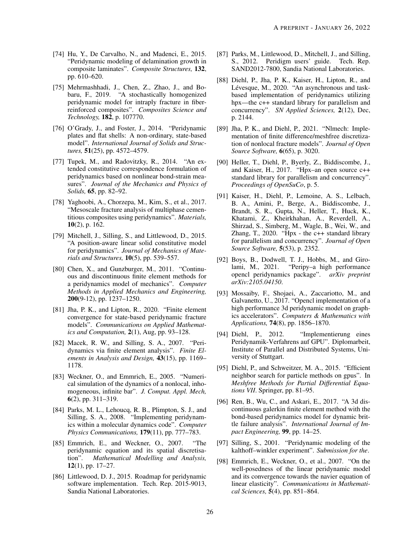- [74] Hu, Y., De Carvalho, N., and Madenci, E., 2015. "Peridynamic modeling of delamination growth in composite laminates". *Composite Structures,* 132, pp. 610–620.
- <span id="page-25-0"></span>[75] Mehrmashhadi, J., Chen, Z., Zhao, J., and Bobaru, F., 2019. "A stochastically homogenized peridynamic model for intraply fracture in fiberreinforced composites". *Composites Science and Technology,* 182, p. 107770.
- <span id="page-25-3"></span>[76] O'Grady, J., and Foster, J., 2014. "Peridynamic plates and flat shells: A non-ordinary, state-based model". *International Journal of Solids and Structures,* 51(25), pp. 4572–4579.
- <span id="page-25-2"></span>[77] Tupek, M., and Radovitzky, R., 2014. "An extended constitutive correspondence formulation of peridynamics based on nonlinear bond-strain measures". *Journal of the Mechanics and Physics of Solids,* 65, pp. 82–92.
- <span id="page-25-4"></span>[78] Yaghoobi, A., Chorzepa, M., Kim, S., et al., 2017. "Mesoscale fracture analysis of multiphase cementitious composites using peridynamics". *Materials,* 10(2), p. 162.
- <span id="page-25-1"></span>[79] Mitchell, J., Silling, S., and Littlewood, D., 2015. "A position-aware linear solid constitutive model for peridynamics". *Journal of Mechanics of Materials and Structures,* 10(5), pp. 539–557.
- <span id="page-25-5"></span>[80] Chen, X., and Gunzburger, M., 2011. "Continuous and discontinuous finite element methods for a peridynamics model of mechanics". *Computer Methods in Applied Mechanics and Engineering,* 200(9-12), pp. 1237–1250.
- <span id="page-25-22"></span>[81] Jha, P. K., and Lipton, R., 2020. "Finite element convergence for state-based peridynamic fracture models". *Communications on Applied Mathematics and Computation,* 2(1), Aug, pp. 93–128.
- <span id="page-25-6"></span>[82] Macek, R. W., and Silling, S. A., 2007. "Peridynamics via finite element analysis". *Finite Elements in Analysis and Design,* 43(15), pp. 1169– 1178.
- <span id="page-25-7"></span>[83] Weckner, O., and Emmrich, E., 2005. "Numerical simulation of the dynamics of a nonlocal, inhomogeneous, infinite bar". *J. Comput. Appl. Mech,* 6(2), pp. 311–319.
- <span id="page-25-8"></span>[84] Parks, M. L., Lehoucq, R. B., Plimpton, S. J., and Silling, S. A., 2008. "Implementing peridynamics within a molecular dynamics code". *Computer Physics Communications,* 179(11), pp. 777–783.
- <span id="page-25-9"></span>[85] Emmrich, E., and Weckner, O., 2007. "The peridynamic equation and its spatial discretisation". *Mathematical Modelling and Analysis,* 12(1), pp. 17–27.
- <span id="page-25-10"></span>[86] Littlewood, D. J., 2015. Roadmap for peridynamic software implementation. Tech. Rep. 2015-9013, Sandia National Laboratories.
- <span id="page-25-11"></span>[87] Parks, M., Littlewood, D., Mitchell, J., and Silling, S., 2012. Peridigm users' guide. Tech. Rep. SAND2012-7800, Sandia National Laboratories.
- <span id="page-25-12"></span>[88] Diehl, P., Jha, P. K., Kaiser, H., Lipton, R., and Lévesque, M., 2020. "An asynchronous and taskbased implementation of peridynamics utilizing hpx—the c++ standard library for parallelism and concurrency". *SN Applied Sciences,* 2(12), Dec, p. 2144.
- <span id="page-25-13"></span>[89] Jha, P. K., and Diehl, P., 2021. "Nlmech: Implementation of finite difference/meshfree discretization of nonlocal fracture models". *Journal of Open Source Software,* 6(65), p. 3020.
- <span id="page-25-14"></span>[90] Heller, T., Diehl, P., Byerly, Z., Biddiscombe, J., and Kaiser, H., 2017. "Hpx–an open source c++ standard library for parallelism and concurrency". *Proceedings of OpenSuCo*, p. 5.
- <span id="page-25-15"></span>[91] Kaiser, H., Diehl, P., Lemoine, A. S., Lelbach, B. A., Amini, P., Berge, A., Biddiscombe, J., Brandt, S. R., Gupta, N., Heller, T., Huck, K., Khatami, Z., Kheirkhahan, A., Reverdell, A., Shirzad, S., Simberg, M., Wagle, B., Wei, W., and Zhang, T., 2020. "Hpx - the c++ standard library for parallelism and concurrency". *Journal of Open Source Software,* 5(53), p. 2352.
- <span id="page-25-16"></span>[92] Boys, B., Dodwell, T. J., Hobbs, M., and Girolami, M., 2021. "Peripy–a high performance opencl peridynamics package". *arXiv preprint arXiv:2105.04150*.
- <span id="page-25-17"></span>[93] Mossaiby, F., Shojaei, A., Zaccariotto, M., and Galvanetto, U., 2017. "Opencl implementation of a high performance 3d peridynamic model on graphics accelerators". *Computers & Mathematics with Applications,* 74(8), pp. 1856–1870.
- [94] Diehl, P., 2012. "Implementierung eines Peridynamik-Verfahrens auf GPU". Diplomarbeit, Institute of Parallel and Distributed Systems, University of Stuttgart.
- <span id="page-25-18"></span>[95] Diehl, P., and Schweitzer, M. A., 2015. "Efficient neighbor search for particle methods on gpus". In *Meshfree Methods for Partial Differential Equations VII*. Springer, pp. 81–95.
- <span id="page-25-19"></span>[96] Ren, B., Wu, C., and Askari, E., 2017. "A 3d discontinuous galerkin finite element method with the bond-based peridynamics model for dynamic brittle failure analysis". *International Journal of Impact Engineering,* 99, pp. 14–25.
- <span id="page-25-20"></span>[97] Silling, S., 2001. "Peridynamic modeling of the kalthoff–winkler experiment". *Submission for the*.
- <span id="page-25-21"></span>[98] Emmrich, E., Weckner, O., et al., 2007. "On the well-posedness of the linear peridynamic model and its convergence towards the navier equation of linear elasticity". *Communications in Mathematical Sciences,* 5(4), pp. 851–864.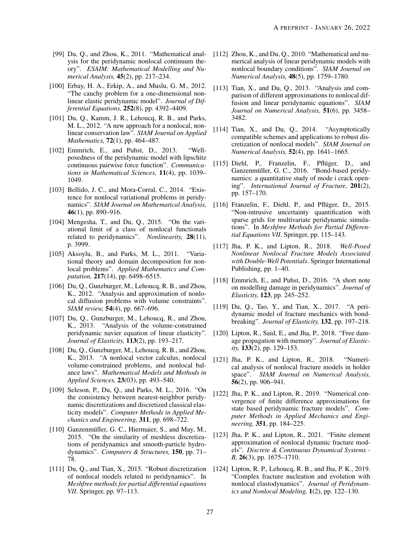- [99] Du, O., and Zhou, K., 2011. "Mathematical analysis for the peridynamic nonlocal continuum theory". *ESAIM: Mathematical Modelling and Numerical Analysis,* 45(2), pp. 217–234.
- [100] Erbay, H. A., Erkip, A., and Muslu, G. M., 2012. "The cauchy problem for a one-dimensional nonlinear elastic peridynamic model". *Journal of Differential Equations,* 252(8), pp. 4392–4409.
- [101] Du, Q., Kamm, J. R., Lehoucq, R. B., and Parks, M. L., 2012. "A new approach for a nonlocal, nonlinear conservation law". *SIAM Journal on Applied Mathematics,* 72(1), pp. 464–487.
- [102] Emmrich, E., and Puhst, D., 2013. "Wellposedness of the peridynamic model with lipschitz continuous pairwise force function". *Communications in Mathematical Sciences,* 11(4), pp. 1039– 1049.
- [103] Bellido, J. C., and Mora-Corral, C., 2014. "Existence for nonlocal variational problems in peridynamics". *SIAM Journal on Mathematical Analysis,* 46(1), pp. 890–916.
- [104] Mengesha, T., and Du, Q., 2015. "On the variational limit of a class of nonlocal functionals related to peridynamics". *Nonlinearity,* 28(11), p. 3999.
- [105] Aksoylu, B., and Parks, M. L., 2011. "Variational theory and domain decomposition for nonlocal problems". *Applied Mathematics and Computation,* 217(14), pp. 6498–6515.
- [106] Du, Q., Gunzburger, M., Lehoucq, R. B., and Zhou, K., 2012. "Analysis and approximation of nonlocal diffusion problems with volume constraints". *SIAM review,* 54(4), pp. 667–696.
- [107] Du, Q., Gunzburger, M., Lehoucq, R., and Zhou, K., 2013. "Analysis of the volume-constrained peridynamic navier equation of linear elasticity". *Journal of Elasticity,* 113(2), pp. 193–217.
- [108] Du, Q., Gunzburger, M., Lehoucq, R. B., and Zhou, K., 2013. "A nonlocal vector calculus, nonlocal volume-constrained problems, and nonlocal balance laws". *Mathematical Models and Methods in Applied Sciences,* 23(03), pp. 493–540.
- [109] Seleson, P., Du, Q., and Parks, M. L., 2016. "On the consistency between nearest-neighbor peridynamic discretizations and discretized classical elasticity models". *Computer Methods in Applied Mechanics and Engineering,* 311, pp. 698–722.
- <span id="page-26-12"></span>[110] Ganzenmüller, G. C., Hiermaier, S., and May, M., 2015. "On the similarity of meshless discretizations of peridynamics and smooth-particle hydrodynamics". *Computers & Structures,* 150, pp. 71– 78.
- <span id="page-26-9"></span>[111] Du, O., and Tian, X., 2015. "Robust discretization of nonlocal models related to peridynamics". In *Meshfree methods for partial differential equations VII*. Springer, pp. 97–113.
- <span id="page-26-10"></span>[112] Zhou, K., and Du, O., 2010. "Mathematical and numerical analysis of linear peridynamic models with nonlocal boundary conditions". *SIAM Journal on Numerical Analysis,* 48(5), pp. 1759–1780.
- <span id="page-26-14"></span>[113] Tian, X., and Du, Q., 2013. "Analysis and comparison of different approximations to nonlocal diffusion and linear peridynamic equations". *SIAM Journal on Numerical Analysis,* 51(6), pp. 3458– 3482.
- <span id="page-26-11"></span>[114] Tian, X., and Du, Q., 2014. "Asymptotically compatible schemes and applications to robust discretization of nonlocal models". *SIAM Journal on Numerical Analysis,* 52(4), pp. 1641–1665.
- <span id="page-26-13"></span>[115] Diehl, P., Franzelin, F., Pflüger, D., and Ganzenmüller, G. C., 2016. "Bond-based peridynamics: a quantitative study of mode i crack opening". *International Journal of Fracture,* 201(2), pp. 157–170.
- <span id="page-26-0"></span>[116] Franzelin, F., Diehl, P., and Pflüger, D., 2015. "Non-intrusive uncertainty quantification with sparse grids for multivariate peridynamic simulations". In *Meshfree Methods for Partial Differential Equations VII*. Springer, pp. 115–143.
- <span id="page-26-1"></span>[117] Jha, P. K., and Lipton, R., 2018. *Well-Posed Nonlinear Nonlocal Fracture Models Associated with Double-Well Potentials*. Springer International Publishing, pp. 1–40.
- <span id="page-26-2"></span>[118] Emmrich, E., and Puhst, D., 2016. "A short note on modelling damage in peridynamics". *Journal of Elasticity,* 123, pp. 245–252.
- <span id="page-26-3"></span>[119] Du, Q., Tao, Y., and Tian, X., 2017. "A peridynamic model of fracture mechanics with bondbreaking". *Journal of Elasticity,* 132, pp. 197–218.
- <span id="page-26-4"></span>[120] Lipton, R., Said, E., and Jha, P., 2018. "Free damage propagation with memory". *Journal of Elasticity,* 133(2), pp. 129–153.
- <span id="page-26-5"></span>[121] Jha, P. K., and Lipton, R., 2018. "Numerical analysis of nonlocal fracture models in holder space". *SIAM Journal on Numerical Analysis,* 56(2), pp. 906–941.
- <span id="page-26-6"></span>[122] Jha, P. K., and Lipton, R., 2019. "Numerical convergence of finite difference approximations for state based peridynamic fracture models". *Computer Methods in Applied Mechanics and Engineering,* 351, pp. 184–225.
- <span id="page-26-7"></span>[123] Jha, P. K., and Lipton, R., 2021. "Finite element approximation of nonlocal dynamic fracture models". *Discrete & Continuous Dynamical Systems - B,* 26(3), pp. 1675–1710.
- <span id="page-26-8"></span>[124] Lipton, R. P., Lehoucq, R. B., and Jha, P. K., 2019. "Complex fracture nucleation and evolution with nonlocal elastodynamics". *Journal of Peridynamics and Nonlocal Modeling,* 1(2), pp. 122–130.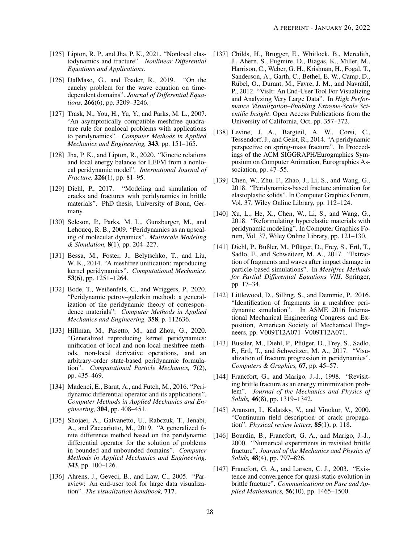- <span id="page-27-0"></span>[125] Lipton, R. P., and Jha, P. K., 2021. "Nonlocal elastodynamics and fracture". *Nonlinear Differential Equations and Applications*.
- <span id="page-27-1"></span>[126] DalMaso, G., and Toader, R., 2019. "On the cauchy problem for the wave equation on timedependent domains". *Journal of Differential Equations,* 266(6), pp. 3209–3246.
- <span id="page-27-2"></span>[127] Trask, N., You, H., Yu, Y., and Parks, M. L., 2007. "An asymptotically compatible meshfree quadrature rule for nonlocal problems with applications to peridynamics". *Computer Methods in Applied Mechanics and Engineering,* 343, pp. 151–165.
- <span id="page-27-3"></span>[128] Jha, P. K., and Lipton, R., 2020. "Kinetic relations and local energy balance for LEFM from a nonlocal peridynamic model". *International Journal of Fracture,* 226(1), pp. 81–95.
- <span id="page-27-5"></span>[129] Diehl, P., 2017. "Modeling and simulation of cracks and fractures with peridynamics in brittle materials". PhD thesis, University of Bonn, Germany.
- <span id="page-27-4"></span>[130] Seleson, P., Parks, M. L., Gunzburger, M., and Lehoucq, R. B., 2009. "Peridynamics as an upscaling of molecular dynamics". *Multiscale Modeling & Simulation,* 8(1), pp. 204–227.
- <span id="page-27-6"></span>[131] Bessa, M., Foster, J., Belytschko, T., and Liu, W. K., 2014. "A meshfree unification: reproducing kernel peridynamics". *Computational Mechanics,* 53(6), pp. 1251–1264.
- <span id="page-27-7"></span>[132] Bode, T., Weißenfels, C., and Wriggers, P., 2020. "Peridynamic petrov–galerkin method: a generalization of the peridynamic theory of correspondence materials". *Computer Methods in Applied Mechanics and Engineering,* 358, p. 112636.
- <span id="page-27-8"></span>[133] Hillman, M., Pasetto, M., and Zhou, G., 2020. "Generalized reproducing kernel peridynamics: unification of local and non-local meshfree methods, non-local derivative operations, and an arbitrary-order state-based peridynamic formulation". *Computational Particle Mechanics,* 7(2), pp. 435–469.
- <span id="page-27-9"></span>[134] Madenci, E., Barut, A., and Futch, M., 2016. "Peridynamic differential operator and its applications". *Computer Methods in Applied Mechanics and Engineering,* 304, pp. 408–451.
- <span id="page-27-10"></span>[135] Shojaei, A., Galvanetto, U., Rabczuk, T., Jenabi, A., and Zaccariotto, M., 2019. "A generalized finite difference method based on the peridynamic differential operator for the solution of problems in bounded and unbounded domains". *Computer Methods in Applied Mechanics and Engineering,* 343, pp. 100–126.
- <span id="page-27-11"></span>[136] Ahrens, J., Geveci, B., and Law, C., 2005. "Paraview: An end-user tool for large data visualization". *The visualization handbook,* 717.
- <span id="page-27-12"></span>[137] Childs, H., Brugger, E., Whitlock, B., Meredith, J., Ahern, S., Pugmire, D., Biagas, K., Miller, M., Harrison, C., Weber, G. H., Krishnan, H., Fogal, T., Sanderson, A., Garth, C., Bethel, E. W., Camp, D., Rübel, O., Durant, M., Favre, J. M., and Navrátil, P., 2012. "VisIt: An End-User Tool For Visualizing and Analyzing Very Large Data". In *High Performance Visualization–Enabling Extreme-Scale Scientific Insight*. Open Access Publications from the University of California, Oct, pp. 357–372.
- <span id="page-27-13"></span>[138] Levine, J. A., Bargteil, A. W., Corsi, C., Tessendorf, J., and Geist, R., 2014. "A peridynamic perspective on spring-mass fracture". In Proceedings of the ACM SIGGRAPH/Eurographics Symposium on Computer Animation, Eurographics Association, pp. 47–55.
- <span id="page-27-14"></span>[139] Chen, W., Zhu, F., Zhao, J., Li, S., and Wang, G., 2018. "Peridynamics-based fracture animation for elastoplastic solids". In Computer Graphics Forum, Vol. 37, Wiley Online Library, pp. 112–124.
- <span id="page-27-15"></span>[140] Xu, L., He, X., Chen, W., Li, S., and Wang, G., 2018. "Reformulating hyperelastic materials with peridynamic modeling". In Computer Graphics Forum, Vol. 37, Wiley Online Library, pp. 121–130.
- <span id="page-27-16"></span>[141] Diehl, P., Bußler, M., Pflüger, D., Frey, S., Ertl, T., Sadlo, F., and Schweitzer, M. A., 2017. "Extraction of fragments and waves after impact damage in particle-based simulations". In *Meshfree Methods for Partial Differential Equations VIII*. Springer, pp. 17–34.
- <span id="page-27-17"></span>[142] Littlewood, D., Silling, S., and Demmie, P., 2016. "Identification of fragments in a meshfree peridynamic simulation". In ASME 2016 International Mechanical Engineering Congress and Exposition, American Society of Mechanical Engineers, pp. V009T12A071–V009T12A071.
- <span id="page-27-18"></span>[143] Bussler, M., Diehl, P., Pflüger, D., Frey, S., Sadlo, F., Ertl, T., and Schweitzer, M. A., 2017. "Visualization of fracture progression in peridynamics". *Computers & Graphics,* 67, pp. 45–57.
- <span id="page-27-19"></span>[144] Francfort, G., and Marigo, J.-J., 1998. "Revisiting brittle fracture as an energy minimization problem". *Journal of the Mechanics and Physics of Solids,* 46(8), pp. 1319–1342.
- <span id="page-27-20"></span>[145] Aranson, I., Kalatsky, V., and Vinokur, V., 2000. "Continuum field description of crack propagation". *Physical review letters,* 85(1), p. 118.
- <span id="page-27-21"></span>[146] Bourdin, B., Francfort, G. A., and Marigo, J.-J., 2000. "Numerical experiments in revisited brittle fracture". *Journal of the Mechanics and Physics of Solids,* 48(4), pp. 797–826.
- <span id="page-27-22"></span>[147] Francfort, G. A., and Larsen, C. J., 2003. "Existence and convergence for quasi-static evolution in brittle fracture". *Communications on Pure and Applied Mathematics,* 56(10), pp. 1465–1500.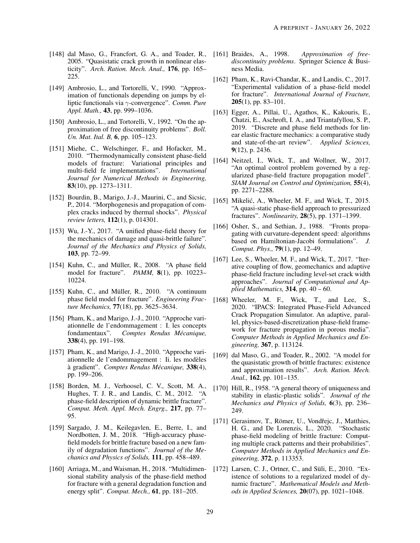- 2005. "Quasistatic crack growth in nonlinear elasticity". *Arch. Ration. Mech. Anal.,* 176, pp. 165– 225.
- <span id="page-28-14"></span><span id="page-28-1"></span>[149] Ambrosio, L., and Tortorelli, V., 1990. "Approximation of functionals depending on jumps by elliptic functionals via γ-convergence". *Comm. Pure Appl. Math.,* 43, pp. 999–1036.
- <span id="page-28-15"></span><span id="page-28-2"></span>[150] Ambrosio, L., and Tortorelli, V., 1992. "On the approximation of free discontinuity problems". *Boll. Un. Mat. Ital. B,* 6, pp. 105–123.
- <span id="page-28-16"></span><span id="page-28-3"></span>[151] Miehe, C., Welschinger, F., and Hofacker, M., 2010. "Thermodynamically consistent phase-field models of fracture: Variational principles and multi-field fe implementations". *International Journal for Numerical Methods in Engineering,* 83(10), pp. 1273–1311.
- <span id="page-28-17"></span><span id="page-28-4"></span>[152] Bourdin, B., Marigo, J.-J., Maurini, C., and Sicsic, P., 2014. "Morphogenesis and propagation of complex cracks induced by thermal shocks". *Physical review letters,* 112(1), p. 014301.
- <span id="page-28-18"></span><span id="page-28-5"></span>[153] Wu, J.-Y., 2017. "A unified phase-field theory for the mechanics of damage and quasi-brittle failure". *Journal of the Mechanics and Physics of Solids,* 103, pp. 72–99.
- <span id="page-28-19"></span><span id="page-28-6"></span>[154] Kuhn, C., and Müller, R., 2008. "A phase field model for fracture". *PAMM,* 8(1), pp. 10223– 10224.
- <span id="page-28-20"></span><span id="page-28-7"></span>[155] Kuhn, C., and Müller, R.,  $2010$ . "A continuum phase field model for fracture". *Engineering Fracture Mechanics,* 77(18), pp. 3625–3634.
- <span id="page-28-8"></span>[156] Pham, K., and Marigo, J.-J., 2010. "Approche variationnelle de l'endommagement : I. les concepts fondamentaux". *Comptes Rendus Mecanique, ´* 338(4), pp. 191–198.
- <span id="page-28-21"></span><span id="page-28-9"></span>[157] Pham, K., and Marigo, J.-J., 2010. "Approche variationnelle de l'endommagement : Ii. les modeles ` a gradient". ` *Comptes Rendus Mecanique, ´* 338(4), pp. 199–206.
- <span id="page-28-22"></span><span id="page-28-10"></span>[158] Borden, M. J., Verhoosel, C. V., Scott, M. A., Hughes, T. J. R., and Landis, C. M., 2012. "A phase-field description of dynamic brittle fracture". *Comput. Meth. Appl. Mech. Engrg.,* 217, pp. 77– 95.
- <span id="page-28-23"></span><span id="page-28-11"></span>[159] Sargado, J. M., Keilegavlen, E., Berre, I., and Nordbotten, J. M., 2018. "High-accuracy phasefield models for brittle fracture based on a new family of degradation functions". *Journal of the Mechanics and Physics of Solids,* 111, pp. 458–489.
- <span id="page-28-24"></span><span id="page-28-12"></span>[160] Arriaga, M., and Waisman, H., 2018. "Multidimensional stability analysis of the phase-field method for fracture with a general degradation function and energy split". *Comput. Mech.,* 61, pp. 181–205.
- <span id="page-28-13"></span><span id="page-28-0"></span>[148] dal Maso, G., Francfort, G. A., and Toader, R., [161] Braides, A., 1998. *Approximation of freediscontinuity problems*. Springer Science & Business Media.
	- [162] Pham, K., Ravi-Chandar, K., and Landis, C., 2017. "Experimental validation of a phase-field model for fracture". *International Journal of Fracture,* 205(1), pp. 83–101.
	- [163] Egger, A., Pillai, U., Agathos, K., Kakouris, E., Chatzi, E., Aschroft, I. A., and Triantafyllou, S. P., 2019. "Discrete and phase field methods for linear elastic fracture mechanics: a comparative study and state-of-the-art review". *Applied Sciences,* 9(12), p. 2436.
	- [164] Neitzel, I., Wick, T., and Wollner, W., 2017. "An optimal control problem governed by a regularized phase-field fracture propagation model". *SIAM Journal on Control and Optimization,* 55(4), pp. 2271–2288.
	- [165] Mikelić, A., Wheeler, M. F., and Wick, T., 2015. "A quasi-static phase-field approach to pressurized fractures". *Nonlinearity,* 28(5), pp. 1371–1399.
	- [166] Osher, S., and Sethian, J., 1988. "Fronts propagating with curvature-dependent speed: algorithms based on Hamiltonian-Jacobi formulations". *J. Comput. Phys.,* 79(1), pp. 12–49.
	- [167] Lee, S., Wheeler, M. F., and Wick, T., 2017. "Iterative coupling of flow, geomechanics and adaptive phase-field fracture including level-set crack width approaches". *Journal of Computational and Applied Mathematics,* 314, pp. 40 – 60.
	- [168] Wheeler, M. F., Wick, T., and Lee, S., 2020. "IPACS: Integrated Phase-Field Advanced Crack Propagation Simulator. An adaptive, parallel, physics-based-discretization phase-field framework for fracture propagation in porous media". *Computer Methods in Applied Mechanics and Engineering,* 367, p. 113124.
	- [169] dal Maso, G., and Toader, R., 2002. "A model for the quasistatic growth of brittle fractures: existence and approximation results". *Arch. Ration. Mech. Anal.,* 162, pp. 101–135.
	- [170] Hill, R., 1958. "A general theory of uniqueness and stability in elastic-plastic solids". *Journal of the Mechanics and Physics of Solids,* 6(3), pp. 236– 249.
	- [171] Gerasimov, T., Römer, U., Vondřejc, J., Matthies, H. G., and De Lorenzis, L., 2020. "Stochastic phase-field modeling of brittle fracture: Computing multiple crack patterns and their probabilities". *Computer Methods in Applied Mechanics and Engineering,* 372, p. 113353.
	- [172] Larsen, C. J., Ortner, C., and Süli, E., 2010. "Existence of solutions to a regularized model of dynamic fracture". *Mathematical Models and Methods in Applied Sciences,* 20(07), pp. 1021–1048.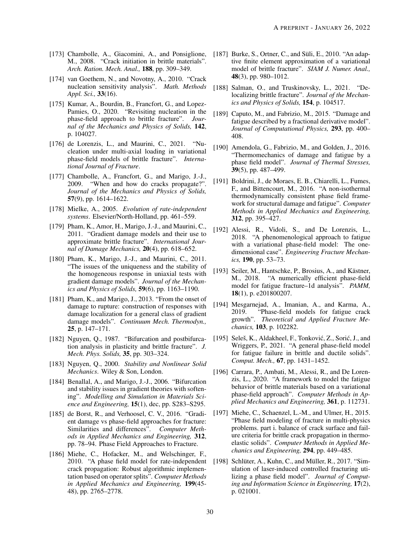- M., 2008. "Crack initiation in brittle materials". *Arch. Ration. Mech. Anal.,* 188, pp. 309–349.
- <span id="page-29-14"></span><span id="page-29-1"></span>[174] van Goethem, N., and Novotny, A., 2010. "Crack nucleation sensitivity analysis". *Math. Methods Appl. Sci.,* 33(16).
- <span id="page-29-15"></span><span id="page-29-2"></span>[175] Kumar, A., Bourdin, B., Francfort, G., and Lopez-Pamies, O., 2020. "Revisiting nucleation in the phase-field approach to brittle fracture". *Journal of the Mechanics and Physics of Solids,* 142, p. 104027.
- <span id="page-29-3"></span>[176] de Lorenzis, L., and Maurini, C., 2021. "Nucleation under multi-axial loading in variational phase-field models of brittle fracture". *International Journal of Fracture*.
- <span id="page-29-4"></span>[177] Chambolle, A., Francfort, G., and Marigo, J.-J., 2009. "When and how do cracks propagate?". *Journal of the Mechanics and Physics of Solids,* 57(9), pp. 1614–1622.
- <span id="page-29-5"></span>[178] Mielke, A., 2005. *Evolution of rate-independent systems*. Elsevier/North-Holland, pp. 461–559.
- <span id="page-29-6"></span>[179] Pham, K., Amor, H., Marigo, J.-J., and Maurini, C., 2011. "Gradient damage models and their use to approximate brittle fracture". *International Journal of Damage Mechanics,* 20(4), pp. 618–652.
- <span id="page-29-18"></span><span id="page-29-7"></span>[180] Pham, K., Marigo, J.-J., and Maurini, C., 2011. "The issues of the uniqueness and the stability of the homogeneous response in uniaxial tests with gradient damage models". *Journal of the Mechanics and Physics of Solids,* 59(6), pp. 1163–1190.
- <span id="page-29-8"></span>[181] Pham, K., and Marigo, J., 2013. "From the onset of damage to rupture: construction of responses with damage localization for a general class of gradient damage models". *Continuum Mech. Thermodyn.,* 25, p. 147–171.
- <span id="page-29-9"></span>[182] Nguyen, Q., 1987. "Bifurcation and postbifurcation analysis in plasticity and brittle fracture". *J. Mech. Phys. Solids,* 35, pp. 303–324.
- <span id="page-29-16"></span><span id="page-29-10"></span>[183] Nguyen, Q., 2000. *Stability and Nonlinear Solid Mechanics*. Wiley & Son, London.
- <span id="page-29-11"></span>[184] Benallal, A., and Marigo, J.-J., 2006. "Bifurcation" and stability issues in gradient theories with softening". *Modelling and Simulation in Materials Science and Engineering,* 15(1), dec, pp. S283–S295.
- <span id="page-29-17"></span><span id="page-29-12"></span>[185] de Borst, R., and Verhoosel, C. V., 2016. "Gradient damage vs phase-field approaches for fracture: Similarities and differences". *Computer Methods in Applied Mechanics and Engineering,* 312, pp. 78–94. Phase Field Approaches to Fracture.
- <span id="page-29-20"></span><span id="page-29-13"></span>[186] Miehe, C., Hofacker, M., and Welschinger, F., 2010. "A phase field model for rate-independent crack propagation: Robust algorithmic implementation based on operator splits". *Computer Methods in Applied Mechanics and Engineering,* 199(45- 48), pp. 2765–2778.
- <span id="page-29-19"></span><span id="page-29-0"></span>[173] Chambolle, A., Giacomini, A., and Ponsiglione, [187] Burke, S., Ortner, C., and Süli, E., 2010. "An adaptive finite element approximation of a variational model of brittle fracture". *SIAM J. Numer. Anal.,* 48(3), pp. 980–1012.
	- [188] Salman, O., and Truskinovsky, L., 2021. "Delocalizing brittle fracture". *Journal of the Mechanics and Physics of Solids,* 154, p. 104517.
	- [189] Caputo, M., and Fabrizio, M., 2015. "Damage and fatigue described by a fractional derivative model". *Journal of Computational Physics,* 293, pp. 400– 408.
	- [190] Amendola, G., Fabrizio, M., and Golden, J., 2016. "Thermomechanics of damage and fatigue by a phase field model". *Journal of Thermal Stresses,* 39(5), pp. 487–499.
	- [191] Boldrini, J., de Moraes, E. B., Chiarelli, L., Fumes, F., and Bittencourt, M., 2016. "A non-isothermal thermodynamically consistent phase field framework for structural damage and fatigue". *Computer Methods in Applied Mechanics and Engineering,* 312, pp. 395–427.
	- [192] Alessi, R., Vidoli, S., and De Lorenzis, L., 2018. "A phenomenological approach to fatigue with a variational phase-field model: The onedimensional case". *Engineering Fracture Mechanics,* 190, pp. 53–73.
	- [193] Seiler, M., Hantschke, P., Brosius, A., and Kästner, M., 2018. "A numerically efficient phase-field model for fatigue fracture–1d analysis". *PAMM,* 18(1), p. e201800207.
	- [194] Mesgarnejad, A., Imanian, A., and Karma, A., 2019. "Phase-field models for fatigue crack growth". *Theoretical and Applied Fracture Mechanics,* 103, p. 102282.
	- [195] Seleš, K., Aldakheel, F., Tonković, Z., Sorić, J., and Wriggers, P., 2021. "A general phase-field model for fatigue failure in brittle and ductile solids". *Comput. Mech.,* 67, pp. 1431–1452.
	- [196] Carrara, P., Ambati, M., Alessi, R., and De Lorenzis, L., 2020. "A framework to model the fatigue behavior of brittle materials based on a variational phase-field approach". *Computer Methods in Applied Mechanics and Engineering,* 361, p. 112731.
	- [197] Miehe, C., Schaenzel, L.-M., and Ulmer, H., 2015. "Phase field modeling of fracture in multi-physics problems. part i. balance of crack surface and failure criteria for brittle crack propagation in thermoelastic solids". *Computer Methods in Applied Mechanics and Engineering,* 294, pp. 449–485.
	- [198] Schlüter, A., Kuhn, C., and Müller, R., 2017. "Simulation of laser-induced controlled fracturing utilizing a phase field model". *Journal of Computing and Information Science in Engineering,* 17(2), p. 021001.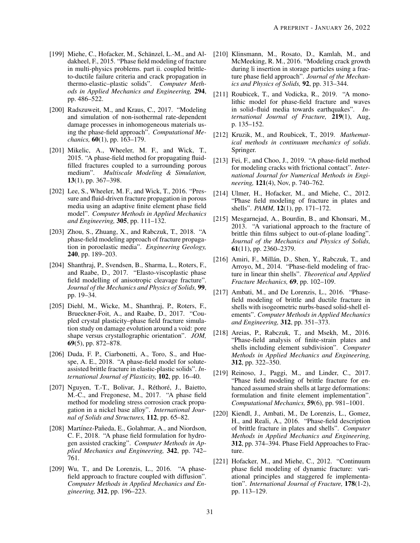- <span id="page-30-8"></span>[199] Miehe, C., Hofacker, M., Schänzel, L.-M., and Aldakheel, F., 2015. "Phase field modeling of fracture in multi-physics problems. part ii. coupled brittleto-ductile failure criteria and crack propagation in thermo-elastic–plastic solids". *Computer Methods in Applied Mechanics and Engineering,* 294, pp. 486–522.
- [200] Radszuweit, M., and Kraus, C., 2017. "Modeling and simulation of non-isothermal rate-dependent damage processes in inhomogeneous materials using the phase-field approach". *Computational Mechanics,* 60(1), pp. 163–179.
- <span id="page-30-11"></span>[201] Mikelic, A., Wheeler, M. F., and Wick, T., 2015. "A phase-field method for propagating fluidfilled fractures coupled to a surrounding porous medium". *Multiscale Modeling & Simulation,* 13(1), pp. 367–398.
- <span id="page-30-5"></span>[202] Lee, S., Wheeler, M. F., and Wick, T., 2016. "Pressure and fluid-driven fracture propagation in porous media using an adaptive finite element phase field model". *Computer Methods in Applied Mechanics and Engineering,* 305, pp. 111–132.
- <span id="page-30-12"></span>[203] Zhou, S., Zhuang, X., and Rabczuk, T., 2018. "A phase-field modeling approach of fracture propagation in poroelastic media". *Engineering Geology,* 240, pp. 189–203.
- [204] Shanthraj, P., Svendsen, B., Sharma, L., Roters, F., and Raabe, D., 2017. "Elasto-viscoplastic phase field modelling of anisotropic cleavage fracture". *Journal of the Mechanics and Physics of Solids,* 99, pp. 19–34.
- [205] Diehl, M., Wicke, M., Shanthraj, P., Roters, F., Brueckner-Foit, A., and Raabe, D., 2017. "Coupled crystal plasticity–phase field fracture simulation study on damage evolution around a void: pore shape versus crystallographic orientation". *JOM,* 69(5), pp. 872–878.
- [206] Duda, F. P., Ciarbonetti, A., Toro, S., and Huespe, A. E., 2018. "A phase-field model for soluteassisted brittle fracture in elastic-plastic solids". *International Journal of Plasticity,* 102, pp. 16–40.
- [207] Nguyen, T.-T., Bolivar, J., Réthoré, J., Baietto, M.-C., and Fregonese, M., 2017. "A phase field method for modeling stress corrosion crack propagation in a nickel base alloy". *International Journal of Solids and Structures,* 112, pp. 65–82.
- [208] Martínez-Pañeda, E., Golahmar, A., and Niordson, C. F., 2018. "A phase field formulation for hydrogen assisted cracking". *Computer Methods in Applied Mechanics and Engineering,* 342, pp. 742– 761.
- <span id="page-30-13"></span>[209] Wu, T., and De Lorenzis, L., 2016. "A phasefield approach to fracture coupled with diffusion". *Computer Methods in Applied Mechanics and Engineering,* 312, pp. 196–223.
- <span id="page-30-10"></span>[210] Klinsmann, M., Rosato, D., Kamlah, M., and McMeeking, R. M., 2016. "Modeling crack growth during li insertion in storage particles using a fracture phase field approach". *Journal of the Mechanics and Physics of Solids,* 92, pp. 313–344.
- [211] Roubicek, T., and Vodicka, R., 2019. "A monolithic model for phase-field fracture and waves in solid–fluid media towards earthquakes". *International Journal of Fracture,* 219(1), Aug, p. 135–152.
- <span id="page-30-0"></span>[212] Kruzik, M., and Roubicek, T., 2019. *Mathematical methods in continuum mechanics of solids*. Springer.
- <span id="page-30-1"></span>[213] Fei, F., and Choo, J., 2019. "A phase-field method for modeling cracks with frictional contact". *International Journal for Numerical Methods in Engineering,* 121(4), Nov, p. 740–762.
- <span id="page-30-2"></span>[214] Ulmer, H., Hofacker, M., and Miehe, C., 2012. "Phase field modeling of fracture in plates and shells". *PAMM,* 12(1), pp. 171–172.
- <span id="page-30-9"></span>[215] Mesgarnejad, A., Bourdin, B., and Khonsari, M., 2013. "A variational approach to the fracture of brittle thin films subject to out-of-plane loading". *Journal of the Mechanics and Physics of Solids,* 61(11), pp. 2360–2379.
- <span id="page-30-4"></span>[216] Amiri, F., Millán, D., Shen, Y., Rabczuk, T., and Arroyo, M., 2014. "Phase-field modeling of fracture in linear thin shells". *Theoretical and Applied Fracture Mechanics,* 69, pp. 102–109.
- <span id="page-30-7"></span>[217] Ambati, M., and De Lorenzis, L., 2016. "Phasefield modeling of brittle and ductile fracture in shells with isogeometric nurbs-based solid-shell elements". *Computer Methods in Applied Mechanics and Engineering,* 312, pp. 351–373.
- [218] Areias, P., Rabczuk, T., and Msekh, M., 2016. "Phase-field analysis of finite-strain plates and shells including element subdivision". *Computer Methods in Applied Mechanics and Engineering,* 312, pp. 322–350.
- [219] Reinoso, J., Paggi, M., and Linder, C., 2017. "Phase field modeling of brittle fracture for enhanced assumed strain shells at large deformations: formulation and finite element implementation". *Computational Mechanics,* 59(6), pp. 981–1001.
- <span id="page-30-3"></span>[220] Kiendl, J., Ambati, M., De Lorenzis, L., Gomez, H., and Reali, A., 2016. "Phase-field description of brittle fracture in plates and shells". *Computer Methods in Applied Mechanics and Engineering,* 312, pp. 374–394. Phase Field Approaches to Fracture.
- <span id="page-30-6"></span>[221] Hofacker, M., and Miehe, C., 2012. "Continuum phase field modeling of dynamic fracture: variational principles and staggered fe implementation". *International Journal of Fracture,* 178(1-2), pp. 113–129.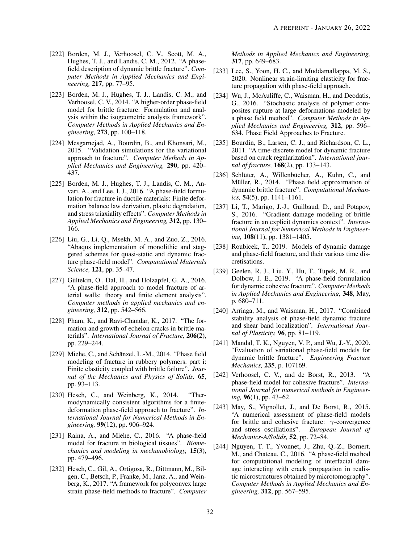- <span id="page-31-4"></span>[222] Borden, M. J., Verhoosel, C. V., Scott, M. A., Hughes, T. J., and Landis, C. M., 2012. "A phasefield description of dynamic brittle fracture". *Computer Methods in Applied Mechanics and Engineering,* 217, pp. 77–95.
- <span id="page-31-16"></span>[223] Borden, M. J., Hughes, T. J., Landis, C. M., and Verhoosel, C. V., 2014. "A higher-order phase-field model for brittle fracture: Formulation and analysis within the isogeometric analysis framework". *Computer Methods in Applied Mechanics and Engineering,* 273, pp. 100–118.
- <span id="page-31-17"></span>[224] Mesgarnejad, A., Bourdin, B., and Khonsari, M., 2015. "Validation simulations for the variational approach to fracture". *Computer Methods in Applied Mechanics and Engineering,* 290, pp. 420– 437.
- <span id="page-31-8"></span>[225] Borden, M. J., Hughes, T. J., Landis, C. M., Anvari, A., and Lee, I. J., 2016. "A phase-field formulation for fracture in ductile materials: Finite deformation balance law derivation, plastic degradation, and stress triaxiality effects". *Computer Methods in Applied Mechanics and Engineering,* 312, pp. 130– 166.
- <span id="page-31-13"></span>[226] Liu, G., Li, Q., Msekh, M. A., and Zuo, Z., 2016. "Abaqus implementation of monolithic and staggered schemes for quasi-static and dynamic fracture phase-field model". *Computational Materials Science,* 121, pp. 35–47.
- <span id="page-31-1"></span>[227] Gültekin, O., Dal, H., and Holzapfel, G. A.,  $2016$ . "A phase-field approach to model fracture of arterial walls: theory and finite element analysis". *Computer methods in applied mechanics and engineering,* 312, pp. 542–566.
- <span id="page-31-0"></span>[228] Pham, K., and Ravi-Chandar, K., 2017. "The formation and growth of echelon cracks in brittle materials". *International Journal of Fracture,* 206(2), pp. 229–244.
- <span id="page-31-2"></span>[229] Miehe, C., and Schänzel, L.-M., 2014. "Phase field modeling of fracture in rubbery polymers. part i: Finite elasticity coupled with brittle failure". *Journal of the Mechanics and Physics of Solids,* 65, pp. 93–113.
- [230] Hesch, C., and Weinberg, K., 2014. "Thermodynamically consistent algorithms for a finitedeformation phase-field approach to fracture". *International Journal for Numerical Methods in Engineering,* 99(12), pp. 906–924.
- [231] Raina, A., and Miehe, C., 2016. "A phase-field model for fracture in biological tissues". *Biomechanics and modeling in mechanobiology,* 15(3), pp. 479–496.
- <span id="page-31-12"></span>[232] Hesch, C., Gil, A., Ortigosa, R., Dittmann, M., Bilgen, C., Betsch, P., Franke, M., Janz, A., and Weinberg, K., 2017. "A framework for polyconvex large strain phase-field methods to fracture". *Computer*

*Methods in Applied Mechanics and Engineering,* 317, pp. 649–683.

- [233] Lee, S., Yoon, H. C., and Muddamallappa, M. S., 2020. Nonlinear strain-limiting elasticity for fracture propagation with phase-field approach.
- <span id="page-31-3"></span>[234] Wu, J., McAuliffe, C., Waisman, H., and Deodatis, G., 2016. "Stochastic analysis of polymer composites rupture at large deformations modeled by a phase field method". *Computer Methods in Applied Mechanics and Engineering,* 312, pp. 596– 634. Phase Field Approaches to Fracture.
- <span id="page-31-5"></span>[235] Bourdin, B., Larsen, C. J., and Richardson, C. L., 2011. "A time-discrete model for dynamic fracture based on crack regularization". *International journal of fracture,* 168(2), pp. 133–143.
- <span id="page-31-15"></span>[236] Schlüter, A., Willenbücher, A., Kuhn, C., and Müller, R., 2014. "Phase field approximation of dynamic brittle fracture". *Computational Mechanics,* 54(5), pp. 1141–1161.
- <span id="page-31-11"></span>[237] Li, T., Marigo, J.-J., Guilbaud, D., and Potapov, S., 2016. "Gradient damage modeling of brittle fracture in an explicit dynamics context". *International Journal for Numerical Methods in Engineering,* 108(11), pp. 1381–1405.
- [238] Roubicek, T., 2019. Models of dynamic damage and phase-field fracture, and their various time discretisations.
- <span id="page-31-10"></span>[239] Geelen, R. J., Liu, Y., Hu, T., Tupek, M. R., and Dolbow, J. E., 2019. "A phase-field formulation for dynamic cohesive fracture". *Computer Methods in Applied Mechanics and Engineering,* 348, May, p. 680–711.
- [240] Arriaga, M., and Waisman, H., 2017. "Combined stability analysis of phase-field dynamic fracture and shear band localization". *International Journal of Plasticity,* 96, pp. 81–119.
- <span id="page-31-6"></span>[241] Mandal, T. K., Nguyen, V. P., and Wu, J.-Y., 2020. "Evaluation of variational phase-field models for dynamic brittle fracture". *Engineering Fracture Mechanics,* 235, p. 107169.
- <span id="page-31-7"></span>[242] Verhoosel, C. V., and de Borst, R., 2013. "A phase-field model for cohesive fracture". *International Journal for numerical methods in Engineering,* 96(1), pp. 43–62.
- <span id="page-31-14"></span>[243] May, S., Vignollet, J., and De Borst, R., 2015. "A numerical assessment of phase-field models for brittle and cohesive fracture:  $\gamma$ -convergence and stress oscillations". *European Journal of Mechanics-A/Solids,* 52, pp. 72–84.
- <span id="page-31-9"></span>[244] Nguyen, T. T., Yvonnet, J., Zhu, Q.-Z., Bornert, M., and Chateau, C., 2016. "A phase-field method for computational modeling of interfacial damage interacting with crack propagation in realistic microstructures obtained by microtomography". *Computer Methods in Applied Mechanics and Engineering,* 312, pp. 567–595.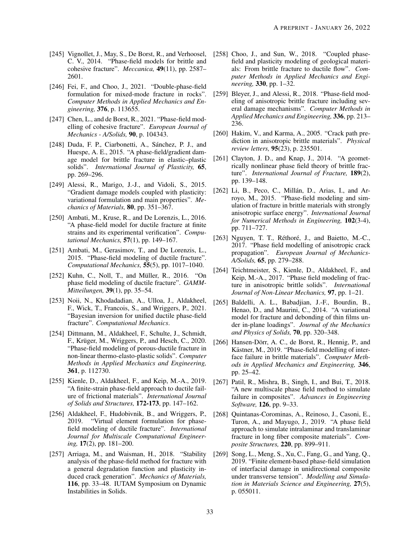- <span id="page-32-7"></span>[245] Vignollet, J., May, S., De Borst, R., and Verhoosel, C. V., 2014. "Phase-field models for brittle and cohesive fracture". *Meccanica,* 49(11), pp. 2587– 2601.
- <span id="page-32-8"></span>[246] Fei, F., and Choo, J., 2021. "Double-phase-field formulation for mixed-mode fracture in rocks". *Computer Methods in Applied Mechanics and Engineering,* 376, p. 113655.
- <span id="page-32-0"></span>[247] Chen, L., and de Borst, R., 2021. "Phase-field modelling of cohesive fracture". *European Journal of Mechanics - A/Solids,* 90, p. 104343.
- <span id="page-32-1"></span>[248] Duda, F. P., Ciarbonetti, A., Sánchez, P. J., and Huespe, A. E., 2015. "A phase-field/gradient damage model for brittle fracture in elastic–plastic solids". *International Journal of Plasticity,* 65, pp. 269–296.
- [249] Alessi, R., Marigo, J.-J., and Vidoli, S., 2015. "Gradient damage models coupled with plasticity: variational formulation and main properties". *Mechanics of Materials,* 80, pp. 351–367.
- [250] Ambati, M., Kruse, R., and De Lorenzis, L., 2016. "A phase-field model for ductile fracture at finite strains and its experimental verification". *Computational Mechanics,* 57(1), pp. 149–167.
- [251] Ambati, M., Gerasimov, T., and De Lorenzis, L., 2015. "Phase-field modeling of ductile fracture". *Computational Mechanics,* 55(5), pp. 1017–1040.
- <span id="page-32-6"></span> $[252]$  Kuhn, C., Noll, T., and Müller, R., 2016. "On phase field modeling of ductile fracture". *GAMM-Mitteilungen,* 39(1), pp. 35–54.
- [253] Noii, N., Khodadadian, A., Ulloa, J., Aldakheel, F., Wick, T., Francois, S., and Wriggers, P., 2021. "Bayesian inversion for unified ductile phase-field fracture". *Computational Mechanics*.
- [254] Dittmann, M., Aldakheel, F., Schulte, J., Schmidt, F., Krüger, M., Wriggers, P., and Hesch, C., 2020. "Phase-field modeling of porous-ductile fracture in non-linear thermo-elasto-plastic solids". *Computer Methods in Applied Mechanics and Engineering,* 361, p. 112730.
- [255] Kienle, D., Aldakheel, F., and Keip, M.-A., 2019. "A finite-strain phase-field approach to ductile failure of frictional materials". *International Journal of Solids and Structures,* 172-173, pp. 147–162.
- [256] Aldakheel, F., Hudobivnik, B., and Wriggers, P., 2019. "Virtual element formulation for phasefield modeling of ductile fracture". *International Journal for Multiscale Computational Engineering,* 17(2), pp. 181–200.
- [257] Arriaga, M., and Waisman, H., 2018. "Stability analysis of the phase-field method for fracture with a general degradation function and plasticity induced crack generation". *Mechanics of Materials,* 116, pp. 33–48. IUTAM Symposium on Dynamic Instabilities in Solids.
- <span id="page-32-2"></span>[258] Choo, J., and Sun, W., 2018. "Coupled phasefield and plasticity modeling of geological materials: From brittle fracture to ductile flow". *Computer Methods in Applied Mechanics and Engineering,* 330, pp. 1–32.
- <span id="page-32-3"></span>[259] Bleyer, J., and Alessi, R., 2018. "Phase-field modeling of anisotropic brittle fracture including several damage mechanisms". *Computer Methods in Applied Mechanics and Engineering,* 336, pp. 213– 236.
- [260] Hakim, V., and Karma, A., 2005. "Crack path prediction in anisotropic brittle materials". *Physical review letters,* 95(23), p. 235501.
- [261] Clayton, J. D., and Knap, J., 2014. "A geometrically nonlinear phase field theory of brittle fracture". *International Journal of Fracture,* 189(2), pp. 139–148.
- [262] Li, B., Peco, C., Millán, D., Arias, I., and Arroyo, M., 2015. "Phase-field modeling and simulation of fracture in brittle materials with strongly anisotropic surface energy". *International Journal for Numerical Methods in Engineering,* 102(3-4), pp. 711–727.
- $[263]$  Nguyen, T. T., Réthoré, J., and Baietto, M.-C., 2017. "Phase field modelling of anisotropic crack propagation". *European Journal of Mechanics-A/Solids,* 65, pp. 279–288.
- <span id="page-32-4"></span>[264] Teichtmeister, S., Kienle, D., Aldakheel, F., and Keip, M.-A., 2017. "Phase field modeling of fracture in anisotropic brittle solids". *International Journal of Non-Linear Mechanics,* 97, pp. 1–21.
- <span id="page-32-5"></span>[265] Baldelli, A. L., Babadjian, J.-F., Bourdin, B., Henao, D., and Maurini, C., 2014. "A variational model for fracture and debonding of thin films under in-plane loadings". *Journal of the Mechanics and Physics of Solids,* 70, pp. 320–348.
- [266] Hansen-Dörr, A. C., de Borst, R., Hennig, P., and Kästner, M., 2019. "Phase-field modelling of interface failure in brittle materials". *Computer Methods in Applied Mechanics and Engineering,* 346, pp. 25–42.
- <span id="page-32-9"></span>[267] Patil, R., Mishra, B., Singh, I., and Bui, T., 2018. "A new multiscale phase field method to simulate failure in composites". *Advances in Engineering Software,* 126, pp. 9–33.
- [268] Quintanas-Corominas, A., Reinoso, J., Casoni, E., Turon, A., and Mayugo, J., 2019. "A phase field approach to simulate intralaminar and translaminar fracture in long fiber composite materials". *Composite Structures,* 220, pp. 899–911.
- [269] Song, L., Meng, S., Xu, C., Fang, G., and Yang, Q., 2019. "Finite element-based phase-field simulation of interfacial damage in unidirectional composite under transverse tension". *Modelling and Simulation in Materials Science and Engineering,* 27(5), p. 055011.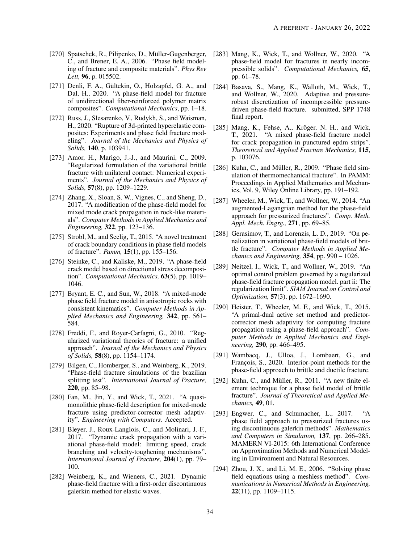- [270] Spatschek, R., Pilipenko, D., Müller-Gugenberger, [283] Mang, K., Wick, T., and Wollner, W., 2020. "A C., and Brener, E. A., 2006. "Phase field modeling of fracture and composite materials". *Phys Rev Lett,* 96, p. 015502.
- <span id="page-33-0"></span>[271] Denli, F. A., Gültekin, O., Holzapfel, G. A., and Dal, H., 2020. "A phase-field model for fracture of unidirectional fiber-reinforced polymer matrix composites". *Computational Mechanics*, pp. 1–18.
- <span id="page-33-1"></span>[272] Russ, J., Slesarenko, V., Rudykh, S., and Waisman, H., 2020. "Rupture of 3d-printed hyperelastic composites: Experiments and phase field fracture modeling". *Journal of the Mechanics and Physics of Solids,* 140, p. 103941.
- <span id="page-33-2"></span>[273] Amor, H., Marigo, J.-J., and Maurini, C., 2009. "Regularized formulation of the variational brittle fracture with unilateral contact: Numerical experiments". *Journal of the Mechanics and Physics of Solids,* 57(8), pp. 1209–1229.
- <span id="page-33-3"></span>[274] Zhang, X., Sloan, S. W., Vignes, C., and Sheng, D., 2017. "A modification of the phase-field model for mixed mode crack propagation in rock-like materials". *Computer Methods in Applied Mechanics and Engineering,* 322, pp. 123–136.
- <span id="page-33-4"></span>[275] Strobl, M., and Seelig, T., 2015. "A novel treatment of crack boundary conditions in phase field models of fracture". *Pamm,* 15(1), pp. 155–156.
- <span id="page-33-5"></span>[276] Steinke, C., and Kaliske, M., 2019. "A phase-field crack model based on directional stress decomposition". *Computational Mechanics,* 63(5), pp. 1019– 1046.
- <span id="page-33-6"></span>[277] Bryant, E. C., and Sun, W., 2018. "A mixed-mode phase field fracture model in anisotropic rocks with consistent kinematics". *Computer Methods in Applied Mechanics and Engineering,* 342, pp. 561– 584.
- <span id="page-33-7"></span>[278] Freddi, F., and Royer-Carfagni, G., 2010. "Regularized variational theories of fracture: a unified approach". *Journal of the Mechanics and Physics of Solids,* 58(8), pp. 1154–1174.
- <span id="page-33-8"></span>[279] Bilgen, C., Homberger, S., and Weinberg, K., 2019. "Phase-field fracture simulations of the brazilian splitting test". *International Journal of Fracture,* 220, pp. 85–98.
- <span id="page-33-9"></span>[280] Fan, M., Jin, Y., and Wick, T., 2021. "A quasimonolithic phase-field description for mixed-mode fracture using predictor-corrector mesh adaptivity". *Engineering with Computers*. Accepted.
- <span id="page-33-17"></span>[281] Bleyer, J., Roux-Langlois, C., and Molinari, J.-F., 2017. "Dynamic crack propagation with a variational phase-field model: limiting speed, crack branching and velocity-toughening mechanisms". *International Journal of Fracture,* 204(1), pp. 79– 100.
- <span id="page-33-18"></span>[282] Weinberg, K., and Wieners, C., 2021. Dynamic phase-field fracture with a first-order discontinuous galerkin method for elastic waves.
- <span id="page-33-13"></span>phase-field model for fractures in nearly incompressible solids". *Computational Mechanics,* 65, pp. 61–78.
- <span id="page-33-23"></span>[284] Basava, S., Mang, K., Walloth, M., Wick, T., and Wollner, W., 2020. Adaptive and pressurerobust discretization of incompressible pressuredriven phase-field fracture. submitted, SPP 1748 final report.
- <span id="page-33-19"></span>[285] Mang, K., Fehse, A., Kröger, N. H., and Wick, T., 2021. "A mixed phase-field fracture model for crack propagation in punctured epdm strips". *Theoretical and Applied Fracture Mechanics,* 115, p. 103076.
- <span id="page-33-20"></span>[ $286$ ] Kuhn, C., and Müller, R.,  $2009$ . "Phase field simulation of thermomechanical fracture". In PAMM: Proceedings in Applied Mathematics and Mechanics, Vol. 9, Wiley Online Library, pp. 191–192.
- <span id="page-33-10"></span>[287] Wheeler, M., Wick, T., and Wollner, W., 2014. "An augmented-Lagangrian method for the phase-field approach for pressurized fractures". *Comp. Meth. Appl. Mech. Engrg.,* 271, pp. 69–85.
- <span id="page-33-15"></span>[288] Gerasimov, T., and Lorenzis, L. D., 2019. "On penalization in variational phase-field models of brittle fracture". *Computer Methods in Applied Mechanics and Engineering,* 354, pp. 990 – 1026.
- <span id="page-33-11"></span>[289] Neitzel, I., Wick, T., and Wollner, W., 2019. "An optimal control problem governed by a regularized phase-field fracture propagation model. part ii: The regularization limit". *SIAM Journal on Control and Optimization,* 57(3), pp. 1672–1690.
- <span id="page-33-12"></span>[290] Heister, T., Wheeler, M. F., and Wick, T., 2015. "A primal-dual active set method and predictorcorrector mesh adaptivity for computing fracture propagation using a phase-field approach". *Computer Methods in Applied Mechanics and Engineering,* 290, pp. 466–495.
- <span id="page-33-14"></span>[291] Wambacq, J., Ulloa, J., Lombaert, G., and François, S., 2020. Interior-point methods for the phase-field approach to brittle and ductile fracture.
- <span id="page-33-16"></span> $[292]$  Kuhn, C., and Müller, R., 2011. "A new finite element technique for a phase field model of brittle fracture". *Journal of Theoretical and Applied Mechanics,* 49, 01.
- <span id="page-33-21"></span>[293] Engwer, C., and Schumacher, L., 2017. "A phase field approach to pressurized fractures using discontinuous galerkin methods". *Mathematics and Computers in Simulation,* 137, pp. 266–285. MAMERN VI-2015: 6th International Conference on Approximation Methods and Numerical Modeling in Environment and Natural Resources.
- <span id="page-33-22"></span>[294] Zhou, J. X., and Li, M. E., 2006. "Solving phase field equations using a meshless method". *Communications in Numerical Methods in Engineering,* 22(11), pp. 1109–1115.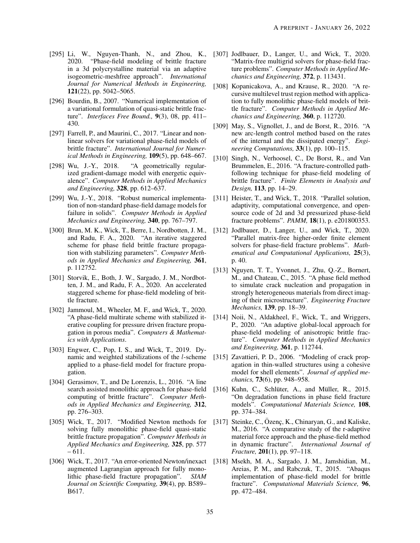- 2020. "Phase-field modeling of brittle fracture in a 3d polycrystalline material via an adaptive isogeometric-meshfree approach". *International Journal for Numerical Methods in Engineering,* 121(22), pp. 5042–5065.
- <span id="page-34-7"></span><span id="page-34-1"></span>[296] Bourdin, B., 2007. "Numerical implementation of a variational formulation of quasi-static brittle fracture". *Interfaces Free Bound.,* 9(3), 08, pp. 411– 430.
- <span id="page-34-10"></span><span id="page-34-8"></span>[297] Farrell, P., and Maurini, C., 2017. "Linear and nonlinear solvers for variational phase-field models of brittle fracture". *International Journal for Numerical Methods in Engineering,* 109(5), pp. 648–667.
- <span id="page-34-9"></span><span id="page-34-2"></span>[298] Wu, J.-Y., 2018. "A geometrically regularized gradient-damage model with energetic equivalence". *Computer Methods in Applied Mechanics and Engineering,* 328, pp. 612–637.
- <span id="page-34-11"></span><span id="page-34-3"></span>[299] Wu, J.-Y., 2018. "Robust numerical implementation of non-standard phase-field damage models for failure in solids". *Computer Methods in Applied Mechanics and Engineering,* 340, pp. 767–797.
- <span id="page-34-13"></span><span id="page-34-4"></span>[300] Brun, M. K., Wick, T., Berre, I., Nordbotten, J. M., and Radu, F. A., 2020. "An iterative staggered scheme for phase field brittle fracture propagation with stabilizing parameters". *Computer Methods in Applied Mechanics and Engineering,* 361, p. 112752.
- <span id="page-34-14"></span>[301] Storvik, E., Both, J. W., Sargado, J. M., Nordbotten, J. M., and Radu, F. A., 2020. An accelerated staggered scheme for phase-field modeling of brittle fracture.
- <span id="page-34-20"></span><span id="page-34-15"></span>[302] Jammoul, M., Wheeler, M. F., and Wick, T., 2020. "A phase-field multirate scheme with stabilized iterative coupling for pressure driven fracture propagation in porous media". *Computers & Mathematics with Applications*.
- <span id="page-34-16"></span><span id="page-34-5"></span>[303] Engwer, C., Pop, I. S., and Wick, T., 2019. Dynamic and weighted stabilizations of the l-scheme applied to a phase-field model for fracture propagation.
- <span id="page-34-17"></span><span id="page-34-6"></span>[304] Gerasimov, T., and De Lorenzis, L., 2016. "A line search assisted monolithic approach for phase-field computing of brittle fracture". *Computer Methods in Applied Mechanics and Engineering,* 312, pp. 276–303.
- <span id="page-34-18"></span>[305] Wick, T., 2017. "Modified Newton methods for solving fully monolithic phase-field quasi-static brittle fracture propagation". *Computer Methods in Applied Mechanics and Engineering,* 325, pp. 577 – 611.
- <span id="page-34-21"></span><span id="page-34-19"></span>[306] Wick, T., 2017. "An error-oriented Newton/inexact augmented Lagrangian approach for fully monolithic phase-field fracture propagation". *SIAM Journal on Scientific Computing,* 39(4), pp. B589– B617.
- <span id="page-34-12"></span><span id="page-34-0"></span>[295] Li, W., Nguyen-Thanh, N., and Zhou, K., [307] Jodlbauer, D., Langer, U., and Wick, T., 2020. "Matrix-free multigrid solvers for phase-field fracture problems". *Computer Methods in Applied Mechanics and Engineering,* 372, p. 113431.
	- [308] Kopanicakova, A., and Krause, R., 2020. "A recursive multilevel trust region method with application to fully monolithic phase-field models of brittle fracture". *Computer Methods in Applied Mechanics and Engineering,* 360, p. 112720.
	- [309] May, S., Vignollet, J., and de Borst, R., 2016. "A new arc-length control method based on the rates of the internal and the dissipated energy". *Engineering Computations,* 33(1), pp. 100–115.
	- [310] Singh, N., Verhoosel, C., De Borst, R., and Van Brummelen, E., 2016. "A fracture-controlled pathfollowing technique for phase-field modeling of brittle fracture". *Finite Elements in Analysis and Design,* 113, pp. 14–29.
	- [311] Heister, T., and Wick, T., 2018. "Parallel solution, adaptivity, computational convergence, and opensource code of 2d and 3d pressurized phase-field fracture problems". *PAMM,* 18(1), p. e201800353.
	- [312] Jodlbauer, D., Langer, U., and Wick, T., 2020. "Parallel matrix-free higher-order finite element solvers for phase-field fracture problems". *Mathematical and Computational Applications,* 25(3), p. 40.
	- [313] Nguyen, T. T., Yvonnet, J., Zhu, Q.-Z., Bornert, M., and Chateau, C., 2015. "A phase field method to simulate crack nucleation and propagation in strongly heterogeneous materials from direct imaging of their microstructure". *Engineering Fracture Mechanics,* 139, pp. 18–39.
	- [314] Noii, N., Aldakheel, F., Wick, T., and Wriggers, P., 2020. "An adaptive global-local approach for phase-field modeling of anisotropic brittle fracture". *Computer Methods in Applied Mechanics and Engineering,* 361, p. 112744.
	- [315] Zavattieri, P. D., 2006. "Modeling of crack propagation in thin-walled structures using a cohesive model for shell elements". *Journal of applied mechanics,* 73(6), pp. 948–958.
	- [316] Kuhn, C., Schlüter, A., and Müller, R., 2015. "On degradation functions in phase field fracture models". *Computational Materials Science,* 108, pp. 374–384.
	- [317] Steinke, C., Özenc, K., Chinaryan, G., and Kaliske, M., 2016. "A comparative study of the r-adaptive material force approach and the phase-field method in dynamic fracture". *International Journal of Fracture,* 201(1), pp. 97–118.
	- [318] Msekh, M. A., Sargado, J. M., Jamshidian, M., Areias, P. M., and Rabczuk, T., 2015. "Abaqus implementation of phase-field model for brittle fracture". *Computational Materials Science,* 96, pp. 472–484.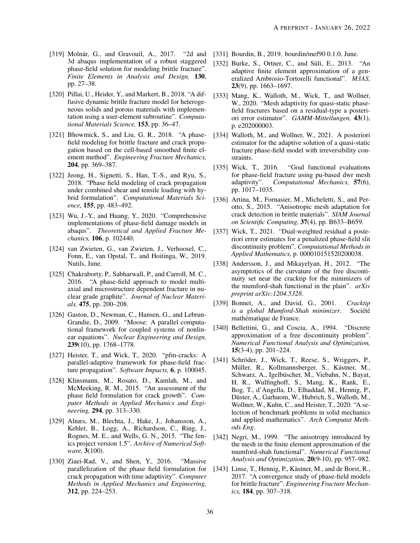- [319] Molnár, G., and Gravouil, A., 2017. "2d and 3d abaqus implementation of a robust staggered phase-field solution for modeling brittle fracture". *Finite Elements in Analysis and Design,* 130, pp. 27–38.
- [320] Pillai, U., Heider, Y., and Markert, B., 2018. "A diffusive dynamic brittle fracture model for heterogeneous solids and porous materials with implementation using a user-element subroutine". *Computational Materials Science,* 153, pp. 36–47.
- [321] Bhowmick, S., and Liu, G. R., 2018. "A phasefield modeling for brittle fracture and crack propagation based on the cell-based smoothed finite element method". *Engineering Fracture Mechanics,* 204, pp. 369–387.
- [322] Jeong, H., Signetti, S., Han, T.-S., and Ryu, S., 2018. "Phase field modeling of crack propagation under combined shear and tensile loading with hybrid formulation". *Computational Materials Science,* 155, pp. 483–492.
- <span id="page-35-0"></span>[323] Wu, J.-Y., and Huang, Y., 2020. "Comprehensive implementations of phase-field damage models in abaqus". *Theoretical and Applied Fracture Mechanics,* 106, p. 102440.
- <span id="page-35-1"></span>[324] van Zwieten, G., van Zwieten, J., Verhoosel, C., Fonn, E., van Opstal, T., and Hoitinga, W., 2019. Nutils, June.
- <span id="page-35-2"></span>[325] Chakraborty, P., Sabharwall, P., and Carroll, M. C., 2016. "A phase-field approach to model multiaxial and microstructure dependent fracture in nuclear grade graphite". *Journal of Nuclear Materials,* 475, pp. 200–208.
- <span id="page-35-3"></span>[326] Gaston, D., Newman, C., Hansen, G., and Lebrun-Grandie, D., 2009. "Moose: A parallel computational framework for coupled systems of nonlinear equations". *Nuclear Engineering and Design,* 239(10), pp. 1768–1778.
- <span id="page-35-4"></span>[327] Heister, T., and Wick, T., 2020. "pfm-cracks: A parallel-adaptive framework for phase-field fracture propagation". *Software Impacts,* 6, p. 100045.
- <span id="page-35-5"></span>[328] Klinsmann, M., Rosato, D., Kamlah, M., and McMeeking, R. M., 2015. "An assessment of the phase field formulation for crack growth". *Computer Methods in Applied Mechanics and Engineering,* 294, pp. 313–330.
- <span id="page-35-6"></span>[329] Alnæs, M., Blechta, J., Hake, J., Johansson, A., Kehlet, B., Logg, A., Richardson, C., Ring, J., Rognes, M. E., and Wells, G. N., 2015. "The fenics project version 1.5". *Archive of Numerical Software,* 3(100).
- <span id="page-35-7"></span>[330] Ziaei-Rad, V., and Shen, Y., 2016. "Massive parallelization of the phase field formulation for crack propagation with time adaptivity". *Computer Methods in Applied Mechanics and Engineering,* 312, pp. 224–253.
- <span id="page-35-8"></span>[331] Bourdin, B., 2019. bourdin/mef90 0.1.0, June.
- <span id="page-35-9"></span>[332] Burke, S., Ortner, C., and Süli, E., 2013. "An adaptive finite element approximation of a generalized Ambrosio-Tortorelli functional". *M3AS,* 23(9), pp. 1663–1697.
- <span id="page-35-10"></span>[333] Mang, K., Walloth, M., Wick, T., and Wollner, W., 2020. "Mesh adaptivity for quasi-static phasefield fractures based on a residual-type a posteriori error estimator". *GAMM-Mitteilungen,* 43(1), p. e202000003.
- <span id="page-35-11"></span>[334] Walloth, M., and Wollner, W., 2021. A posteriori estimator for the adaptive solution of a quasi-static fracture phase-field model with irreversibility constraints.
- <span id="page-35-12"></span>[335] Wick, T., 2016. "Goal functional evaluations for phase-field fracture using pu-based dwr mesh adaptivity". *Computational Mechanics,* 57(6), pp. 1017–1035.
- <span id="page-35-13"></span>[336] Artina, M., Fornasier, M., Micheletti, S., and Perotto, S., 2015. "Anisotropic mesh adaptation for crack detection in brittle materials". *SIAM Journal on Scientific Computing,* 37(4), pp. B633–B659.
- <span id="page-35-14"></span>[337] Wick, T., 2021. "Dual-weighted residual a posteriori error estimates for a penalized phase-field slit discontinuity problem". *Computational Methods in Applied Mathematics*, p. 000010151520200038.
- <span id="page-35-15"></span>[338] Andersson, J., and Mikayelyan, H., 2012. "The asymptotics of the curvature of the free discontinuity set near the cracktip for the minimizers of the mumford-shah functional in the plain". *arXiv preprint arXiv:1204.5328*.
- <span id="page-35-16"></span>[339] Bonnet, A., and David, G., 2001. *Cracktip is a global Mumford-Shah minimizer.* Société mathématique de France.
- <span id="page-35-17"></span>[340] Bellettini, G., and Coscia, A., 1994. "Discrete approximation of a free discontinuity problem". *Numerical Functional Analysis and Optimization,* 15(3-4), pp. 201–224.
- <span id="page-35-18"></span>[341] Schröder, J., Wick, T., Reese, S., Wriggers, P., Müller, R., Kollmannsberger, S., Kästner, M., Schwarz, A., Igelbüscher, M., Viebahn, N., Bayat, H. R., Wulfinghoff, S., Mang, K., Rank, E., Bog, T., d'Angella, D., Elhaddad, M., Hennig, P., Düster, A., Garhuom, W., Hubrich, S., Walloth, M., Wollner, W., Kuhn, C., and Heister, T., 2020. "A selection of benchmark problems in solid mechanics and applied mathematics". *Arch Computat Methods Eng*.
- <span id="page-35-19"></span>[342] Negri, M., 1999. "The anisotropy introduced by the mesh in the finite element approximation of the mumford-shah functional". *Numerical Functional Analysis and Optimization,* 20(9-10), pp. 957–982.
- <span id="page-35-20"></span>[343] Linse, T., Hennig, P., Kästner, M., and de Borst, R., 2017. "A convergence study of phase-field models for brittle fracture". *Engineering Fracture Mechanics,* 184, pp. 307–318.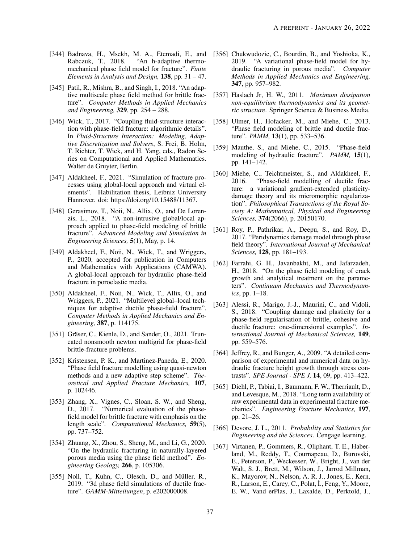- <span id="page-36-0"></span>[344] Badnava, H., Msekh, M. A., Etemadi, E., and Rabczuk, T., 2018. "An h-adaptive thermomechanical phase field model for fracture". *Finite Elements in Analysis and Design,* 138, pp. 31 – 47.
- <span id="page-36-1"></span>[345] Patil, R., Mishra, B., and Singh, I., 2018. "An adaptive multiscale phase field method for brittle fracture". *Computer Methods in Applied Mechanics and Engineering,* 329, pp. 254 – 288.
- <span id="page-36-2"></span>[346] Wick, T., 2017. "Coupling fluid-structure interaction with phase-field fracture: algorithmic details". In *Fluid-Structure Interaction: Modeling, Adaptive Discretization and Solvers*, S. Frei, B. Holm, T. Richter, T. Wick, and H. Yang, eds., Radon Series on Computational and Applied Mathematics. Walter de Gruyter, Berlin.
- <span id="page-36-3"></span>[347] Aldakheel, F., 2021. "Simulation of fracture processes using global-local approach and virtual elements". Habilitation thesis, Leibniz University Hannover. doi: https://doi.org/10.15488/11367.
- <span id="page-36-4"></span>[348] Gerasimov, T., Noii, N., Allix, O., and De Lorenzis, L., 2018. "A non-intrusive global/local approach applied to phase-field modeling of brittle fracture". *Advanced Modeling and Simulation in Engineering Sciences,* 5(1), May, p. 14.
- <span id="page-36-5"></span>[349] Aldakheel, F., Noii, N., Wick, T., and Wriggers, P., 2020, accepted for publication in Computers and Mathematics with Applications (CAMWA). A global-local approach for hydraulic phase-field fracture in poroelastic media.
- <span id="page-36-6"></span>[350] Aldakheel, F., Noii, N., Wick, T., Allix, O., and Wriggers, P., 2021. "Multilevel global–local techniques for adaptive ductile phase-field fracture". *Computer Methods in Applied Mechanics and Engineering,* 387, p. 114175.
- <span id="page-36-7"></span>[351] Gräser, C., Kienle, D., and Sander, O., 2021. Truncated nonsmooth newton multigrid for phase-field brittle-fracture problems.
- <span id="page-36-8"></span>[352] Kristensen, P. K., and Martinez-Paneda, E., 2020. "Phase field fracture modelling using quasi-newton methods and a new adaptive step scheme". *Theoretical and Applied Fracture Mechanics,* 107, p. 102446.
- <span id="page-36-9"></span>[353] Zhang, X., Vignes, C., Sloan, S. W., and Sheng, D., 2017. "Numerical evaluation of the phasefield model for brittle fracture with emphasis on the length scale". *Computational Mechanics,* 59(5), pp. 737–752.
- <span id="page-36-10"></span>[354] Zhuang, X., Zhou, S., Sheng, M., and Li, G., 2020. "On the hydraulic fracturing in naturally-layered porous media using the phase field method". *Engineering Geology,* 266, p. 105306.
- <span id="page-36-11"></span>[355] Noll, T., Kuhn, C., Olesch, D., and Müller, R., 2019. "3d phase field simulations of ductile fracture". *GAMM-Mitteilungen*, p. e202000008.
- <span id="page-36-12"></span>[356] Chukwudozie, C., Bourdin, B., and Yoshioka, K., 2019. "A variational phase-field model for hydraulic fracturing in porous media". *Computer Methods in Applied Mechanics and Engineering,* 347, pp. 957–982.
- <span id="page-36-13"></span>[357] Haslach Jr, H. W., 2011. *Maximum dissipation non-equilibrium thermodynamics and its geometric structure*. Springer Science & Business Media.
- <span id="page-36-14"></span>[358] Ulmer, H., Hofacker, M., and Miehe, C., 2013. "Phase field modeling of brittle and ductile fracture". *PAMM,* 13(1), pp. 533–536.
- <span id="page-36-15"></span>[359] Mauthe, S., and Miehe, C., 2015. "Phase-field modeling of hydraulic fracture". *PAMM,* 15(1), pp. 141–142.
- <span id="page-36-16"></span>[360] Miehe, C., Teichtmeister, S., and Aldakheel, F., 2016. "Phase-field modelling of ductile fracture: a variational gradient-extended plasticitydamage theory and its micromorphic regularization". *Philosophical Transactions of the Royal Society A: Mathematical, Physical and Engineering Sciences,* 374(2066), p. 20150170.
- <span id="page-36-17"></span>[361] Roy, P., Pathrikar, A., Deepu, S., and Roy, D., 2017. "Peridynamics damage model through phase field theory". *International Journal of Mechanical Sciences,* 128, pp. 181–193.
- <span id="page-36-18"></span>[362] Farrahi, G. H., Javanbakht, M., and Jafarzadeh, H., 2018. "On the phase field modeling of crack growth and analytical treatment on the parameters". *Continuum Mechanics and Thermodynamics*, pp. 1–18.
- <span id="page-36-19"></span>[363] Alessi, R., Marigo, J.-J., Maurini, C., and Vidoli, S., 2018. "Coupling damage and plasticity for a phase-field regularisation of brittle, cohesive and ductile fracture: one-dimensional examples". *International Journal of Mechanical Sciences,* 149, pp. 559–576.
- <span id="page-36-20"></span>[364] Jeffrey, R., and Bunger, A., 2009. "A detailed comparison of experimental and numerical data on hydraulic fracture height growth through stress contrasts". *SPE Journal - SPE J,* 14, 09, pp. 413–422.
- <span id="page-36-21"></span>[365] Diehl, P., Tabiai, I., Baumann, F. W., Therriault, D., and Levesque, M., 2018. "Long term availability of raw experimental data in experimental fracture mechanics". *Engineering Fracture Mechanics,* 197, pp. 21–26.
- <span id="page-36-22"></span>[366] Devore, J. L., 2011. *Probability and Statistics for Engineering and the Sciences*. Cengage learning.
- <span id="page-36-23"></span>[367] Virtanen, P., Gommers, R., Oliphant, T. E., Haberland, M., Reddy, T., Cournapeau, D., Burovski, E., Peterson, P., Weckesser, W., Bright, J., van der Walt, S. J., Brett, M., Wilson, J., Jarrod Millman, K., Mayorov, N., Nelson, A. R. J., Jones, E., Kern, R., Larson, E., Carey, C., Polat, İ., Feng, Y., Moore, E. W., Vand erPlas, J., Laxalde, D., Perktold, J.,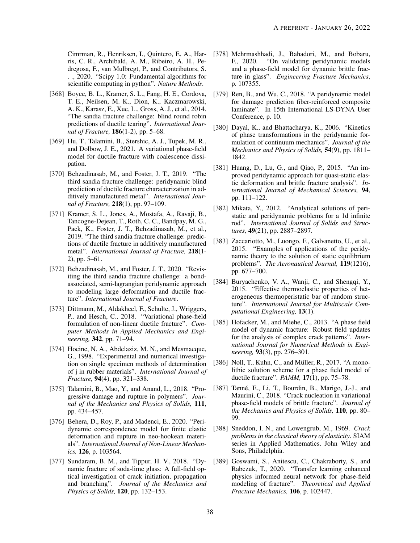Cimrman, R., Henriksen, I., Quintero, E. A., Harris, C. R., Archibald, A. M., Ribeiro, A. H., Pedregosa, F., van Mulbregt, P., and Contributors, S. . ., 2020. "Scipy 1.0: Fundamental algorithms for scientific computing in python". *Nature Methods*.

- <span id="page-37-0"></span>[368] Boyce, B. L., Kramer, S. L., Fang, H. E., Cordova, T. E., Neilsen, M. K., Dion, K., Kaczmarowski, A. K., Karasz, E., Xue, L., Gross, A. J., et al., 2014. "The sandia fracture challenge: blind round robin predictions of ductile tearing". *International Journal of Fracture,* 186(1-2), pp. 5–68.
- <span id="page-37-1"></span>[369] Hu, T., Talamini, B., Stershic, A. J., Tupek, M. R., and Dolbow, J. E., 2021. A variational phase-field model for ductile fracture with coalescence dissipation.
- <span id="page-37-3"></span>[370] Behzadinasab, M., and Foster, J. T., 2019. "The third sandia fracture challenge: peridynamic blind prediction of ductile fracture characterization in additively manufactured metal". *International Journal of Fracture,* 218(1), pp. 97–109.
- <span id="page-37-2"></span>[371] Kramer, S. L., Jones, A., Mostafa, A., Ravaji, B., Tancogne-Dejean, T., Roth, C. C., Bandpay, M. G., Pack, K., Foster, J. T., Behzadinasab, M., et al., 2019. "The third sandia fracture challenge: predictions of ductile fracture in additively manufactured metal". *International Journal of Fracture,* 218(1- 2), pp. 5–61.
- <span id="page-37-4"></span>[372] Behzadinasab, M., and Foster, J. T., 2020. "Revisiting the third sandia fracture challenge: a bondassociated, semi-lagrangian peridynamic approach to modeling large deformation and ductile fracture". *International Journal of Fracture*.
- <span id="page-37-5"></span>[373] Dittmann, M., Aldakheel, F., Schulte, J., Wriggers, P., and Hesch, C., 2018. "Variational phase-field formulation of non-linear ductile fracture". *Computer Methods in Applied Mechanics and Engineering,* 342, pp. 71–94.
- <span id="page-37-6"></span>[374] Hocine, N. A., Abdelaziz, M. N., and Mesmacque, G., 1998. "Experimental and numerical investigation on single specimen methods of determination of j in rubber materials". *International Journal of Fracture,* 94(4), pp. 321–338.
- <span id="page-37-7"></span>[375] Talamini, B., Mao, Y., and Anand, L., 2018. "Progressive damage and rupture in polymers". *Journal of the Mechanics and Physics of Solids,* 111, pp. 434–457.
- <span id="page-37-8"></span>[376] Behera, D., Roy, P., and Madenci, E., 2020. "Peridynamic correspondence model for finite elastic deformation and rupture in neo-hookean materials". *International Journal of Non-Linear Mechanics,* 126, p. 103564.
- <span id="page-37-9"></span>[377] Sundaram, B. M., and Tippur, H. V., 2018. "Dynamic fracture of soda-lime glass: A full-field optical investigation of crack initiation, propagation and branching". *Journal of the Mechanics and Physics of Solids,* 120, pp. 132–153.
- <span id="page-37-10"></span>[378] Mehrmashhadi, J., Bahadori, M., and Bobaru, F., 2020. "On validating peridynamic models and a phase-field model for dynamic brittle fracture in glass". *Engineering Fracture Mechanics*, p. 107355.
- <span id="page-37-11"></span>[379] Ren, B., and Wu, C., 2018. "A peridynamic model for damage prediction fiber-reinforced composite laminate". In 15th International LS-DYNA User Conference, p. 10.
- <span id="page-37-12"></span>[380] Dayal, K., and Bhattacharya, K., 2006. "Kinetics of phase transformations in the peridynamic formulation of continuum mechanics". *Journal of the Mechanics and Physics of Solids,* 54(9), pp. 1811– 1842.
- <span id="page-37-19"></span>[381] Huang, D., Lu, G., and Qiao, P., 2015. "An improved peridynamic approach for quasi-static elastic deformation and brittle fracture analysis". *International Journal of Mechanical Sciences,* 94, pp. 111–122.
- [382] Mikata, Y., 2012. "Analytical solutions of peristatic and peridynamic problems for a 1d infinite rod". *International Journal of Solids and Structures,* 49(21), pp. 2887–2897.
- [383] Zaccariotto, M., Luongo, F., Galvanetto, U., et al., 2015. "Examples of applications of the peridynamic theory to the solution of static equilibrium problems". *The Aeronautical Journal,* 119(1216), pp. 677–700.
- <span id="page-37-13"></span>[384] Buryachenko, V. A., Wanji, C., and Shengqi, Y., 2015. "Effective thermoelastic properties of heterogeneous thermoperistatic bar of random structure". *International Journal for Multiscale Computational Engineering,* 13(1).
- <span id="page-37-14"></span>[385] Hofacker, M., and Miehe, C., 2013. "A phase field model of dynamic fracture: Robust field updates for the analysis of complex crack patterns". *International Journal for Numerical Methods in Engineering,* 93(3), pp. 276–301.
- <span id="page-37-15"></span>[386] Noll, T., Kuhn, C., and Müller, R., 2017. "A monolithic solution scheme for a phase field model of ductile fracture". *PAMM,* 17(1), pp. 75–78.
- <span id="page-37-16"></span>[387] Tanné, E., Li, T., Bourdin, B., Marigo, J.-J., and Maurini, C., 2018. "Crack nucleation in variational phase-field models of brittle fracture". *Journal of the Mechanics and Physics of Solids,* 110, pp. 80– 99.
- <span id="page-37-17"></span>[388] Sneddon, I. N., and Lowengrub, M., 1969. *Crack problems in the classical theory of elasticity*. SIAM series in Applied Mathematics. John Wiley and Sons, Philadelphia.
- <span id="page-37-18"></span>[389] Goswami, S., Anitescu, C., Chakraborty, S., and Rabczuk, T., 2020. "Transfer learning enhanced physics informed neural network for phase-field modeling of fracture". *Theoretical and Applied Fracture Mechanics,* 106, p. 102447.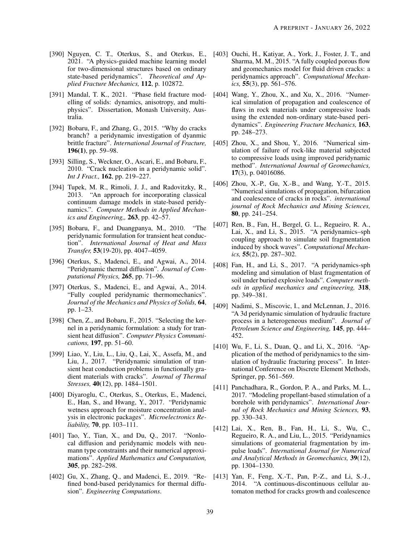- <span id="page-38-0"></span>[390] Nguyen, C. T., Oterkus, S., and Oterkus, E., 2021. "A physics-guided machine learning model for two-dimensional structures based on ordinary state-based peridynamics". *Theoretical and Applied Fracture Mechanics,* 112, p. 102872.
- <span id="page-38-1"></span>[391] Mandal, T. K., 2021. "Phase field fracture modelling of solids: dynamics, anisotropy, and multiphysics". Dissertation, Monash University, Australia.
- <span id="page-38-2"></span>[392] Bobaru, F., and Zhang, G., 2015. "Why do cracks branch? a peridynamic investigation of dyanmic brittle fracture". *International Journal of Fracture,* 196(1), pp. 59–98.
- <span id="page-38-3"></span>[393] Silling, S., Weckner, O., Ascari, E., and Bobaru, F., 2010. "Crack nucleation in a peridynamic solid". *Int J Fract.,* 162, pp. 219–227.
- <span id="page-38-4"></span>[394] Tupek, M. R., Rimoli, J. J., and Radovitzky, R., 2013. "An approach for incorporating classical continuum damage models in state-based peridynamics.". *Computer Methods in Applied Mechanics and Engineering,,* 263, pp. 42–57.
- <span id="page-38-5"></span>[395] Bobaru, F., and Duangpanya, M., 2010. "The peridynamic formulation for transient heat conduction". *International Journal of Heat and Mass Transfer,* 53(19-20), pp. 4047–4059.
- <span id="page-38-7"></span>[396] Oterkus, S., Madenci, E., and Agwai, A., 2014. "Peridynamic thermal diffusion". *Journal of Computational Physics,* 265, pp. 71–96.
- [397] Oterkus, S., Madenci, E., and Agwai, A., 2014. "Fully coupled peridynamic thermomechanics". *Journal of the Mechanics and Physics of Solids,* 64, pp. 1–23.
- [398] Chen, Z., and Bobaru, F., 2015. "Selecting the kernel in a peridynamic formulation: a study for transient heat diffusion". *Computer Physics Communications,* 197, pp. 51–60.
- <span id="page-38-6"></span>[399] Liao, Y., Liu, L., Liu, Q., Lai, X., Assefa, M., and Liu, J., 2017. "Peridynamic simulation of transient heat conduction problems in functionally gradient materials with cracks". *Journal of Thermal Stresses,* 40(12), pp. 1484–1501.
- <span id="page-38-8"></span>[400] Diyaroglu, C., Oterkus, S., Oterkus, E., Madenci, E., Han, S., and Hwang, Y., 2017. "Peridynamic wetness approach for moisture concentration analysis in electronic packages". *Microelectronics Reliability,* 70, pp. 103–111.
- [401] Tao, Y., Tian, X., and Du, Q., 2017. "Nonlocal diffusion and peridynamic models with neumann type constraints and their numerical approximations". *Applied Mathematics and Computation,* 305, pp. 282–298.
- <span id="page-38-9"></span>[402] Gu, X., Zhang, Q., and Madenci, E., 2019. "Refined bond-based peridynamics for thermal diffusion". *Engineering Computations*.
- <span id="page-38-10"></span>[403] Ouchi, H., Katiyar, A., York, J., Foster, J. T., and Sharma, M. M., 2015. "A fully coupled porous flow and geomechanics model for fluid driven cracks: a peridynamics approach". *Computational Mechanics,* 55(3), pp. 561–576.
- [404] Wang, Y., Zhou, X., and Xu, X., 2016. "Numerical simulation of propagation and coalescence of flaws in rock materials under compressive loads using the extended non-ordinary state-based peridynamics". *Engineering Fracture Mechanics,* 163, pp. 248–273.
- [405] Zhou, X., and Shou, Y., 2016. "Numerical simulation of failure of rock-like material subjected to compressive loads using improved peridynamic method". *International Journal of Geomechanics,* 17(3), p. 04016086.
- [406] Zhou, X.-P., Gu, X.-B., and Wang, Y.-T., 2015. "Numerical simulations of propagation, bifurcation and coalescence of cracks in rocks". *international journal of Rock Mechanics and Mining Sciences,* 80, pp. 241–254.
- [407] Ren, B., Fan, H., Bergel, G. L., Regueiro, R. A., Lai, X., and Li, S., 2015. "A peridynamics–sph coupling approach to simulate soil fragmentation induced by shock waves". *Computational Mechanics,* 55(2), pp. 287–302.
- [408] Fan, H., and Li, S., 2017. "A peridynamics-sph modeling and simulation of blast fragmentation of soil under buried explosive loads". *Computer methods in applied mechanics and engineering,* 318, pp. 349–381.
- <span id="page-38-12"></span>[409] Nadimi, S., Miscovic, I., and McLennan, J., 2016. "A 3d peridynamic simulation of hydraulic fracture process in a heterogeneous medium". *Journal of Petroleum Science and Engineering,* 145, pp. 444– 452.
- [410] Wu, F., Li, S., Duan, Q., and Li, X., 2016. "Application of the method of peridynamics to the simulation of hydraulic fracturing process". In International Conference on Discrete Element Methods, Springer, pp. 561–569.
- [411] Panchadhara, R., Gordon, P. A., and Parks, M. L., 2017. "Modeling propellant-based stimulation of a borehole with peridynamics". *International Journal of Rock Mechanics and Mining Sciences,* 93, pp. 330–343.
- [412] Lai, X., Ren, B., Fan, H., Li, S., Wu, C., Regueiro, R. A., and Liu, L., 2015. "Peridynamics simulations of geomaterial fragmentation by impulse loads". *International Journal for Numerical and Analytical Methods in Geomechanics,* 39(12), pp. 1304–1330.
- <span id="page-38-11"></span>[413] Yan, F., Feng, X.-T., Pan, P.-Z., and Li, S.-J., 2014. "A continuous-discontinuous cellular automaton method for cracks growth and coalescence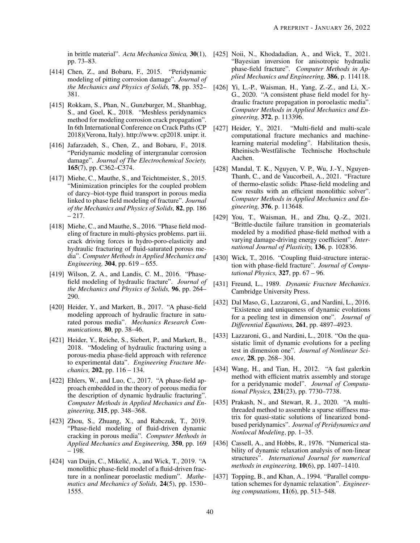pp. 73–83.

- <span id="page-39-0"></span>[414] Chen, Z., and Bobaru, F., 2015. "Peridynamic modeling of pitting corrosion damage". *Journal of the Mechanics and Physics of Solids,* 78, pp. 352– 381.
- [415] Rokkam, S., Phan, N., Gunzburger, M., Shanbhag, S., and Goel, K., 2018. "Meshless peridynamics method for modeling corrosion crack propagation". In 6th International Conference on Crack Paths (CP 2018)(Verona, Italy). http://www. cp2018. unipr. it.
- <span id="page-39-1"></span>[416] Jafarzadeh, S., Chen, Z., and Bobaru, F., 2018. "Peridynamic modeling of intergranular corrosion damage". *Journal of The Electrochemical Society,* 165(7), pp. C362–C374.
- <span id="page-39-4"></span><span id="page-39-2"></span>[417] Miehe, C., Mauthe, S., and Teichtmeister, S., 2015. "Minimization principles for the coupled problem of darcy–biot-type fluid transport in porous media linked to phase field modeling of fracture". *Journal of the Mechanics and Physics of Solids,* 82, pp. 186  $-217.$
- <span id="page-39-5"></span>[418] Miehe, C., and Mauthe, S., 2016. "Phase field modeling of fracture in multi-physics problems. part iii. crack driving forces in hydro-poro-elasticity and hydraulic fracturing of fluid-saturated porous media". *Computer Methods in Applied Mechanics and Engineering,* 304, pp. 619 – 655.
- <span id="page-39-7"></span><span id="page-39-6"></span>[419] Wilson, Z. A., and Landis, C. M., 2016. "Phasefield modeling of hydraulic fracture". *Journal of the Mechanics and Physics of Solids,* 96, pp. 264– 290.
- <span id="page-39-8"></span>[420] Heider, Y., and Markert, B., 2017. "A phase-field modeling approach of hydraulic fracture in saturated porous media". *Mechanics Research Communications,* 80, pp. 38–46.
- <span id="page-39-9"></span>[421] Heider, Y., Reiche, S., Siebert, P., and Markert, B., 2018. "Modeling of hydraulic fracturing using a porous-media phase-field approach with reference to experimental data". *Engineering Fracture Mechanics,* 202, pp. 116 – 134.
- <span id="page-39-11"></span><span id="page-39-10"></span>[422] Ehlers, W., and Luo, C., 2017. "A phase-field approach embedded in the theory of porous media for the description of dynamic hydraulic fracturing". *Computer Methods in Applied Mechanics and Engineering,* 315, pp. 348–368.
- <span id="page-39-12"></span>[423] Zhou, S., Zhuang, X., and Rabczuk, T., 2019. "Phase-field modeling of fluid-driven dynamic cracking in porous media". *Computer Methods in Applied Mechanics and Engineering,* 350, pp. 169 – 198.
- [424] van Duijn, C., Mikelić, A., and Wick, T., 2019. "A monolithic phase-field model of a fluid-driven fracture in a nonlinear poroelastic medium". *Mathematics and Mechanics of Solids,* 24(5), pp. 1530– 1555.
- <span id="page-39-3"></span>in brittle material". *Acta Mechanica Sinica,* 30(1), [425] Noii, N., Khodadadian, A., and Wick, T., 2021. "Bayesian inversion for anisotropic hydraulic phase-field fracture". *Computer Methods in Applied Mechanics and Engineering,* 386, p. 114118.
	- [426] Yi, L.-P., Waisman, H., Yang, Z.-Z., and Li, X.- G., 2020. "A consistent phase field model for hydraulic fracture propagation in poroelastic media". *Computer Methods in Applied Mechanics and Engineering,* 372, p. 113396.
	- [427] Heider, Y., 2021. "Multi-field and multi-scale computational fracture mechanics and machinelearning material modeling". Habilitation thesis, Rheinisch-Westfalische Technische Hochschule ¨ Aachen.
	- [428] Mandal, T. K., Nguyen, V. P., Wu, J.-Y., Nguyen-Thanh, C., and de Vaucorbeil, A., 2021. "Fracture of thermo-elastic solids: Phase-field modeling and new results with an efficient monolithic solver". *Computer Methods in Applied Mechanics and Engineering,* 376, p. 113648.
	- [429] You, T., Waisman, H., and Zhu, Q.-Z., 2021. "Brittle-ductile failure transition in geomaterials modeled by a modified phase-field method with a varying damage-driving energy coefficient". *International Journal of Plasticity,* 136, p. 102836.
	- [430] Wick, T., 2016. "Coupling fluid-structure interaction with phase-field fracture". *Journal of Computational Physics,* 327, pp. 67 – 96.
	- [431] Freund, L., 1989. *Dynamic Fracture Mechanics*. Cambridge University Press.
	- [432] Dal Maso, G., Lazzaroni, G., and Nardini, L., 2016. "Existence and uniqueness of dynamic evolutions for a peeling test in dimension one". *Journal of Differential Equations,* 261, pp. 4897–4923.
	- [433] Lazzaroni, G., and Nardini, L., 2018. "On the quasistatic limit of dynamic evolutions for a peeling test in dimension one". *Journal of Nonlinear Science,* 28, pp. 268– 304.
	- [434] Wang, H., and Tian, H., 2012. "A fast galerkin method with efficient matrix assembly and storage for a peridynamic model". *Journal of Computational Physics,* 231(23), pp. 7730–7738.
	- [435] Prakash, N., and Stewart, R. J., 2020. "A multithreaded method to assemble a sparse stiffness matrix for quasi-static solutions of linearized bondbased peridynamics". *Journal of Peridynamics and Nonlocal Modeling*, pp. 1–35.
	- [436] Cassell, A., and Hobbs, R., 1976. "Numerical stability of dynamic relaxation analysis of non-linear structures". *International Journal for numerical methods in engineering,* 10(6), pp. 1407–1410.
	- [437] Topping, B., and Khan, A., 1994. "Parallel computation schemes for dynamic relaxation". *Engineering computations,* 11(6), pp. 513–548.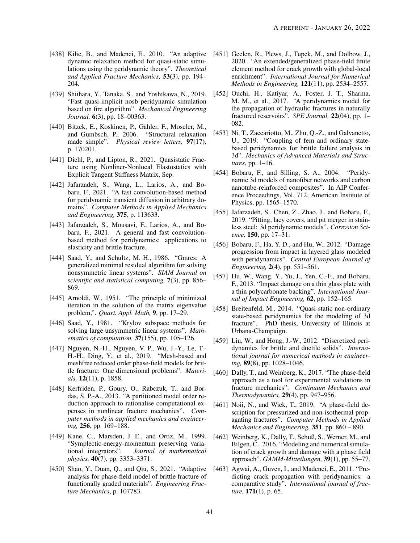- <span id="page-40-0"></span>[438] Kilic, B., and Madenci, E., 2010. "An adaptive dynamic relaxation method for quasi-static simulations using the peridynamic theory". *Theoretical and Applied Fracture Mechanics,* 53(3), pp. 194– 204.
- <span id="page-40-1"></span>[439] Shiihara, Y., Tanaka, S., and Yoshikawa, N., 2019. "Fast quasi-implicit nosb peridynamic simulation based on fire algorithm". *Mechanical Engineering Journal,* 6(3), pp. 18–00363.
- <span id="page-40-2"></span>[440] Bitzek, E., Koskinen, P., Gähler, F., Moseler, M., and Gumbsch, P., 2006. "Structural relaxation made simple". *Physical review letters,* 97(17), p. 170201.
- <span id="page-40-3"></span>[441] Diehl, P., and Lipton, R., 2021. Quasistatic Fracture using Nonliner-Nonlocal Elastostatics with Explicit Tangent Stiffness Matrix, Sep.
- <span id="page-40-4"></span>[442] Jafarzadeh, S., Wang, L., Larios, A., and Bobaru, F., 2021. "A fast convolution-based method for peridynamic transient diffusion in arbitrary domains". *Computer Methods in Applied Mechanics and Engineering,* 375, p. 113633.
- <span id="page-40-5"></span>[443] Jafarzadeh, S., Mousavi, F., Larios, A., and Bobaru, F., 2021. A general and fast convolutionbased method for peridynamics: applications to elasticity and brittle fracture.
- <span id="page-40-6"></span>[444] Saad, Y., and Schultz, M. H., 1986. "Gmres: A generalized minimal residual algorithm for solving nonsymmetric linear systems". *SIAM Journal on scientific and statistical computing,* 7(3), pp. 856– 869.
- <span id="page-40-7"></span>[445] Arnoldi, W., 1951. "The principle of minimized iteration in the solution of the matrix eigenvafue problem,". *Quart. Appl. Math,* 9, pp. 17–29.
- <span id="page-40-8"></span>[446] Saad, Y., 1981. "Krylov subspace methods for solving large unsymmetric linear systems". *Mathematics of computation,* 37(155), pp. 105–126.
- <span id="page-40-9"></span>[447] Nguyen, N.-H., Nguyen, V. P., Wu, J.-Y., Le, T.- H.-H., Ding, Y., et al., 2019. "Mesh-based and meshfree reduced order phase-field models for brittle fracture: One dimensional problems". *Materials,* 12(11), p. 1858.
- <span id="page-40-10"></span>[448] Kerfriden, P., Goury, O., Rabczuk, T., and Bordas, S. P.-A., 2013. "A partitioned model order reduction approach to rationalise computational expenses in nonlinear fracture mechanics". *Computer methods in applied mechanics and engineering,* 256, pp. 169–188.
- <span id="page-40-11"></span>[449] Kane, C., Marsden, J. E., and Ortiz, M., 1999. "Symplectic-energy-momentum preserving varia-<br>tional integrators". Journal of mathematical Journal of mathematical *physics,* 40(7), pp. 3353–3371.
- <span id="page-40-12"></span>[450] Shao, Y., Duan, O., and Oiu, S., 2021. "Adaptive analysis for phase-field model of brittle fracture of functionally graded materials". *Engineering Fracture Mechanics*, p. 107783.
- <span id="page-40-13"></span>[451] Geelen, R., Plews, J., Tupek, M., and Dolbow, J., 2020. "An extended/generalized phase-field finite element method for crack growth with global-local enrichment". *International Journal for Numerical Methods in Engineering,* 121(11), pp. 2534–2557.
- <span id="page-40-14"></span>[452] Ouchi, H., Katiyar, A., Foster, J. T., Sharma, M. M., et al., 2017. "A peridynamics model for the propagation of hydraulic fractures in naturally fractured reservoirs". *SPE Journal,* 22(04), pp. 1– 082.
- <span id="page-40-15"></span>[453] Ni, T., Zaccariotto, M., Zhu, Q.-Z., and Galvanetto, U., 2019. "Coupling of fem and ordinary statebased peridynamics for brittle failure analysis in 3d". *Mechanics of Advanced Materials and Structures*, pp. 1–16.
- <span id="page-40-16"></span>[454] Bobaru, F., and Silling, S. A., 2004. "Peridynamic 3d models of nanofiber networks and carbon nanotube-reinforced composites". In AIP Conference Proceedings, Vol. 712, American Institute of Physics, pp. 1565–1570.
- <span id="page-40-17"></span>[455] Jafarzadeh, S., Chen, Z., Zhao, J., and Bobaru, F., 2019. "Pitting, lacy covers, and pit merger in stainless steel: 3d peridynamic models". *Corrosion Science,* 150, pp. 17–31.
- <span id="page-40-18"></span>[456] Bobaru, F., Ha, Y. D., and Hu, W., 2012. "Damage progression from impact in layered glass modeled with peridynamics". *Central European Journal of Engineering,* 2(4), pp. 551–561.
- <span id="page-40-19"></span>[457] Hu, W., Wang, Y., Yu, J., Yen, C.-F., and Bobaru, F., 2013. "Impact damage on a thin glass plate with a thin polycarbonate backing". *International Journal of Impact Engineering,* 62, pp. 152–165.
- <span id="page-40-20"></span>[458] Breitenfeld, M., 2014. "Quasi-static non-ordinary state-based peridynamics for the modeling of 3d fracture". PhD thesis, University of Illinois at Urbana-Champaign.
- <span id="page-40-21"></span>[459] Liu, W., and Hong, J.-W., 2012. "Discretized peridynamics for brittle and ductile solids". *International journal for numerical methods in engineering,* 89(8), pp. 1028–1046.
- <span id="page-40-22"></span>[460] Dally, T., and Weinberg, K., 2017. "The phase-field approach as a tool for experimental validations in fracture mechanics". *Continuum Mechanics and Thermodynamics,* 29(4), pp. 947–956.
- <span id="page-40-23"></span>[461] Noii, N., and Wick, T., 2019. "A phase-field description for pressurized and non-isothermal propagating fractures". *Computer Methods in Applied Mechanics and Engineering,* 351, pp. 860 – 890.
- <span id="page-40-24"></span>[462] Weinberg, K., Dally, T., Schuß, S., Werner, M., and Bilgen, C., 2016. "Modeling and numerical simulation of crack growth and damage with a phase field approach". *GAMM-Mitteilungen,* 39(1), pp. 55–77.
- <span id="page-40-25"></span>[463] Agwai, A., Guven, I., and Madenci, E., 2011. "Predicting crack propagation with peridynamics: a comparative study". *International journal of fracture,* 171(1), p. 65.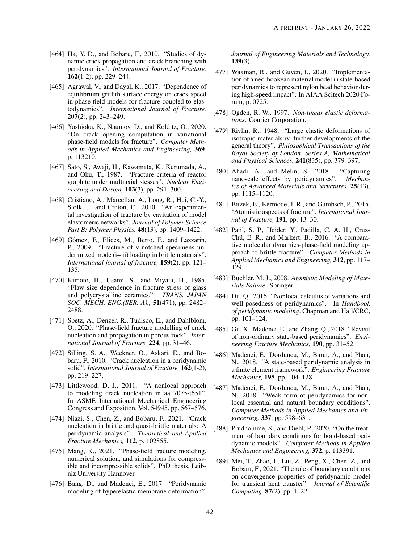- <span id="page-41-0"></span>[464] Ha, Y. D., and Bobaru, F., 2010. "Studies of dynamic crack propagation and crack branching with peridynamics". *International Journal of Fracture,* 162(1-2), pp. 229–244.
- <span id="page-41-1"></span>[465] Agrawal, V., and Dayal, K., 2017. "Dependence of equilibrium griffith surface energy on crack speed in phase-field models for fracture coupled to elastodynamics". *International Journal of Fracture,* 207(2), pp. 243–249.
- <span id="page-41-2"></span>[466] Yoshioka, K., Naumov, D., and Kolditz, O., 2020. "On crack opening computation in variational phase-field models for fracture". *Computer Methods in Applied Mechanics and Engineering,* 369, p. 113210.
- <span id="page-41-3"></span>[467] Sato, S., Awaji, H., Kawamata, K., Kurumada, A., and Oku, T., 1987. "Fracture criteria of reactor graphite under multiaxial stesses". *Nuclear Engineering and Design,* 103(3), pp. 291–300.
- [468] Cristiano, A., Marcellan, A., Long, R., Hui, C.-Y., Stolk, J., and Creton, C., 2010. "An experimental investigation of fracture by cavitation of model elastomeric networks". *Journal of Polymer Science Part B: Polymer Physics,* 48(13), pp. 1409–1422.
- [469] Gómez, F., Elices, M., Berto, F., and Lazzarin, P., 2009. "Fracture of v-notched specimens under mixed mode (i+ ii) loading in brittle materials". *International journal of fracture,* 159(2), pp. 121– 135.
- <span id="page-41-4"></span>[470] Kimoto, H., Usami, S., and Miyata, H., 1985. "Flaw size dependence in fracture stress of glass and polycrystalline ceramics.". *TRANS. JAPAN SOC. MECH. ENG.(SER. A).,* 51(471), pp. 2482– 2488.
- <span id="page-41-5"></span>[471] Spetz, A., Denzer, R., Tudisco, E., and Dahlblom, O., 2020. "Phase-field fracture modelling of crack nucleation and propagation in porous rock". *International Journal of Fracture,* 224, pp. 31–46.
- <span id="page-41-6"></span>[472] Silling, S. A., Weckner, O., Askari, E., and Bobaru, F., 2010. "Crack nucleation in a peridynamic solid". *International Journal of Fracture,* 162(1-2), pp. 219–227.
- [473] Littlewood, D. J., 2011. "A nonlocal approach to modeling crack nucleation in aa 7075-t651". In ASME International Mechanical Engineering Congress and Exposition, Vol. 54945, pp. 567–576.
- <span id="page-41-7"></span>[474] Niazi, S., Chen, Z., and Bobaru, F., 2021. "Crack nucleation in brittle and quasi-brittle materials: A peridynamic analysis". *Theoretical and Applied Fracture Mechanics,* 112, p. 102855.
- <span id="page-41-8"></span>[475] Mang, K., 2021. "Phase-field fracture modeling, numerical solution, and simulations for compressible and incompressible solids". PhD thesis, Leibniz University Hannover.
- <span id="page-41-9"></span>[476] Bang, D., and Madenci, E., 2017. "Peridynamic modeling of hyperelastic membrane deformation".

*Journal of Engineering Materials and Technology,* 139(3).

- <span id="page-41-10"></span>[477] Waxman, R., and Guven, I., 2020. "Implementation of a neo-hookean material model in state-based peridynamics to represent nylon bead behavior during high-speed impact". In AIAA Scitech 2020 Forum, p. 0725.
- <span id="page-41-11"></span>[478] Ogden, R. W., 1997. *Non-linear elastic deformations*. Courier Corporation.
- <span id="page-41-12"></span>[479] Rivlin, R., 1948. "Large elastic deformations of isotropic materials iv. further developments of the general theory". *Philosophical Transactions of the Royal Society of London. Series A, Mathematical and Physical Sciences,* 241(835), pp. 379–397.
- <span id="page-41-13"></span>[480] Ahadi, A., and Melin, S., 2018. "Capturing nanoscale effects by peridynamics". *Mechanics of Advanced Materials and Structures,* 25(13), pp. 1115–1120.
- <span id="page-41-14"></span>[481] Bitzek, E., Kermode, J. R., and Gumbsch, P., 2015. "Atomistic aspects of fracture". *International Journal of Fracture,* 191, pp. 13–30.
- <span id="page-41-15"></span>[482] Patil, S. P., Heider, Y., Padilla, C. A. H., Cruz-Chú, E. R., and Markert, B., 2016. "A comparative molecular dynamics-phase-field modeling approach to brittle fracture". *Computer Methods in Applied Mechanics and Engineering,* 312, pp. 117– 129.
- <span id="page-41-16"></span>[483] Buehler, M. J., 2008. *Atomistic Modeling of Materials Failure*. Springer.
- <span id="page-41-17"></span>[484] Du, Q., 2016. "Nonlocal calculus of variations and well-posedness of peridynamics". In *Handbook of peridynamic modeling*. Chapman and Hall/CRC, pp. 101–124.
- [485] Gu, X., Madenci, E., and Zhang, Q., 2018. "Revisit of non-ordinary state-based peridynamics". *Engineering Fracture Mechanics,* 190, pp. 31–52.
- [486] Madenci, E., Dorduncu, M., Barut, A., and Phan, N., 2018. "A state-based peridynamic analysis in a finite element framework". *Engineering Fracture Mechanics,* 195, pp. 104–128.
- [487] Madenci, E., Dorduncu, M., Barut, A., and Phan, N., 2018. "Weak form of peridynamics for nonlocal essential and natural boundary conditions". *Computer Methods in Applied Mechanics and Engineering,* 337, pp. 598–631.
- [488] Prudhomme, S., and Diehl, P., 2020. "On the treatment of boundary conditions for bond-based peridynamic models". *Computer Methods in Applied Mechanics and Engineering,* 372, p. 113391.
- <span id="page-41-18"></span>[489] Mei, T., Zhao, J., Liu, Z., Peng, X., Chen, Z., and Bobaru, F., 2021. "The role of boundary conditions on convergence properties of peridynamic model for transient heat transfer". *Journal of Scientific Computing,* 87(2), pp. 1–22.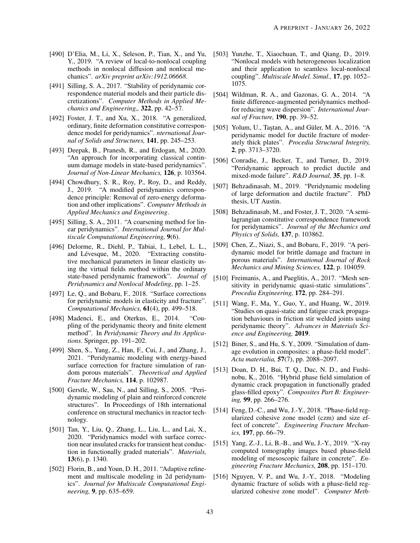- <span id="page-42-0"></span>[490] D'Elia, M., Li, X., Seleson, P., Tian, X., and Yu, Y., 2019. "A review of local-to-nonlocal coupling methods in nonlocal diffusion and nonlocal mechanics". *arXiv preprint arXiv:1912.06668*.
- <span id="page-42-1"></span>[491] Silling, S. A., 2017. "Stability of peridynamic correspondence material models and their particle discretizations". *Computer Methods in Applied Mechanics and Engineering,,* 322, pp. 42–57.
- <span id="page-42-3"></span>[492] Foster, J. T., and Xu, X., 2018. "A generalized, ordinary, finite deformation constitutive correspondence model for peridynamics". *nternational Journal of Solids and Structures,* 141, pp. 245–253.
- <span id="page-42-2"></span>[493] Deepak, B., Pranesh, R., and Erdogan, M., 2020. "An approach for incorporating classical continuum damage models in state-based peridynamics". *Journal of Non-Linear Mechanics,* 126, p. 103564.
- <span id="page-42-4"></span>[494] Chowdhury, S. R., Roy, P., Roy, D., and Reddy, J., 2019. "A modified peridynamics correspondence principle: Removal of zero-energy deformation and other implications". *Computer Methods in Applied Mechanics and Engineering*.
- <span id="page-42-5"></span>[495] Silling, S. A., 2011. "A coarsening method for linear peridynamics". *International Journal for Multiscale Computational Engineering,* 9(6).
- <span id="page-42-6"></span>[496] Delorme, R., Diehl, P., Tabiai, I., Lebel, L. L., and Lévesque, M., 2020. "Extracting constitutive mechanical parameters in linear elasticity using the virtual fields method within the ordinary state-based peridynamic framework". *Journal of Peridynamics and Nonlocal Modeling*, pp. 1–25.
- <span id="page-42-7"></span>[497] Le, Q., and Bobaru, F., 2018. "Surface corrections for peridynamic models in elasticity and fracture". *Computational Mechanics,* 61(4), pp. 499–518.
- <span id="page-42-8"></span>[498] Madenci, E., and Oterkus, E., 2014. "Coupling of the peridynamic theory and finite element method". In *Peridynamic Theory and Its Applications*. Springer, pp. 191–202.
- <span id="page-42-9"></span>[499] Shen, S., Yang, Z., Han, F., Cui, J., and Zhang, J., 2021. "Peridynamic modeling with energy-based surface correction for fracture simulation of random porous materials". *Theoretical and Applied Fracture Mechanics,* 114, p. 102987.
- <span id="page-42-10"></span>[500] Gerstle, W., Sau, N., and Silling, S., 2005. "Peridynamic modeling of plain and reinforced concrete structures". In Proceedings of 18th international conference on structural mechanics in reactor technology.
- <span id="page-42-11"></span>[501] Tan, Y., Liu, Q., Zhang, L., Liu, L., and Lai, X., 2020. "Peridynamics model with surface correction near insulated cracks for transient heat conduction in functionally graded materials". *Materials,* 13(6), p. 1340.
- <span id="page-42-12"></span>[502] Florin, B., and Youn, D. H., 2011. "Adaptive refinement and multiscale modeling in 2d peridynamics". *Journal for Multiscale Computational Engineering,* 9, pp. 635–659.
- <span id="page-42-13"></span>[503] Yunzhe, T., Xiaochuan, T., and Oiang, D., 2019. "Nonlocal models with heterogeneous localization and their application to seamless local-nonlocal coupling". *Multiscale Model. Simul.,* 17, pp. 1052– 1075.
- <span id="page-42-14"></span>[504] Wildman, R. A., and Gazonas, G. A., 2014. "A finite difference-augmented peridynamics methodfor reducing wave dispersion". *International Journal of Fracture,* 190, pp. 39–52.
- <span id="page-42-15"></span>[505] Yolum, U., Taştan, A., and Güler, M. A., 2016. "A peridynamic model for ductile fracture of moderately thick plates". *Procedia Structural Integrity,* 2, pp. 3713–3720.
- [506] Conradie, J., Becker, T., and Turner, D., 2019. "Peridynamic approach to predict ductile and mixed-mode failure". *R&D Journal,* 35, pp. 1–8.
- [507] Behzadinasab, M., 2019. "Peridynamic modeling of large deformation and ductile fracture". PhD thesis, UT Austin.
- <span id="page-42-16"></span>[508] Behzadinasab, M., and Foster, J. T., 2020. "A semilagrangian constitutive correspondence framework for peridynamics". *Journal of the Mechanics and Physics of Solids,* 137, p. 103862.
- <span id="page-42-17"></span>[509] Chen, Z., Niazi, S., and Bobaru, F., 2019. "A peridynamic model for brittle damage and fracture in porous materials". *International Journal of Rock Mechanics and Mining Sciences,* 122, p. 104059.
- [510] Freimanis, A., and Paeglitis, A., 2017. "Mesh sensitivity in peridynamic quasi-static simulations". *Procedia Engineering,* 172, pp. 284–291.
- <span id="page-42-18"></span>[511] Wang, F., Ma, Y., Guo, Y., and Huang, W., 2019. "Studies on quasi-static and fatigue crack propagation behaviours in friction stir welded joints using peridynamic theory". *Advances in Materials Science and Engineering,* 2019.
- <span id="page-42-19"></span>[512] Biner, S., and Hu, S. Y., 2009. "Simulation of damage evolution in composites: a phase-field model". *Acta materialia,* 57(7), pp. 2088–2097.
- <span id="page-42-20"></span>[513] Doan, D. H., Bui, T. Q., Duc, N. D., and Fushinobu, K., 2016. "Hybrid phase field simulation of dynamic crack propagation in functionally graded glass-filled epoxy". *Composites Part B: Engineering,* 99, pp. 266–276.
- <span id="page-42-21"></span>[514] Feng, D.-C., and Wu, J.-Y., 2018. "Phase-field regularized cohesive zone model (czm) and size effect of concrete". *Engineering Fracture Mechanics,* 197, pp. 66–79.
- [515] Yang, Z.-J., Li, B.-B., and Wu, J.-Y., 2019. "X-ray computed tomography images based phase-field modeling of mesoscopic failure in concrete". *Engineering Fracture Mechanics,* 208, pp. 151–170.
- [516] Nguyen, V. P., and Wu, J.-Y., 2018. "Modeling dynamic fracture of solids with a phase-field regularized cohesive zone model". *Computer Meth-*